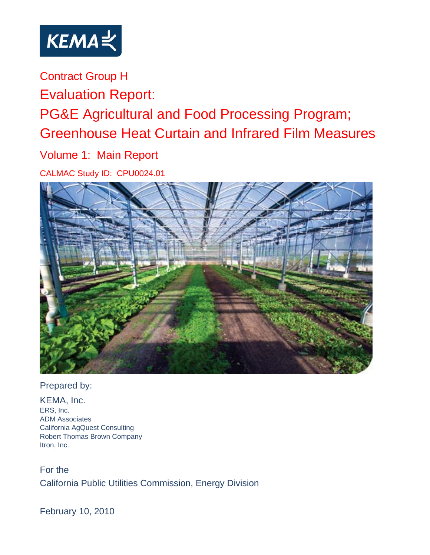

## Contract Group H

Evaluation Report:

PG&E Agricultural and Food Processing Program; Greenhouse Heat Curtain and Infrared Film Measures

Volume 1: Main Report

CALMAC Study ID: CPU0024.01



### Prepared by:

KEMA, Inc. ERS, Inc. ADM Associates California AgQuest Consulting Robert Thomas Brown Company Itron, Inc.

For the California Public Utilities Commission, Energy Division

February 10, 2010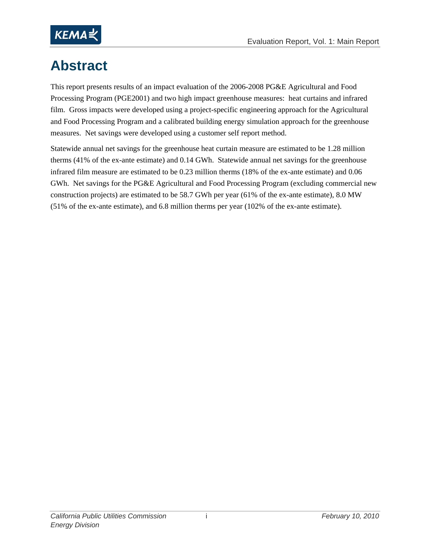

# <span id="page-2-0"></span>**Abstract**

This report presents results of an impact evaluation of the 2006-2008 PG&E Agricultural and Food Processing Program (PGE2001) and two high impact greenhouse measures: heat curtains and infrared film. Gross impacts were developed using a project-specific engineering approach for the Agricultural and Food Processing Program and a calibrated building energy simulation approach for the greenhouse measures. Net savings were developed using a customer self report method.

Statewide annual net savings for the greenhouse heat curtain measure are estimated to be 1.28 million therms (41% of the ex-ante estimate) and 0.14 GWh. Statewide annual net savings for the greenhouse infrared film measure are estimated to be 0.23 million therms (18% of the ex-ante estimate) and 0.06 GWh. Net savings for the PG&E Agricultural and Food Processing Program (excluding commercial new construction projects) are estimated to be 58.7 GWh per year (61% of the ex-ante estimate), 8.0 MW (51% of the ex-ante estimate), and 6.8 million therms per year (102% of the ex-ante estimate).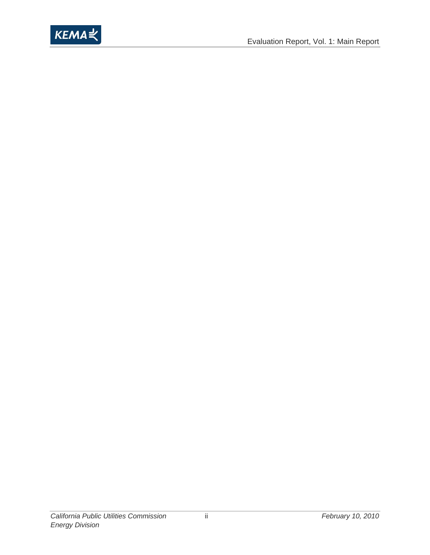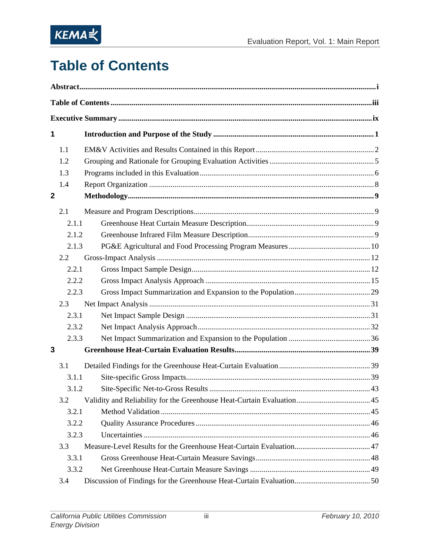

# <span id="page-4-0"></span>**Table of Contents**

| 1            |       |  |
|--------------|-------|--|
|              | 1.1   |  |
|              | 1.2   |  |
|              | 1.3   |  |
|              | 1.4   |  |
| $\mathbf{2}$ |       |  |
|              | 2.1   |  |
|              | 2.1.1 |  |
|              | 2.1.2 |  |
|              | 2.1.3 |  |
|              | 2.2   |  |
|              | 2.2.1 |  |
|              | 2.2.2 |  |
|              | 2.2.3 |  |
|              | 2.3   |  |
|              | 2.3.1 |  |
|              | 2.3.2 |  |
|              | 2.3.3 |  |
| 3            |       |  |
|              | 3.1   |  |
|              | 3.1.1 |  |
|              | 3.1.2 |  |
|              | 3.2   |  |
|              | 3.2.1 |  |
|              | 3.2.2 |  |
|              | 3.2.3 |  |
|              | 3.3   |  |
|              | 3.3.1 |  |
|              | 3.3.2 |  |
|              | 3.4   |  |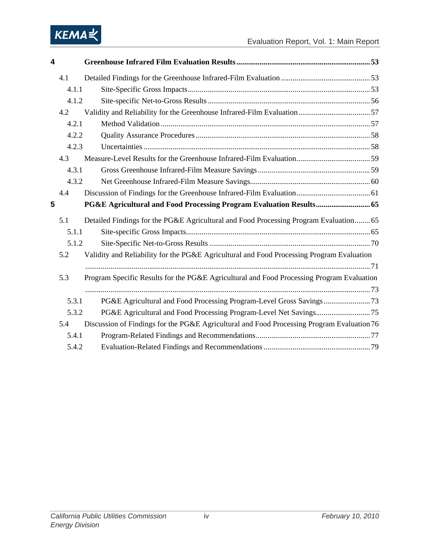KEMA

| 4 |       |                                                                                            |
|---|-------|--------------------------------------------------------------------------------------------|
|   | 4.1   |                                                                                            |
|   | 4.1.1 |                                                                                            |
|   | 4.1.2 |                                                                                            |
|   | 4.2   |                                                                                            |
|   | 4.2.1 |                                                                                            |
|   | 4.2.2 |                                                                                            |
|   | 4.2.3 |                                                                                            |
|   | 4.3   |                                                                                            |
|   | 4.3.1 |                                                                                            |
|   | 4.3.2 |                                                                                            |
|   | 4.4   |                                                                                            |
| 5 |       | PG&E Agricultural and Food Processing Program Evaluation Results 65                        |
|   | 5.1   | Detailed Findings for the PG&E Agricultural and Food Processing Program Evaluation 65      |
|   | 5.1.1 |                                                                                            |
|   | 5.1.2 |                                                                                            |
|   | 5.2   | Validity and Reliability for the PG&E Agricultural and Food Processing Program Evaluation  |
|   |       |                                                                                            |
|   | 5.3   | Program Specific Results for the PG&E Agricultural and Food Processing Program Evaluation  |
|   |       |                                                                                            |
|   | 5.3.1 |                                                                                            |
|   | 5.3.2 |                                                                                            |
|   | 5.4   | Discussion of Findings for the PG&E Agricultural and Food Processing Program Evaluation 76 |
|   | 5.4.1 |                                                                                            |
|   | 5.4.2 |                                                                                            |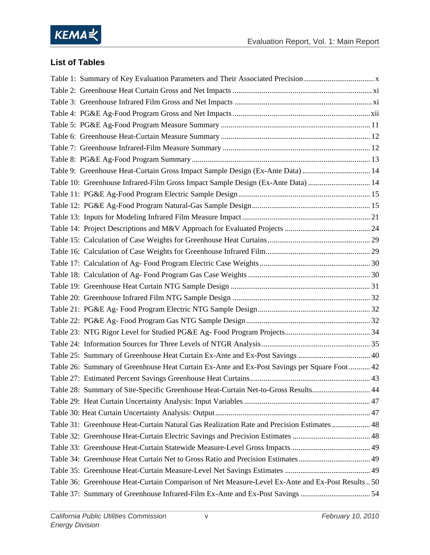

### **List of Tables**

| Table 9: Greenhouse Heat-Curtain Gross Impact Sample Design (Ex-Ante Data)  14                    |  |
|---------------------------------------------------------------------------------------------------|--|
| Table 10: Greenhouse Infrared-Film Gross Impact Sample Design (Ex-Ante Data)  14                  |  |
|                                                                                                   |  |
|                                                                                                   |  |
|                                                                                                   |  |
|                                                                                                   |  |
|                                                                                                   |  |
|                                                                                                   |  |
|                                                                                                   |  |
|                                                                                                   |  |
|                                                                                                   |  |
|                                                                                                   |  |
|                                                                                                   |  |
|                                                                                                   |  |
|                                                                                                   |  |
|                                                                                                   |  |
|                                                                                                   |  |
| Table 26: Summary of Greenhouse Heat Curtain Ex-Ante and Ex-Post Savings per Square Foot 42       |  |
|                                                                                                   |  |
| Table 28: Summary of Site-Specific Greenhouse Heat-Curtain Net-to-Gross Results 44                |  |
|                                                                                                   |  |
|                                                                                                   |  |
| Table 31: Greenhouse Heat-Curtain Natural Gas Realization Rate and Precision Estimates 48         |  |
|                                                                                                   |  |
|                                                                                                   |  |
| Table 34: Greenhouse Heat Curtain Net to Gross Ratio and Precision Estimates 49                   |  |
|                                                                                                   |  |
| Table 36: Greenhouse Heat-Curtain Comparison of Net Measure-Level Ex-Ante and Ex-Post Results  50 |  |
| Table 37: Summary of Greenhouse Infrared-Film Ex-Ante and Ex-Post Savings 54                      |  |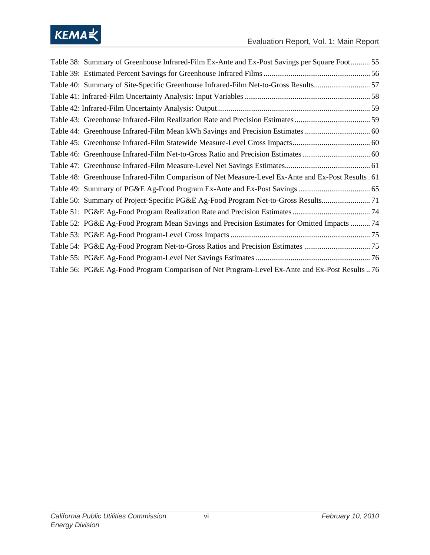

| Table 38: Summary of Greenhouse Infrared-Film Ex-Ante and Ex-Post Savings per Square Foot 55        |  |
|-----------------------------------------------------------------------------------------------------|--|
|                                                                                                     |  |
| Table 40: Summary of Site-Specific Greenhouse Infrared-Film Net-to-Gross Results 57                 |  |
|                                                                                                     |  |
|                                                                                                     |  |
|                                                                                                     |  |
|                                                                                                     |  |
|                                                                                                     |  |
|                                                                                                     |  |
|                                                                                                     |  |
| Table 48: Greenhouse Infrared-Film Comparison of Net Measure-Level Ex-Ante and Ex-Post Results . 61 |  |
|                                                                                                     |  |
| Table 50: Summary of Project-Specific PG&E Ag-Food Program Net-to-Gross Results 71                  |  |
|                                                                                                     |  |
| Table 52: PG&E Ag-Food Program Mean Savings and Precision Estimates for Omitted Impacts  74         |  |
|                                                                                                     |  |
| Table 54: PG&E Ag-Food Program Net-to-Gross Ratios and Precision Estimates                          |  |
|                                                                                                     |  |
| Table 56: PG&E Ag-Food Program Comparison of Net Program-Level Ex-Ante and Ex-Post Results  76      |  |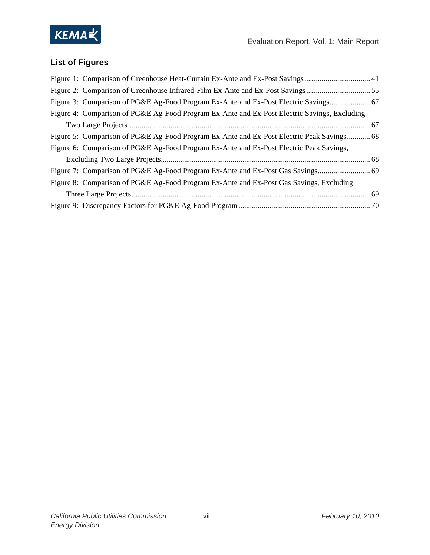

### **List of Figures**

| Figure 1: Comparison of Greenhouse Heat-Curtain Ex-Ante and Ex-Post Savings 41               |  |
|----------------------------------------------------------------------------------------------|--|
| Figure 2: Comparison of Greenhouse Infrared-Film Ex-Ante and Ex-Post Savings55               |  |
|                                                                                              |  |
| Figure 4: Comparison of PG&E Ag-Food Program Ex-Ante and Ex-Post Electric Savings, Excluding |  |
|                                                                                              |  |
| Figure 5: Comparison of PG&E Ag-Food Program Ex-Ante and Ex-Post Electric Peak Savings 68    |  |
| Figure 6: Comparison of PG&E Ag-Food Program Ex-Ante and Ex-Post Electric Peak Savings,      |  |
|                                                                                              |  |
|                                                                                              |  |
| Figure 8: Comparison of PG&E Ag-Food Program Ex-Ante and Ex-Post Gas Savings, Excluding      |  |
|                                                                                              |  |
|                                                                                              |  |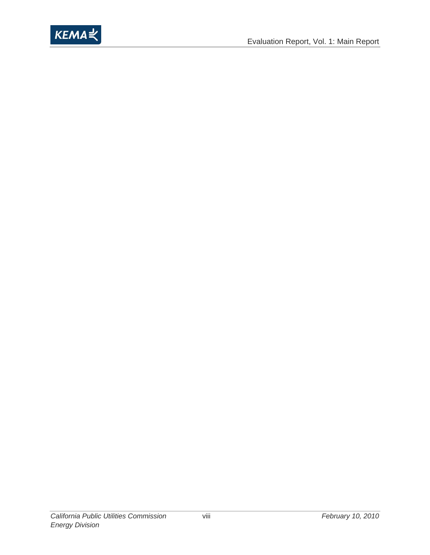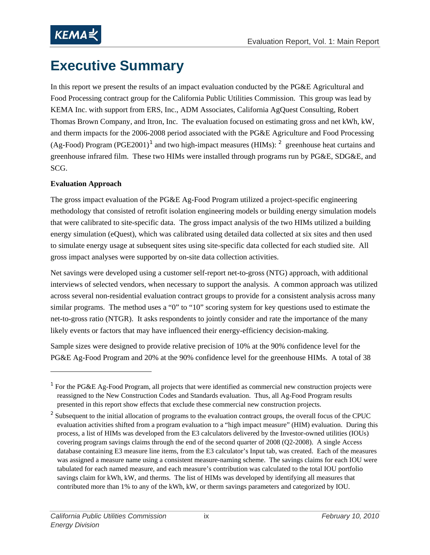

# <span id="page-10-0"></span>**Executive Summary**

In this report we present the results of an impact evaluation conducted by the PG&E Agricultural and Food Processing contract group for the California Public Utilities Commission. This group was lead by KEMA Inc. with support from ERS, Inc., ADM Associates, California AgQuest Consulting, Robert Thomas Brown Company, and Itron, Inc. The evaluation focused on estimating gross and net kWh, kW, and therm impacts for the 2006-2008 period associated with the PG&E Agriculture and Food Processing (Ag-Food) Program (PGE200[1](#page-10-1))<sup>1</sup> and two high-impact measures (HIMs): <sup>[2](#page-10-2)</sup> greenhouse heat curtains and greenhouse infrared film. These two HIMs were installed through programs run by PG&E, SDG&E, and SCG.

### **Evaluation Approach**

l

The gross impact evaluation of the PG&E Ag-Food Program utilized a project-specific engineering methodology that consisted of retrofit isolation engineering models or building energy simulation models that were calibrated to site-specific data. The gross impact analysis of the two HIMs utilized a building energy simulation (eQuest), which was calibrated using detailed data collected at six sites and then used to simulate energy usage at subsequent sites using site-specific data collected for each studied site. All gross impact analyses were supported by on-site data collection activities.

Net savings were developed using a customer self-report net-to-gross (NTG) approach, with additional interviews of selected vendors, when necessary to support the analysis. A common approach was utilized across several non-residential evaluation contract groups to provide for a consistent analysis across many similar programs. The method uses a "0" to "10" scoring system for key questions used to estimate the net-to-gross ratio (NTGR). It asks respondents to jointly consider and rate the importance of the many likely events or factors that may have influenced their energy-efficiency decision-making.

Sample sizes were designed to provide relative precision of 10% at the 90% confidence level for the PG&E Ag-Food Program and 20% at the 90% confidence level for the greenhouse HIMs. A total of 38

<span id="page-10-1"></span><sup>&</sup>lt;sup>1</sup> For the PG&E Ag-Food Program, all projects that were identified as commercial new construction projects were reassigned to the New Construction Codes and Standards evaluation. Thus, all Ag-Food Program results presented in this report show effects that exclude these commercial new construction projects.

<span id="page-10-2"></span> $2^2$  Subsequent to the initial allocation of programs to the evaluation contract groups, the overall focus of the CPUC evaluation activities shifted from a program evaluation to a "high impact measure" (HIM) evaluation. During this process, a list of HIMs was developed from the E3 calculators delivered by the Investor-owned utilities (IOUs) covering program savings claims through the end of the second quarter of 2008 (Q2-2008). A single Access database containing E3 measure line items, from the E3 calculator's Input tab, was created. Each of the measures was assigned a measure name using a consistent measure-naming scheme. The savings claims for each IOU were tabulated for each named measure, and each measure's contribution was calculated to the total IOU portfolio savings claim for kWh, kW, and therms. The list of HIMs was developed by identifying all measures that contributed more than 1% to any of the kWh, kW, or therm savings parameters and categorized by IOU.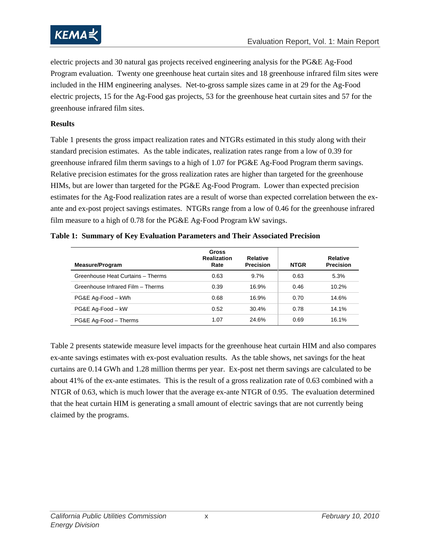

electric projects and 30 natural gas projects received engineering analysis for the PG&E Ag-Food Program evaluation. Twenty one greenhouse heat curtain sites and 18 greenhouse infrared film sites were included in the HIM engineering analyses. Net-to-gross sample sizes came in at 29 for the Ag-Food electric projects, 15 for the Ag-Food gas projects, 53 for the greenhouse heat curtain sites and 57 for the greenhouse infrared film sites.

#### **Results**

[Table 1](#page-11-0) presents the gross impact realization rates and NTGRs estimated in this study along with their standard precision estimates. As the table indicates, realization rates range from a low of 0.39 for greenhouse infrared film therm savings to a high of 1.07 for PG&E Ag-Food Program therm savings. Relative precision estimates for the gross realization rates are higher than targeted for the greenhouse HIMs, but are lower than targeted for the PG&E Ag-Food Program. Lower than expected precision estimates for the Ag-Food realization rates are a result of worse than expected correlation between the exante and ex-post project savings estimates. NTGRs range from a low of 0.46 for the greenhouse infrared film measure to a high of 0.78 for the PG&E Ag-Food Program kW savings.

#### <span id="page-11-0"></span>**Table 1: Summary of Key Evaluation Parameters and Their Associated Precision**

| <b>Measure/Program</b>            | <b>Gross</b><br><b>Realization</b><br>Rate | <b>Relative</b><br><b>Precision</b> | <b>NTGR</b> | Relative<br><b>Precision</b> |
|-----------------------------------|--------------------------------------------|-------------------------------------|-------------|------------------------------|
| Greenhouse Heat Curtains - Therms | 0.63                                       | 9.7%                                | 0.63        | 5.3%                         |
| Greenhouse Infrared Film - Therms | 0.39                                       | 16.9%                               | 0.46        | 10.2%                        |
| PG&E Ag-Food - kWh                | 0.68                                       | 16.9%                               | 0.70        | 14.6%                        |
| PG&E Ag-Food - kW                 | 0.52                                       | 30.4%                               | 0.78        | 14.1%                        |
| PG&E Ag-Food - Therms             | 1.07                                       | 24.6%                               | 0.69        | 16.1%                        |

[Table 2](#page-12-0) presents statewide measure level impacts for the greenhouse heat curtain HIM and also compares ex-ante savings estimates with ex-post evaluation results. As the table shows, net savings for the heat curtains are 0.14 GWh and 1.28 million therms per year. Ex-post net therm savings are calculated to be about 41% of the ex-ante estimates. This is the result of a gross realization rate of 0.63 combined with a NTGR of 0.63, which is much lower that the average ex-ante NTGR of 0.95. The evaluation determined that the heat curtain HIM is generating a small amount of electric savings that are not currently being claimed by the programs.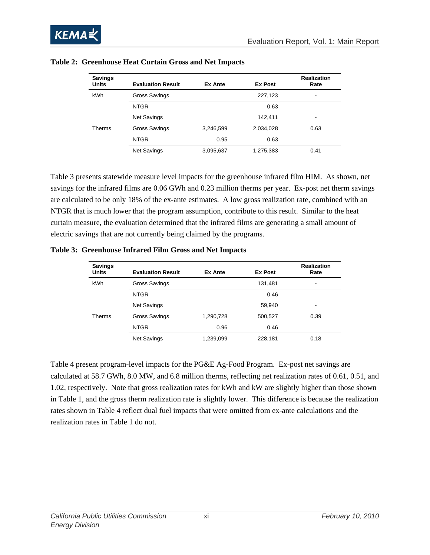

| <b>Savings</b><br><b>Units</b> | <b>Evaluation Result</b> | Ex Ante   | <b>Ex Post</b> | <b>Realization</b><br>Rate |
|--------------------------------|--------------------------|-----------|----------------|----------------------------|
| kWh                            | Gross Savings            |           | 227,123        | -                          |
|                                | <b>NTGR</b>              |           | 0.63           |                            |
|                                | <b>Net Savings</b>       |           | 142,411        | -                          |
| Therms                         | Gross Savings            | 3,246,599 | 2,034,028      | 0.63                       |
|                                | <b>NTGR</b>              | 0.95      | 0.63           |                            |
|                                | <b>Net Savings</b>       | 3,095,637 | 1,275,383      | 0.41                       |

<span id="page-12-0"></span>**Table 2: Greenhouse Heat Curtain Gross and Net Impacts** 

[Table 3](#page-12-1) presents statewide measure level impacts for the greenhouse infrared film HIM. As shown, net savings for the infrared films are 0.06 GWh and 0.23 million therms per year. Ex-post net therm savings are calculated to be only 18% of the ex-ante estimates. A low gross realization rate, combined with an NTGR that is much lower that the program assumption, contribute to this result. Similar to the heat curtain measure, the evaluation determined that the infrared films are generating a small amount of electric savings that are not currently being claimed by the programs.

| <b>Savings</b><br>Units | <b>Evaluation Result</b> | Ex Ante   | <b>Ex Post</b> | <b>Realization</b><br>Rate |
|-------------------------|--------------------------|-----------|----------------|----------------------------|
| <b>kWh</b>              | Gross Savings            |           | 131,481        | -                          |
|                         | <b>NTGR</b>              |           | 0.46           |                            |
|                         | <b>Net Savings</b>       |           | 59,940         | $\overline{\phantom{0}}$   |
| Therms                  | Gross Savings            | 1,290,728 | 500,527        | 0.39                       |
|                         | <b>NTGR</b>              | 0.96      | 0.46           |                            |
|                         | <b>Net Savings</b>       | 1,239,099 | 228,181        | 0.18                       |

<span id="page-12-1"></span>**Table 3: Greenhouse Infrared Film Gross and Net Impacts** 

[Table 4](#page-13-0) present program-level impacts for the PG&E Ag-Food Program. Ex-post net savings are calculated at 58.7 GWh, 8.0 MW, and 6.8 million therms, reflecting net realization rates of 0.61, 0.51, and 1.02, respectively. Note that gross realization rates for kWh and kW are slightly higher than those shown in Table 1, and the gross therm realization rate is slightly lower. This difference is because the realization rates shown in Table 4 reflect dual fuel impacts that were omitted from ex-ante calculations and the realization rates in Table 1 do not.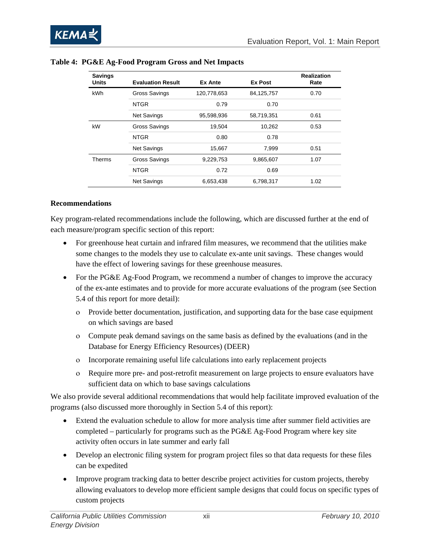

| <b>Savings</b><br><b>Units</b> | <b>Evaluation Result</b> | Ex Ante     | <b>Ex Post</b> | <b>Realization</b><br>Rate |
|--------------------------------|--------------------------|-------------|----------------|----------------------------|
| kWh                            | Gross Savings            | 120,778,653 | 84,125,757     | 0.70                       |
|                                | <b>NTGR</b>              | 0.79        | 0.70           |                            |
|                                | <b>Net Savings</b>       | 95,598,936  | 58,719,351     | 0.61                       |
| kW                             | Gross Savings            | 19,504      | 10,262         | 0.53                       |
|                                | <b>NTGR</b>              | 0.80        | 0.78           |                            |
|                                | <b>Net Savings</b>       | 15,667      | 7,999          | 0.51                       |
| Therms                         | Gross Savings            | 9,229,753   | 9,865,607      | 1.07                       |
|                                | <b>NTGR</b>              | 0.72        | 0.69           |                            |
|                                | <b>Net Savings</b>       | 6,653,438   | 6,798,317      | 1.02                       |

### <span id="page-13-0"></span>**Table 4: PG&E Ag-Food Program Gross and Net Impacts**

#### **Recommendations**

Key program-related recommendations include the following, which are discussed further at the end of each measure/program specific section of this report:

- For greenhouse heat curtain and infrared film measures, we recommend that the utilities make some changes to the models they use to calculate ex-ante unit savings. These changes would have the effect of lowering savings for these greenhouse measures.
- For the PG&E Ag-Food Program, we recommend a number of changes to improve the accuracy of the ex-ante estimates and to provide for more accurate evaluations of the program (see Section 5.4 of this report for more detail):
	- ο Provide better documentation, justification, and supporting data for the base case equipment on which savings are based
	- ο Compute peak demand savings on the same basis as defined by the evaluations (and in the Database for Energy Efficiency Resources) (DEER)
	- ο Incorporate remaining useful life calculations into early replacement projects
	- ο Require more pre- and post-retrofit measurement on large projects to ensure evaluators have sufficient data on which to base savings calculations

We also provide several additional recommendations that would help facilitate improved evaluation of the programs (also discussed more thoroughly in Section 5.4 of this report):

- Extend the evaluation schedule to allow for more analysis time after summer field activities are completed – particularly for programs such as the PG&E Ag-Food Program where key site activity often occurs in late summer and early fall
- Develop an electronic filing system for program project files so that data requests for these files can be expedited
- Improve program tracking data to better describe project activities for custom projects, thereby allowing evaluators to develop more efficient sample designs that could focus on specific types of custom projects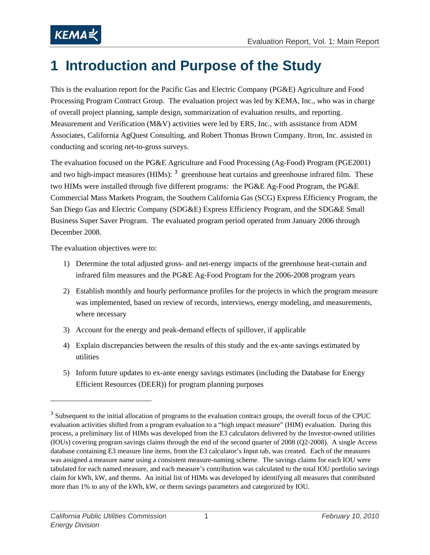

# <span id="page-14-0"></span>**Introduction and Purpose of the Study**

This is the evaluation report for the Pacific Gas and Electric Company (PG&E) Agriculture and Food Processing Program Contract Group. The evaluation project was led by KEMA, Inc., who was in charge of overall project planning, sample design, summarization of evaluation results, and reporting. Measurement and Verification (M&V) activities were led by ERS, Inc., with assistance from ADM Associates, California AgQuest Consulting, and Robert Thomas Brown Company. Itron, Inc. assisted in conducting and scoring net-to-gross surveys.

The evaluation focused on the PG&E Agriculture and Food Processing (Ag-Food) Program (PGE2001) and two high-impact measures (HIMs): <sup>[3](#page-14-1)</sup> greenhouse heat curtains and greenhouse infrared film. These two HIMs were installed through five different programs: the PG&E Ag-Food Program, the PG&E Commercial Mass Markets Program, the Southern California Gas (SCG) Express Efficiency Program, the San Diego Gas and Electric Company (SDG&E) Express Efficiency Program, and the SDG&E Small Business Super Saver Program. The evaluated program period operated from January 2006 through December 2008.

The evaluation objectives were to:

- 1) Determine the total adjusted gross- and net-energy impacts of the greenhouse heat-curtain and infrared film measures and the PG&E Ag-Food Program for the 2006-2008 program years
- 2) Establish monthly and hourly performance profiles for the projects in which the program measure was implemented, based on review of records, interviews, energy modeling, and measurements, where necessary
- 3) Account for the energy and peak-demand effects of spillover, if applicable
- 4) Explain discrepancies between the results of this study and the ex-ante savings estimated by utilities
- 5) Inform future updates to ex-ante energy savings estimates (including the Database for Energy Efficient Resources (DEER)) for program planning purposes

1

<span id="page-14-1"></span><sup>&</sup>lt;sup>3</sup> Subsequent to the initial allocation of programs to the evaluation contract groups, the overall focus of the CPUC evaluation activities shifted from a program evaluation to a "high impact measure" (HIM) evaluation. During this process, a preliminary list of HIMs was developed from the E3 calculators delivered by the Investor-owned utilities (IOUs) covering program savings claims through the end of the second quarter of 2008 (Q2-2008). A single Access database containing E3 measure line items, from the E3 calculator's Input tab, was created. Each of the measures was assigned a measure name using a consistent measure-naming scheme. The savings claims for each IOU were tabulated for each named measure, and each measure's contribution was calculated to the total IOU portfolio savings claim for kWh, kW, and therms. An initial list of HIMs was developed by identifying all measures that contributed more than 1% to any of the kWh, kW, or therm savings parameters and categorized by IOU.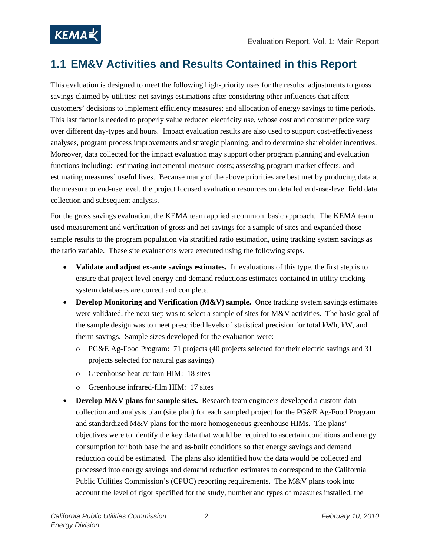

## <span id="page-15-0"></span>**1.1 EM&V Activities and Results Contained in this Report**

This evaluation is designed to meet the following high-priority uses for the results: adjustments to gross savings claimed by utilities: net savings estimations after considering other influences that affect customers' decisions to implement efficiency measures; and allocation of energy savings to time periods. This last factor is needed to properly value reduced electricity use, whose cost and consumer price vary over different day-types and hours. Impact evaluation results are also used to support cost-effectiveness analyses, program process improvements and strategic planning, and to determine shareholder incentives. Moreover, data collected for the impact evaluation may support other program planning and evaluation functions including: estimating incremental measure costs; assessing program market effects; and estimating measures' useful lives. Because many of the above priorities are best met by producing data at the measure or end-use level, the project focused evaluation resources on detailed end-use-level field data collection and subsequent analysis.

For the gross savings evaluation, the KEMA team applied a common, basic approach. The KEMA team used measurement and verification of gross and net savings for a sample of sites and expanded those sample results to the program population via stratified ratio estimation, using tracking system savings as the ratio variable. These site evaluations were executed using the following steps.

- **Validate and adjust ex-ante savings estimates.** In evaluations of this type, the first step is to ensure that project-level energy and demand reductions estimates contained in utility trackingsystem databases are correct and complete.
- **Develop Monitoring and Verification (M&V) sample.** Once tracking system savings estimates were validated, the next step was to select a sample of sites for M&V activities. The basic goal of the sample design was to meet prescribed levels of statistical precision for total kWh, kW, and therm savings. Sample sizes developed for the evaluation were:
	- ο PG&E Ag-Food Program: 71 projects (40 projects selected for their electric savings and 31 projects selected for natural gas savings)
	- ο Greenhouse heat-curtain HIM: 18 sites
	- ο Greenhouse infrared-film HIM: 17 sites
- **Develop M&V plans for sample sites.** Research team engineers developed a custom data collection and analysis plan (site plan) for each sampled project for the PG&E Ag-Food Program and standardized M&V plans for the more homogeneous greenhouse HIMs. The plans' objectives were to identify the key data that would be required to ascertain conditions and energy consumption for both baseline and as-built conditions so that energy savings and demand reduction could be estimated. The plans also identified how the data would be collected and processed into energy savings and demand reduction estimates to correspond to the California Public Utilities Commission's (CPUC) reporting requirements. The M&V plans took into account the level of rigor specified for the study, number and types of measures installed, the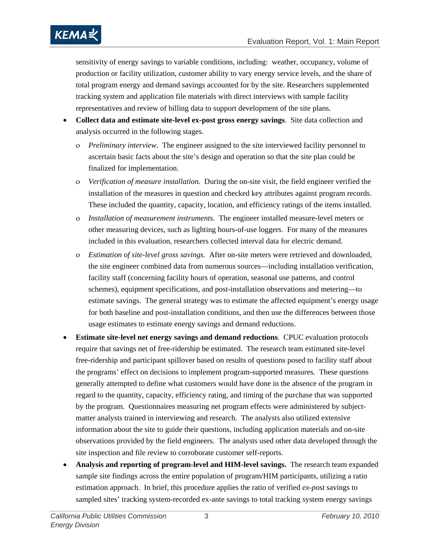

sensitivity of energy savings to variable conditions, including: weather, occupancy, volume of production or facility utilization, customer ability to vary energy service levels, and the share of total program energy and demand savings accounted for by the site. Researchers supplemented tracking system and application file materials with direct interviews with sample facility representatives and review of billing data to support development of the site plans.

- **Collect data and estimate site-level ex-post gross energy savings**. Site data collection and analysis occurred in the following stages.
	- ο *Preliminary interview.* The engineer assigned to the site interviewed facility personnel to ascertain basic facts about the site's design and operation so that the site plan could be finalized for implementation.
	- ο *Verification of measure installation.* During the on-site visit, the field engineer verified the installation of the measures in question and checked key attributes against program records. These included the quantity, capacity, location, and efficiency ratings of the items installed.
	- ο *Installation of measurement instruments.* The engineer installed measure-level meters or other measuring devices, such as lighting hours-of-use loggers. For many of the measures included in this evaluation, researchers collected interval data for electric demand.
	- ο *Estimation of site-level gross savings.* After on-site meters were retrieved and downloaded, the site engineer combined data from numerous sources—including installation verification, facility staff (concerning facility hours of operation, seasonal use patterns, and control schemes), equipment specifications, and post-installation observations and metering—to estimate savings. The general strategy was to estimate the affected equipment's energy usage for both baseline and post-installation conditions, and then use the differences between those usage estimates to estimate energy savings and demand reductions.
- **Estimate site-level net energy savings and demand reductions***.* CPUC evaluation protocols require that savings net of free-ridership be estimated. The research team estimated site-level free-ridership and participant spillover based on results of questions posed to facility staff about the programs' effect on decisions to implement program-supported measures. These questions generally attempted to define what customers would have done in the absence of the program in regard to the quantity, capacity, efficiency rating, and timing of the purchase that was supported by the program. Questionnaires measuring net program effects were administered by subjectmatter analysts trained in interviewing and research. The analysts also utilized extensive information about the site to guide their questions, including application materials and on-site observations provided by the field engineers. The analysts used other data developed through the site inspection and file review to corroborate customer self-reports.
- **Analysis and reporting of program-level and HIM-level savings.** The research team expanded sample site findings across the entire population of program/HIM participants, utilizing a ratio estimation approach. In brief, this procedure applies the ratio of verified *ex-post* savings to sampled sites' tracking system-recorded ex-ante savings to total tracking system energy savings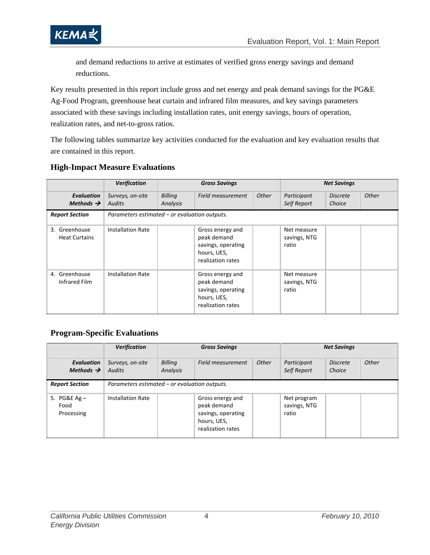

and demand reductions to arrive at estimates of verified gross energy savings and demand reductions.

Key results presented in this report include gross and net energy and peak demand savings for the PG&E Ag-Food Program, greenhouse heat curtain and infrared film measures, and key savings parameters associated with these savings including installation rates, unit energy savings, hours of operation, realization rates, and net-to-gross ratios.

The following tables summarize key activities conducted for the evaluation and key evaluation results that are contained in this report.

|                                            | <b>Verification</b>                           | <b>Gross Savings</b>       |                                                                                           | <b>Net Savings</b> |                                      |                           |       |
|--------------------------------------------|-----------------------------------------------|----------------------------|-------------------------------------------------------------------------------------------|--------------------|--------------------------------------|---------------------------|-------|
| <b>Evaluation</b><br>Methods $\rightarrow$ | Surveys, on-site<br><b>Audits</b>             | <b>Billing</b><br>Analysis | Field measurement                                                                         | Other              | Participant<br>Self Report           | <i>Discrete</i><br>Choice | Other |
| <b>Report Section</b>                      | Parameters estimated – or evaluation outputs. |                            |                                                                                           |                    |                                      |                           |       |
| 3. Greenhouse<br><b>Heat Curtains</b>      | Installation Rate                             |                            | Gross energy and<br>peak demand<br>savings, operating<br>hours, UES,<br>realization rates |                    | Net measure<br>savings, NTG<br>ratio |                           |       |
| 4. Greenhouse<br>Infrared Film             | Installation Rate                             |                            | Gross energy and<br>peak demand<br>savings, operating<br>hours, UES,<br>realization rates |                    | Net measure<br>savings, NTG<br>ratio |                           |       |

### **High-Impact Measure Evaluations**

### **Program-Specific Evaluations**

|                                            | <b>Verification</b>               | <b>Gross Savings</b>                          |                                                                                           | <b>Net Savings</b> |                                      |                           |       |
|--------------------------------------------|-----------------------------------|-----------------------------------------------|-------------------------------------------------------------------------------------------|--------------------|--------------------------------------|---------------------------|-------|
| <b>Evaluation</b><br>Methods $\rightarrow$ | Surveys, on-site<br><b>Audits</b> | Billing<br>Analysis                           | Field measurement                                                                         | Other              | Participant<br>Self Report           | <b>Discrete</b><br>Choice | Other |
| <b>Report Section</b>                      |                                   | Parameters estimated – or evaluation outputs. |                                                                                           |                    |                                      |                           |       |
| 5. PG&E $Ag -$<br>Food<br>Processing       | <b>Installation Rate</b>          |                                               | Gross energy and<br>peak demand<br>savings, operating<br>hours, UES,<br>realization rates |                    | Net program<br>savings, NTG<br>ratio |                           |       |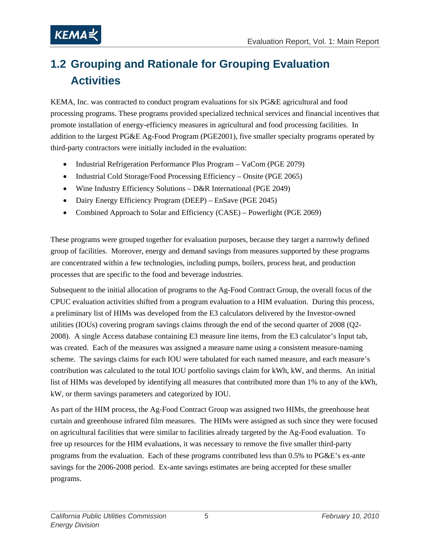

## <span id="page-18-0"></span>**1.2 Grouping and Rationale for Grouping Evaluation Activities**

KEMA, Inc. was contracted to conduct program evaluations for six PG&E agricultural and food processing programs. These programs provided specialized technical services and financial incentives that promote installation of energy-efficiency measures in agricultural and food processing facilities. In addition to the largest PG&E Ag-Food Program (PGE2001), five smaller specialty programs operated by third-party contractors were initially included in the evaluation:

- Industrial Refrigeration Performance Plus Program VaCom (PGE 2079)
- Industrial Cold Storage/Food Processing Efficiency Onsite (PGE 2065)
- Wine Industry Efficiency Solutions D&R International (PGE 2049)
- Dairy Energy Efficiency Program (DEEP) EnSave (PGE 2045)
- Combined Approach to Solar and Efficiency (CASE) Powerlight (PGE 2069)

These programs were grouped together for evaluation purposes, because they target a narrowly defined group of facilities. Moreover, energy and demand savings from measures supported by these programs are concentrated within a few technologies, including pumps, boilers, process heat, and production processes that are specific to the food and beverage industries.

Subsequent to the initial allocation of programs to the Ag-Food Contract Group, the overall focus of the CPUC evaluation activities shifted from a program evaluation to a HIM evaluation. During this process, a preliminary list of HIMs was developed from the E3 calculators delivered by the Investor-owned utilities (IOUs) covering program savings claims through the end of the second quarter of 2008 (Q2- 2008). A single Access database containing E3 measure line items, from the E3 calculator's Input tab, was created. Each of the measures was assigned a measure name using a consistent measure-naming scheme. The savings claims for each IOU were tabulated for each named measure, and each measure's contribution was calculated to the total IOU portfolio savings claim for kWh, kW, and therms. An initial list of HIMs was developed by identifying all measures that contributed more than 1% to any of the kWh, kW, or therm savings parameters and categorized by IOU.

As part of the HIM process, the Ag-Food Contract Group was assigned two HIMs, the greenhouse heat curtain and greenhouse infrared film measures. The HIMs were assigned as such since they were focused on agricultural facilities that were similar to facilities already targeted by the Ag-Food evaluation. To free up resources for the HIM evaluations, it was necessary to remove the five smaller third-party programs from the evaluation. Each of these programs contributed less than 0.5% to PG&E's ex-ante savings for the 2006-2008 period. Ex-ante savings estimates are being accepted for these smaller programs.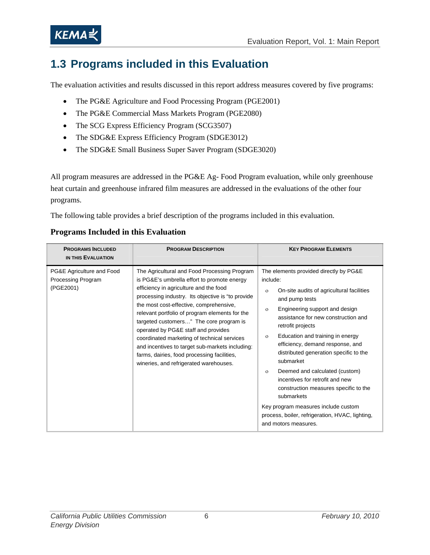

## <span id="page-19-0"></span>**1.3 Programs included in this Evaluation**

The evaluation activities and results discussed in this report address measures covered by five programs:

- The PG&E Agriculture and Food Processing Program (PGE2001)
- The PG&E Commercial Mass Markets Program (PGE2080)
- The SCG Express Efficiency Program (SCG3507)
- The SDG&E Express Efficiency Program (SDGE3012)
- The SDG&E Small Business Super Saver Program (SDGE3020)

All program measures are addressed in the PG&E Ag- Food Program evaluation, while only greenhouse heat curtain and greenhouse infrared film measures are addressed in the evaluations of the other four programs.

The following table provides a brief description of the programs included in this evaluation.

| <b>PROGRAMS INCLUDED</b><br>IN THIS EVALUATION                      | <b>PROGRAM DESCRIPTION</b>                                                                                                                                                                                                                                                                                                                                                                                                                                                                                                                                            | <b>KEY PROGRAM ELEMENTS</b>                                                                                                                                                                                                                                                                                                                                                                                                                                                                                                                                                                                                                    |
|---------------------------------------------------------------------|-----------------------------------------------------------------------------------------------------------------------------------------------------------------------------------------------------------------------------------------------------------------------------------------------------------------------------------------------------------------------------------------------------------------------------------------------------------------------------------------------------------------------------------------------------------------------|------------------------------------------------------------------------------------------------------------------------------------------------------------------------------------------------------------------------------------------------------------------------------------------------------------------------------------------------------------------------------------------------------------------------------------------------------------------------------------------------------------------------------------------------------------------------------------------------------------------------------------------------|
| PG&E Agriculture and Food<br><b>Processing Program</b><br>(PGE2001) | The Agricultural and Food Processing Program<br>is PG&E's umbrella effort to promote energy<br>efficiency in agriculture and the food<br>processing industry. Its objective is "to provide"<br>the most cost-effective, comprehensive,<br>relevant portfolio of program elements for the<br>targeted customers" The core program is<br>operated by PG&E staff and provides<br>coordinated marketing of technical services<br>and incentives to target sub-markets including:<br>farms, dairies, food processing facilities,<br>wineries, and refrigerated warehouses. | The elements provided directly by PG&E<br>include:<br>On-site audits of agricultural facilities<br>$\Omega$<br>and pump tests<br>Engineering support and design<br>$\circ$<br>assistance for new construction and<br>retrofit projects<br>Education and training in energy<br>$\mathbf{O}$<br>efficiency, demand response, and<br>distributed generation specific to the<br>submarket<br>Deemed and calculated (custom)<br>$\circ$<br>incentives for retrofit and new<br>construction measures specific to the<br>submarkets<br>Key program measures include custom<br>process, boiler, refrigeration, HVAC, lighting,<br>and motors measures. |

### **Programs Included in this Evaluation**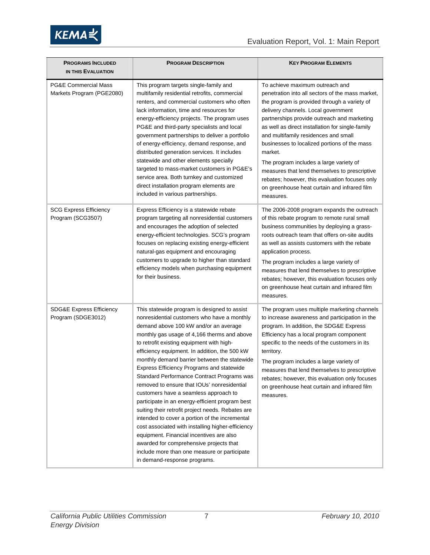

| <b>PROGRAMS INCLUDED</b><br>IN THIS EVALUATION               | <b>PROGRAM DESCRIPTION</b>                                                                                                                                                                                                                                                                                                                                                                                                                                                                                                                                                                                                                                                                                                                                                                                                                                                                                 | <b>KEY PROGRAM ELEMENTS</b>                                                                                                                                                                                                                                                                                                                                                                                                                                                                                                                                                                 |
|--------------------------------------------------------------|------------------------------------------------------------------------------------------------------------------------------------------------------------------------------------------------------------------------------------------------------------------------------------------------------------------------------------------------------------------------------------------------------------------------------------------------------------------------------------------------------------------------------------------------------------------------------------------------------------------------------------------------------------------------------------------------------------------------------------------------------------------------------------------------------------------------------------------------------------------------------------------------------------|---------------------------------------------------------------------------------------------------------------------------------------------------------------------------------------------------------------------------------------------------------------------------------------------------------------------------------------------------------------------------------------------------------------------------------------------------------------------------------------------------------------------------------------------------------------------------------------------|
| <b>PG&amp;E Commercial Mass</b><br>Markets Program (PGE2080) | This program targets single-family and<br>multifamily residential retrofits, commercial<br>renters, and commercial customers who often<br>lack information, time and resources for<br>energy-efficiency projects. The program uses<br>PG&E and third-party specialists and local<br>government partnerships to deliver a portfolio<br>of energy-efficiency, demand response, and<br>distributed generation services. It includes<br>statewide and other elements specially<br>targeted to mass-market customers in PG&E's<br>service area. Both turnkey and customized<br>direct installation program elements are<br>included in various partnerships.                                                                                                                                                                                                                                                    | To achieve maximum outreach and<br>penetration into all sectors of the mass market,<br>the program is provided through a variety of<br>delivery channels. Local government<br>partnerships provide outreach and marketing<br>as well as direct installation for single-family<br>and multifamily residences and small<br>businesses to localized portions of the mass<br>market.<br>The program includes a large variety of<br>measures that lend themselves to prescriptive<br>rebates; however, this evaluation focuses only<br>on greenhouse heat curtain and infrared film<br>measures. |
| <b>SCG Express Efficiency</b><br>Program (SCG3507)           | Express Efficiency is a statewide rebate<br>program targeting all nonresidential customers<br>and encourages the adoption of selected<br>energy-efficient technologies. SCG's program<br>focuses on replacing existing energy-efficient<br>natural-gas equipment and encouraging<br>customers to upgrade to higher than standard<br>efficiency models when purchasing equipment<br>for their business.                                                                                                                                                                                                                                                                                                                                                                                                                                                                                                     | The 2006-2008 program expands the outreach<br>of this rebate program to remote rural small<br>business communities by deploying a grass-<br>roots outreach team that offers on-site audits<br>as well as assists customers with the rebate<br>application process.<br>The program includes a large variety of<br>measures that lend themselves to prescriptive<br>rebates; however, this evaluation focuses only<br>on greenhouse heat curtain and infrared film<br>measures.                                                                                                               |
| <b>SDG&amp;E Express Efficiency</b><br>Program (SDGE3012)    | This statewide program is designed to assist<br>nonresidential customers who have a monthly<br>demand above 100 kW and/or an average<br>monthly gas usage of 4,166 therms and above<br>to retrofit existing equipment with high-<br>efficiency equipment. In addition, the 500 kW<br>monthly demand barrier between the statewide<br>Express Efficiency Programs and statewide<br>Standard Performance Contract Programs was<br>removed to ensure that IOUs' nonresidential<br>customers have a seamless approach to<br>participate in an energy-efficient program best<br>suiting their retrofit project needs. Rebates are<br>intended to cover a portion of the incremental<br>cost associated with installing higher-efficiency<br>equipment. Financial incentives are also<br>awarded for comprehensive projects that<br>include more than one measure or participate<br>in demand-response programs. | The program uses multiple marketing channels<br>to increase awareness and participation in the<br>program. In addition, the SDG&E Express<br>Efficiency has a local program component<br>specific to the needs of the customers in its<br>territory.<br>The program includes a large variety of<br>measures that lend themselves to prescriptive<br>rebates; however, this evaluation only focuses<br>on greenhouse heat curtain and infrared film<br>measures.                                                                                                                             |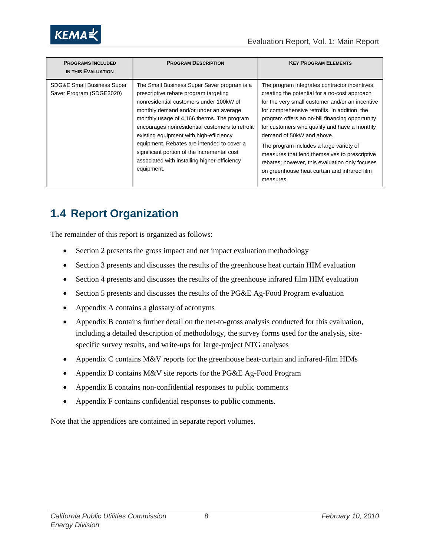

| <b>PROGRAMS INCLUDED</b><br>IN THIS EVALUATION                    | <b>PROGRAM DESCRIPTION</b>                                                                                                                                                                                                                                                                                                                                                                                                                                                       | <b>KEY PROGRAM ELEMENTS</b>                                                                                                                                                                                                                                                                                                                                                                                                                                                                                                                   |
|-------------------------------------------------------------------|----------------------------------------------------------------------------------------------------------------------------------------------------------------------------------------------------------------------------------------------------------------------------------------------------------------------------------------------------------------------------------------------------------------------------------------------------------------------------------|-----------------------------------------------------------------------------------------------------------------------------------------------------------------------------------------------------------------------------------------------------------------------------------------------------------------------------------------------------------------------------------------------------------------------------------------------------------------------------------------------------------------------------------------------|
| <b>SDG&amp;E Small Business Super</b><br>Saver Program (SDGE3020) | The Small Business Super Saver program is a<br>prescriptive rebate program targeting<br>nonresidential customers under 100kW of<br>monthly demand and/or under an average<br>monthly usage of 4,166 therms. The program<br>encourages nonresidential customers to retrofit<br>existing equipment with high-efficiency<br>equipment. Rebates are intended to cover a<br>significant portion of the incremental cost<br>associated with installing higher-efficiency<br>equipment. | The program integrates contractor incentives,<br>creating the potential for a no-cost approach<br>for the very small customer and/or an incentive<br>for comprehensive retrofits. In addition, the<br>program offers an on-bill financing opportunity<br>for customers who qualify and have a monthly<br>demand of 50kW and above.<br>The program includes a large variety of<br>measures that lend themselves to prescriptive<br>rebates; however, this evaluation only focuses<br>on greenhouse heat curtain and infrared film<br>measures. |

## <span id="page-21-0"></span>**1.4 Report Organization**

The remainder of this report is organized as follows:

- Section 2 presents the gross impact and net impact evaluation methodology
- Section 3 presents and discusses the results of the greenhouse heat curtain HIM evaluation
- Section 4 presents and discusses the results of the greenhouse infrared film HIM evaluation
- Section 5 presents and discusses the results of the PG&E Ag-Food Program evaluation
- Appendix A contains a glossary of acronyms
- Appendix B contains further detail on the net-to-gross analysis conducted for this evaluation, including a detailed description of methodology, the survey forms used for the analysis, sitespecific survey results, and write-ups for large-project NTG analyses
- Appendix C contains M&V reports for the greenhouse heat-curtain and infrared-film HIMs
- Appendix D contains M&V site reports for the PG&E Ag-Food Program
- Appendix E contains non-confidential responses to public comments
- Appendix F contains confidential responses to public comments.

Note that the appendices are contained in separate report volumes.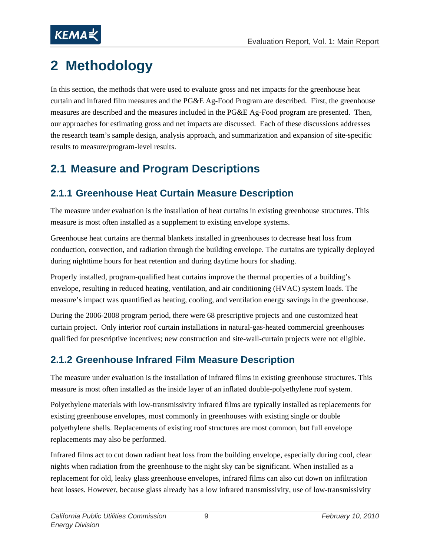

# <span id="page-22-0"></span>**2 Methodology**

In this section, the methods that were used to evaluate gross and net impacts for the greenhouse heat curtain and infrared film measures and the PG&E Ag-Food Program are described. First, the greenhouse measures are described and the measures included in the PG&E Ag-Food program are presented. Then, our approaches for estimating gross and net impacts are discussed. Each of these discussions addresses the research team's sample design, analysis approach, and summarization and expansion of site-specific results to measure/program-level results.

## <span id="page-22-1"></span>**2.1 Measure and Program Descriptions**

### <span id="page-22-2"></span>**2.1.1 Greenhouse Heat Curtain Measure Description**

The measure under evaluation is the installation of heat curtains in existing greenhouse structures. This measure is most often installed as a supplement to existing envelope systems.

Greenhouse heat curtains are thermal blankets installed in greenhouses to decrease heat loss from conduction, convection, and radiation through the building envelope. The curtains are typically deployed during nighttime hours for heat retention and during daytime hours for shading.

Properly installed, program-qualified heat curtains improve the thermal properties of a building's envelope, resulting in reduced heating, ventilation, and air conditioning (HVAC) system loads. The measure's impact was quantified as heating, cooling, and ventilation energy savings in the greenhouse.

During the 2006-2008 program period, there were 68 prescriptive projects and one customized heat curtain project. Only interior roof curtain installations in natural-gas-heated commercial greenhouses qualified for prescriptive incentives; new construction and site-wall-curtain projects were not eligible.

### <span id="page-22-3"></span>**2.1.2 Greenhouse Infrared Film Measure Description**

The measure under evaluation is the installation of infrared films in existing greenhouse structures. This measure is most often installed as the inside layer of an inflated double-polyethylene roof system.

Polyethylene materials with low-transmissivity infrared films are typically installed as replacements for existing greenhouse envelopes, most commonly in greenhouses with existing single or double polyethylene shells. Replacements of existing roof structures are most common, but full envelope replacements may also be performed.

Infrared films act to cut down radiant heat loss from the building envelope, especially during cool, clear nights when radiation from the greenhouse to the night sky can be significant. When installed as a replacement for old, leaky glass greenhouse envelopes, infrared films can also cut down on infiltration heat losses. However, because glass already has a low infrared transmissivity, use of low-transmissivity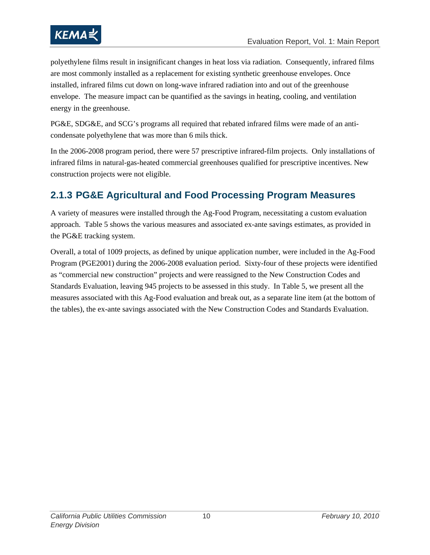

polyethylene films result in insignificant changes in heat loss via radiation. Consequently, infrared films are most commonly installed as a replacement for existing synthetic greenhouse envelopes. Once installed, infrared films cut down on long-wave infrared radiation into and out of the greenhouse envelope. The measure impact can be quantified as the savings in heating, cooling, and ventilation energy in the greenhouse.

PG&E, SDG&E, and SCG's programs all required that rebated infrared films were made of an anticondensate polyethylene that was more than 6 mils thick.

In the 2006-2008 program period, there were 57 prescriptive infrared-film projects. Only installations of infrared films in natural-gas-heated commercial greenhouses qualified for prescriptive incentives. New construction projects were not eligible.

### <span id="page-23-0"></span>**2.1.3 PG&E Agricultural and Food Processing Program Measures**

A variety of measures were installed through the Ag-Food Program, necessitating a custom evaluation approach. [Table 5](#page-24-0) shows the various measures and associated ex-ante savings estimates, as provided in the PG&E tracking system.

Overall, a total of 1009 projects, as defined by unique application number, were included in the Ag-Food Program (PGE2001) during the 2006-2008 evaluation period. Sixty-four of these projects were identified as "commercial new construction" projects and were reassigned to the New Construction Codes and Standards Evaluation, leaving 945 projects to be assessed in this study. In [Table 5,](#page-24-0) we present all the measures associated with this Ag-Food evaluation and break out, as a separate line item (at the bottom of the tables), the ex-ante savings associated with the New Construction Codes and Standards Evaluation.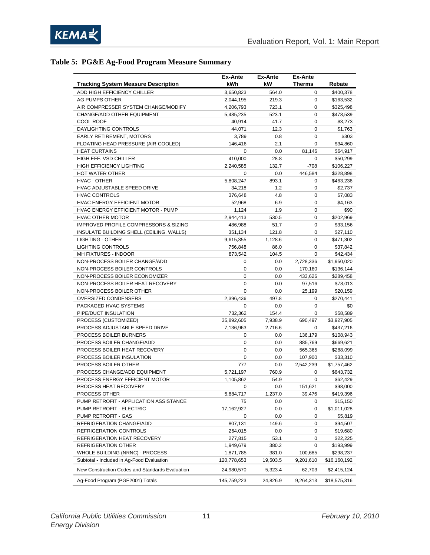

### <span id="page-24-0"></span>**Table 5: PG&E Ag-Food Program Measure Summary**

|                                                                              | Ex-Ante                   | Ex-Ante             | Ex-Ante             |                             |
|------------------------------------------------------------------------------|---------------------------|---------------------|---------------------|-----------------------------|
| <b>Tracking System Measure Description</b>                                   | kWh                       | kW                  | <b>Therms</b>       | Rebate                      |
| ADD HIGH EFFICIENCY CHILLER                                                  | 3,650,823                 | 564.0               | 0                   | \$400,378                   |
| AG PUMPS OTHER                                                               | 2,044,195                 | 219.3               | $\mathbf 0$         | \$163,532                   |
| AIR COMPRESSER SYSTEM CHANGE/MODIFY                                          | 4,206,793                 | 723.1               | 0                   | \$325,498                   |
| CHANGE/ADD OTHER EQUIPMENT                                                   | 5,485,235                 | 523.1               | 0                   | \$478,539                   |
| <b>COOL ROOF</b>                                                             | 40,914                    | 41.7                | 0                   | \$3,273                     |
| DAYLIGHTING CONTROLS                                                         | 44,071                    | 12.3                | 0                   | \$1,763                     |
| EARLY RETIREMENT, MOTORS                                                     | 3,789                     | 0.8                 | 0                   | \$303                       |
| FLOATING HEAD PRESSURE (AIR-COOLED)                                          | 146,416                   | 2.1                 | 0                   | \$34,860                    |
| <b>HEAT CURTAINS</b>                                                         | 0                         | 0.0                 | 81,146              | \$64,917                    |
| HIGH EFF. VSD CHILLER                                                        | 410,000                   | 28.8                | 0                   | \$50,299                    |
| <b>HIGH EFFICIENCY LIGHTING</b>                                              | 2,240,585                 | 132.7               | $-708$              | \$106,227                   |
| HOT WATER OTHER                                                              | 0                         | 0.0                 | 446,584             | \$328,898                   |
| HVAC - OTHER                                                                 | 5,808,247                 | 893.1               | 0                   | \$463,236                   |
| HVAC ADJUSTABLE SPEED DRIVE                                                  | 34,218                    | 1.2                 | 0                   | \$2,737                     |
| <b>HVAC CONTROLS</b>                                                         | 376,648                   | 4.8                 | 0                   | \$7,083                     |
| HVAC ENERGY EFFICIENT MOTOR                                                  | 52,968                    | 6.9                 | 0                   | \$4,163                     |
| HVAC ENERGY EFFICIENT MOTOR - PUMP                                           | 1,124                     | 1.9                 | 0                   | \$90                        |
| <b>HVAC OTHER MOTOR</b>                                                      | 2,944,413                 | 530.5               | 0                   | \$202,969                   |
| IMPROVED PROFILE COMPRESSORS & SIZING                                        | 486,988                   | 51.7                | 0                   | \$33,156                    |
| INSULATE BUILDING SHELL (CEILING, WALLS)                                     | 351,134                   | 121.8               | 0                   | \$27,110                    |
| <b>LIGHTING - OTHER</b>                                                      | 9,615,355                 | 1,128.6             | 0                   | \$471,302                   |
| <b>LIGHTING CONTROLS</b>                                                     | 756,848                   | 86.0                | 0                   | \$37,842                    |
| MH FIXTURES - INDOOR                                                         | 873,542                   | 104.5               | 0                   | \$42,434                    |
| NON-PROCESS BOILER CHANGE/ADD                                                | 0                         | 0.0                 | 2,728,336           | \$1,950,020                 |
| NON-PROCESS BOILER CONTROLS                                                  | 0                         | 0.0                 | 170,180             | \$136,144                   |
| NON-PROCESS BOILER ECONOMIZER                                                | $\mathbf 0$               | 0.0                 | 433,626             | \$289,458                   |
| NON-PROCESS BOILER HEAT RECOVERY                                             | 0                         | 0.0                 | 97,516              | \$78,013                    |
| NON-PROCESS BOILER OTHER                                                     | 0                         | 0.0                 | 25,199              | \$20,159                    |
| OVERSIZED CONDENSERS                                                         | 2,396,436                 | 497.8               | 0                   | \$270,441                   |
| PACKAGED HVAC SYSTEMS                                                        | 0                         | 0.0                 | 0                   | \$0                         |
| PIPE/DUCT INSULATION                                                         | 732,362                   | 154.4               | 0                   | \$58,589                    |
| PROCESS (CUSTOMIZED)                                                         | 35,892,605                | 7,938.9             | 690,497             | \$3,927,905                 |
| PROCESS ADJUSTABLE SPEED DRIVE                                               | 7,136,963                 | 2,716.6             | 0                   | \$437,216                   |
| PROCESS BOILER BURNERS                                                       | 0                         | 0.0                 | 136,179             | \$108,943                   |
| PROCESS BOILER CHANGE/ADD                                                    | 0                         | 0.0                 | 885,769             | \$669,621                   |
| PROCESS BOILER HEAT RECOVERY                                                 | 0                         | 0.0                 | 565,365             | \$288,099                   |
| PROCESS BOILER INSULATION                                                    | 0                         | 0.0                 | 107,900             | \$33,310                    |
| PROCESS BOILER OTHER                                                         | 777                       | 0.0                 | 2,542,239           | \$1,757,462                 |
| PROCESS CHANGE/ADD EQUIPMENT                                                 | 5,721,197                 | 760.9               | 0                   | \$643,732                   |
| PROCESS ENERGY EFFICIENT MOTOR                                               | 1,105,862                 | 54.9                | 0                   | \$62,429                    |
| PROCESS HEAT RECOVERY                                                        |                           | 0.0                 | 151,621             | \$98,000                    |
| PROCESS OTHER                                                                | 5,884,717                 | 1,237.0             | 39,476              | \$419,396                   |
| PUMP RETROFIT - APPLICATION ASSISTANCE                                       | 75                        | 0.0                 | 0                   | \$15,150                    |
| PUMP RETROFIT - ELECTRIC                                                     | 17,162,927                | 0.0                 | 0                   | \$1,011,028                 |
| PUMP RETROFIT - GAS                                                          | 0                         | 0.0                 | 0                   | \$5,819                     |
| REFRIGERATION CHANGE/ADD                                                     | 807,131                   | 149.6               | 0                   |                             |
| REFRIGERATION CONTROLS                                                       | 264,015                   | 0.0                 | 0                   | \$94,507<br>\$19,680        |
|                                                                              | 277,815                   |                     |                     | \$22,225                    |
| REFRIGERATION HEAT RECOVERY                                                  |                           | 53.1                | 0                   |                             |
| <b>REFRIGERATION OTHER</b>                                                   | 1,949,679                 | 380.2               | 0                   | \$193,999                   |
| WHOLE BUILDING (NRNC) - PROCESS<br>Subtotal - Included in Ag-Food Evaluation | 1,871,785                 | 381.0               | 100,685             | \$298,237                   |
| New Construction Codes and Standards Evaluation                              | 120,778,653<br>24,980,570 | 19,503.5<br>5,323.4 | 9,201,610<br>62,703 | \$16,160,192<br>\$2,415,124 |
|                                                                              |                           |                     |                     |                             |
| Ag-Food Program (PGE2001) Totals                                             | 145,759,223               | 24,826.9            | 9,264,313           | \$18,575,316                |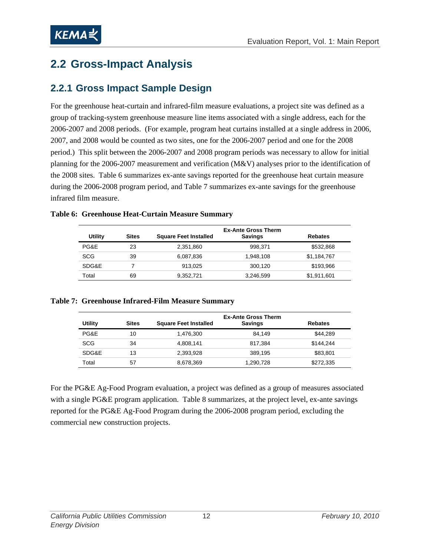## <span id="page-25-0"></span>**2.2 Gross-Impact Analysis**

### <span id="page-25-1"></span>**2.2.1 Gross Impact Sample Design**

For the greenhouse heat-curtain and infrared-film measure evaluations, a project site was defined as a group of tracking-system greenhouse measure line items associated with a single address, each for the 2006-2007 and 2008 periods. (For example, program heat curtains installed at a single address in 2006, 2007, and 2008 would be counted as two sites, one for the 2006-2007 period and one for the 2008 period.) This split between the 2006-2007 and 2008 program periods was necessary to allow for initial planning for the 2006-2007 measurement and verification (M&V) analyses prior to the identification of the 2008 sites. [Table 6](#page-25-2) summarizes ex-ante savings reported for the greenhouse heat curtain measure during the 2006-2008 program period, and [Table 7](#page-25-3) summarizes ex-ante savings for the greenhouse infrared film measure.

| Utility    | <b>Sites</b> | <b>Square Feet Installed</b> | <b>Ex-Ante Gross Therm</b><br><b>Savings</b> | <b>Rebates</b> |
|------------|--------------|------------------------------|----------------------------------------------|----------------|
| PG&E       | 23           | 2.351.860                    | 998.371                                      | \$532,868      |
| <b>SCG</b> | 39           | 6.087.836                    | 1.948.108                                    | \$1,184,767    |
| SDG&E      |              | 913.025                      | 300.120                                      | \$193.966      |
| Total      | 69           | 9,352,721                    | 3,246,599                                    | \$1,911,601    |

#### <span id="page-25-2"></span>**Table 6: Greenhouse Heat-Curtain Measure Summary**

#### <span id="page-25-3"></span>**Table 7: Greenhouse Infrared-Film Measure Summary**

| <b>Sites</b> | <b>Square Feet Installed</b> | <b>Ex-Ante Gross Therm</b><br><b>Savings</b> | <b>Rebates</b> |
|--------------|------------------------------|----------------------------------------------|----------------|
| 10           | 1.476.300                    | 84.149                                       | \$44.289       |
| 34           | 4.808.141                    | 817.384                                      | \$144.244      |
| 13           | 2.393.928                    | 389.195                                      | \$83,801       |
| 57           | 8,678,369                    | 1,290,728                                    | \$272,335      |
|              |                              |                                              |                |

For the PG&E Ag-Food Program evaluation, a project was defined as a group of measures associated with a single PG&E program application. [Table 8](#page-26-0) summarizes, at the project level, ex-ante savings reported for the PG&E Ag-Food Program during the 2006-2008 program period, excluding the commercial new construction projects.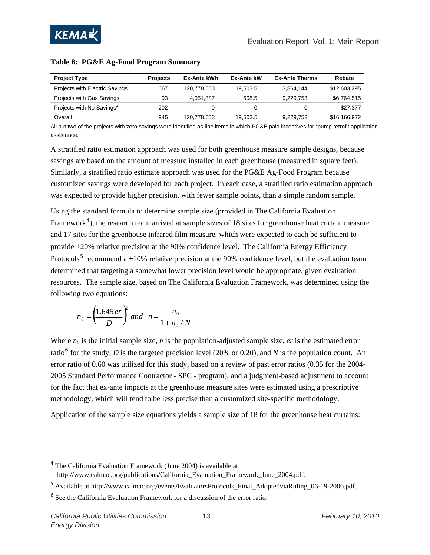

| <b>Project Type</b>            | <b>Projects</b> | Ex-Ante kWh | Ex-Ante kW | <b>Ex-Ante Therms</b> | Rebate       |
|--------------------------------|-----------------|-------------|------------|-----------------------|--------------|
| Projects with Electric Savings | 667             | 120.778.653 | 19.503.5   | 3.864.144             | \$12,603,295 |
| Projects with Gas Savings      | 93              | 4.051.887   | 608.5      | 9.229.753             | \$6,764,515  |
| Projects with No Savings*      | 202             |             |            | 0                     | \$27.377     |
| Overall                        | 945             | 120.778.653 | 19.503.5   | 9.229.753             | \$16,166,972 |

#### <span id="page-26-0"></span>**Table 8: PG&E Ag-Food Program Summary**

All but two of the projects with zero savings were identified as line items in which PG&E paid incentives for "pump retrofit application assistance."

A stratified ratio estimation approach was used for both greenhouse measure sample designs, because savings are based on the amount of measure installed in each greenhouse (measured in square feet). Similarly, a stratified ratio estimate approach was used for the PG&E Ag-Food Program because customized savings were developed for each project. In each case, a stratified ratio estimation approach was expected to provide higher precision, with fewer sample points, than a simple random sample.

Using the standard formula to determine sample size (provided in The California Evaluation Framework<sup>[4](#page-26-1)</sup>), the research team arrived at sample sizes of 18 sites for greenhouse heat curtain measure and 17 sites for the greenhouse infrared film measure, which were expected to each be sufficient to provide ±20% relative precision at the 90% confidence level. The California Energy Efficiency Protocols<sup>[5](#page-26-2)</sup> recommend a  $\pm 10$ % relative precision at the 90% confidence level, but the evaluation team determined that targeting a somewhat lower precision level would be appropriate, given evaluation resources. The sample size, based on The California Evaluation Framework, was determined using the following two equations:

$$
n_0 = \left(\frac{1.645 \, er}{D}\right)^2 \, and \, n = \frac{n_0}{1 + n_0 / N}
$$

Where  $n_0$  is the initial sample size, *n* is the population-adjusted sample size, *er* is the estimated error ratio<sup>[6](#page-26-3)</sup> for the study, *D* is the targeted precision level (20% or 0.20), and *N* is the population count. An error ratio of 0.60 was utilized for this study, based on a review of past error ratios (0.35 for the 2004- 2005 Standard Performance Contractor - SPC - program), and a judgment-based adjustment to account for the fact that ex-ante impacts at the greenhouse measure sites were estimated using a prescriptive methodology, which will tend to be less precise than a customized site-specific methodology.

Application of the sample size equations yields a sample size of 18 for the greenhouse heat curtains:

l

<span id="page-26-1"></span><sup>4</sup> The California Evaluation Framework (June 2004) is available at

http://www.calmac.org/publications/California\_Evaluation\_Framework\_June\_2004.pdf.

<span id="page-26-2"></span><sup>&</sup>lt;sup>5</sup> Available at http://www.calmac.org/events/EvaluatorsProtocols\_Final\_AdoptedviaRuling\_06-19-2006.pdf.

<span id="page-26-3"></span><sup>&</sup>lt;sup>6</sup> See the California Evaluation Framework for a discussion of the error ratio.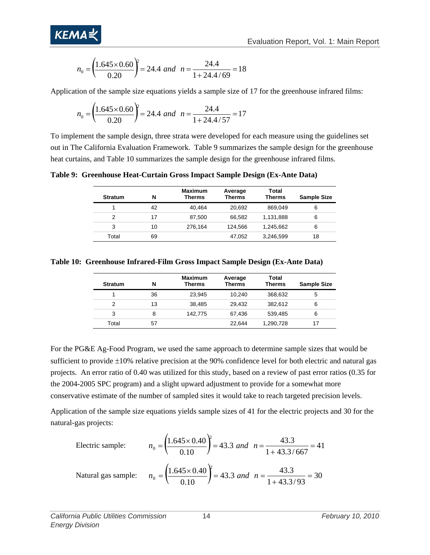

$$
n_0 = \left(\frac{1.645 \times 0.60}{0.20}\right)^2 = 24.4 \text{ and } n = \frac{24.4}{1 + 24.4/69} = 18
$$

Application of the sample size equations yields a sample size of 17 for the greenhouse infrared films:

$$
n_0 = \left(\frac{1.645 \times 0.60}{0.20}\right)^2 = 24.4 \text{ and } n = \frac{24.4}{1 + 24.4/57} = 17
$$

To implement the sample design, three strata were developed for each measure using the guidelines set out in The California Evaluation Framework. [Table 9](#page-27-0) summarizes the sample design for the greenhouse heat curtains, and [Table 10](#page-27-1) summarizes the sample design for the greenhouse infrared films.

<span id="page-27-0"></span>**Table 9: Greenhouse Heat-Curtain Gross Impact Sample Design (Ex-Ante Data)** 

| <b>Stratum</b> | N  | <b>Maximum</b><br>Therms | Average<br><b>Therms</b> | Total<br>Therms | <b>Sample Size</b> |
|----------------|----|--------------------------|--------------------------|-----------------|--------------------|
| 1              | 42 | 40.464                   | 20.692                   | 869.049         | 6                  |
| 2              | 17 | 87,500                   | 66.582                   | 1.131.888       | 6                  |
| 3              | 10 | 276.164                  | 124.566                  | 1.245.662       | 6                  |
| Total          | 69 |                          | 47.052                   | 3,246,599       | 18                 |

<span id="page-27-1"></span>**Table 10: Greenhouse Infrared-Film Gross Impact Sample Design (Ex-Ante Data)** 

| <b>Stratum</b> | N  | <b>Maximum</b><br>Therms | Average<br><b>Therms</b> | <b>Total</b><br><b>Therms</b> | <b>Sample Size</b> |
|----------------|----|--------------------------|--------------------------|-------------------------------|--------------------|
|                | 36 | 23,945                   | 10.240                   | 368.632                       | 5                  |
| 2              | 13 | 38.485                   | 29.432                   | 382.612                       | 6                  |
| 3              | 8  | 142.775                  | 67.436                   | 539.485                       | 6                  |
| Total          | 57 |                          | 22.644                   | 1,290,728                     | 17                 |

For the PG&E Ag-Food Program, we used the same approach to determine sample sizes that would be sufficient to provide ±10% relative precision at the 90% confidence level for both electric and natural gas projects. An error ratio of 0.40 was utilized for this study, based on a review of past error ratios (0.35 for the 2004-2005 SPC program) and a slight upward adjustment to provide for a somewhat more conservative estimate of the number of sampled sites it would take to reach targeted precision levels.

Application of the sample size equations yields sample sizes of 41 for the electric projects and 30 for the natural-gas projects:

Electric sample: 
$$
n_0 = \left(\frac{1.645 \times 0.40}{0.10}\right)^2 = 43.3
$$
 and  $n = \frac{43.3}{1 + 43.3/667} = 41$   
Natural gas sample:  $n_0 = \left(\frac{1.645 \times 0.40}{0.10}\right)^2 = 43.3$  and  $n = \frac{43.3}{1 + 43.3/93} = 30$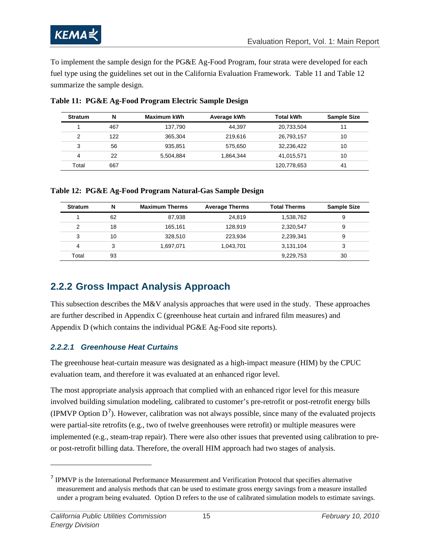



To implement the sample design for the PG&E Ag-Food Program, four strata were developed for each fuel type using the guidelines set out in the California Evaluation Framework. [Table 11](#page-28-1) and [Table 12](#page-28-2) summarize the sample design.

| <b>Stratum</b> | N   | Maximum kWh | Average kWh | <b>Total kWh</b> | <b>Sample Size</b> |
|----------------|-----|-------------|-------------|------------------|--------------------|
|                | 467 | 137.790     | 44.397      | 20,733,504       | 11                 |
| 2              | 122 | 365.304     | 219.616     | 26,793,157       | 10                 |
| 3              | 56  | 935.851     | 575.650     | 32.236.422       | 10                 |
| 4              | 22  | 5,504,884   | 1,864,344   | 41,015,571       | 10                 |
| Total          | 667 |             |             | 120,778,653      | 41                 |

<span id="page-28-1"></span>**Table 11: PG&E Ag-Food Program Electric Sample Design** 

<span id="page-28-2"></span>**Table 12: PG&E Ag-Food Program Natural-Gas Sample Design** 

| <b>Stratum</b> | N  | <b>Maximum Therms</b> | <b>Average Therms</b> | <b>Total Therms</b> | <b>Sample Size</b> |
|----------------|----|-----------------------|-----------------------|---------------------|--------------------|
|                | 62 | 87,938                | 24.819                | 1,538,762           | 9                  |
| 2              | 18 | 165,161               | 128,919               | 2,320,547           | 9                  |
| 3              | 10 | 328,510               | 223.934               | 2,239,341           | 9                  |
| 4              | 3  | 1.697.071             | 1,043,701             | 3,131,104           | 3                  |
| Total          | 93 |                       |                       | 9,229,753           | 30                 |

### <span id="page-28-0"></span>**2.2.2 Gross Impact Analysis Approach**

This subsection describes the M&V analysis approaches that were used in the study. These approaches are further described in Appendix C (greenhouse heat curtain and infrared film measures) and Appendix D (which contains the individual PG&E Ag-Food site reports).

### *2.2.2.1 Greenhouse Heat Curtains*

The greenhouse heat-curtain measure was designated as a high-impact measure (HIM) by the CPUC evaluation team, and therefore it was evaluated at an enhanced rigor level.

The most appropriate analysis approach that complied with an enhanced rigor level for this measure involved building simulation modeling, calibrated to customer's pre-retrofit or post-retrofit energy bills (IPMVP Option  $D^7$  $D^7$ ). However, calibration was not always possible, since many of the evaluated projects were partial-site retrofits (e.g., two of twelve greenhouses were retrofit) or multiple measures were implemented (e.g., steam-trap repair). There were also other issues that prevented using calibration to preor post-retrofit billing data. Therefore, the overall HIM approach had two stages of analysis.

<span id="page-28-3"></span><sup>&</sup>lt;sup>7</sup> IPMVP is the International Performance Measurement and Verification Protocol that specifies alternative measurement and analysis methods that can be used to estimate gross energy savings from a measure installed under a program being evaluated. Option D refers to the use of calibrated simulation models to estimate savings.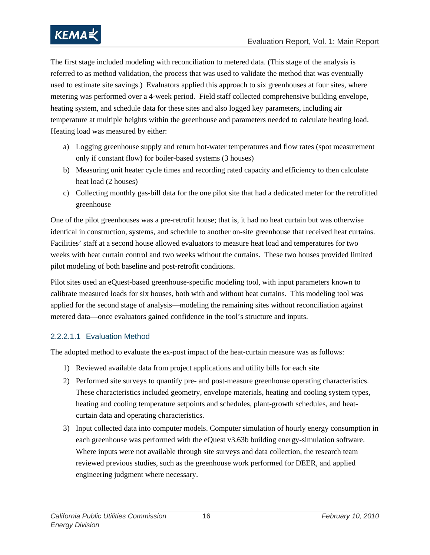

The first stage included modeling with reconciliation to metered data. (This stage of the analysis is referred to as method validation, the process that was used to validate the method that was eventually used to estimate site savings.) Evaluators applied this approach to six greenhouses at four sites, where metering was performed over a 4-week period. Field staff collected comprehensive building envelope, heating system, and schedule data for these sites and also logged key parameters, including air temperature at multiple heights within the greenhouse and parameters needed to calculate heating load. Heating load was measured by either:

- a) Logging greenhouse supply and return hot-water temperatures and flow rates (spot measurement only if constant flow) for boiler-based systems (3 houses)
- b) Measuring unit heater cycle times and recording rated capacity and efficiency to then calculate heat load (2 houses)
- c) Collecting monthly gas-bill data for the one pilot site that had a dedicated meter for the retrofitted greenhouse

One of the pilot greenhouses was a pre-retrofit house; that is, it had no heat curtain but was otherwise identical in construction, systems, and schedule to another on-site greenhouse that received heat curtains. Facilities' staff at a second house allowed evaluators to measure heat load and temperatures for two weeks with heat curtain control and two weeks without the curtains. These two houses provided limited pilot modeling of both baseline and post-retrofit conditions.

Pilot sites used an eQuest-based greenhouse-specific modeling tool, with input parameters known to calibrate measured loads for six houses, both with and without heat curtains. This modeling tool was applied for the second stage of analysis—modeling the remaining sites without reconciliation against metered data—once evaluators gained confidence in the tool's structure and inputs.

### 2.2.2.1.1 Evaluation Method

The adopted method to evaluate the ex-post impact of the heat-curtain measure was as follows:

- 1) Reviewed available data from project applications and utility bills for each site
- 2) Performed site surveys to quantify pre- and post-measure greenhouse operating characteristics. These characteristics included geometry, envelope materials, heating and cooling system types, heating and cooling temperature setpoints and schedules, plant-growth schedules, and heatcurtain data and operating characteristics.
- 3) Input collected data into computer models. Computer simulation of hourly energy consumption in each greenhouse was performed with the eQuest v3.63b building energy-simulation software. Where inputs were not available through site surveys and data collection, the research team reviewed previous studies, such as the greenhouse work performed for DEER, and applied engineering judgment where necessary.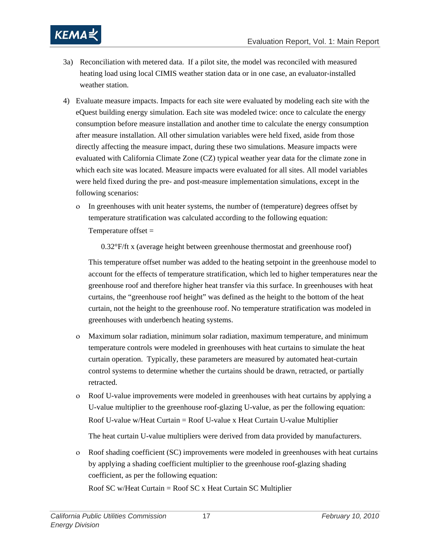

- 3a) Reconciliation with metered data. If a pilot site, the model was reconciled with measured heating load using local CIMIS weather station data or in one case, an evaluator-installed weather station.
- 4) Evaluate measure impacts. Impacts for each site were evaluated by modeling each site with the eQuest building energy simulation. Each site was modeled twice: once to calculate the energy consumption before measure installation and another time to calculate the energy consumption after measure installation. All other simulation variables were held fixed, aside from those directly affecting the measure impact, during these two simulations. Measure impacts were evaluated with California Climate Zone (CZ) typical weather year data for the climate zone in which each site was located. Measure impacts were evaluated for all sites. All model variables were held fixed during the pre- and post-measure implementation simulations, except in the following scenarios:
	- ο In greenhouses with unit heater systems, the number of (temperature) degrees offset by temperature stratification was calculated according to the following equation: Temperature offset  $=$

0.32°F/ft x (average height between greenhouse thermostat and greenhouse roof)

This temperature offset number was added to the heating setpoint in the greenhouse model to account for the effects of temperature stratification, which led to higher temperatures near the greenhouse roof and therefore higher heat transfer via this surface. In greenhouses with heat curtains, the "greenhouse roof height" was defined as the height to the bottom of the heat curtain, not the height to the greenhouse roof. No temperature stratification was modeled in greenhouses with underbench heating systems.

- ο Maximum solar radiation, minimum solar radiation, maximum temperature, and minimum temperature controls were modeled in greenhouses with heat curtains to simulate the heat curtain operation. Typically, these parameters are measured by automated heat-curtain control systems to determine whether the curtains should be drawn, retracted, or partially retracted.
- ο Roof U-value improvements were modeled in greenhouses with heat curtains by applying a U-value multiplier to the greenhouse roof-glazing U-value, as per the following equation: Roof U-value w/Heat Curtain = Roof U-value x Heat Curtain U-value Multiplier

The heat curtain U-value multipliers were derived from data provided by manufacturers.

ο Roof shading coefficient (SC) improvements were modeled in greenhouses with heat curtains by applying a shading coefficient multiplier to the greenhouse roof-glazing shading coefficient, as per the following equation:

Roof SC w/Heat Curtain = Roof SC x Heat Curtain SC Multiplier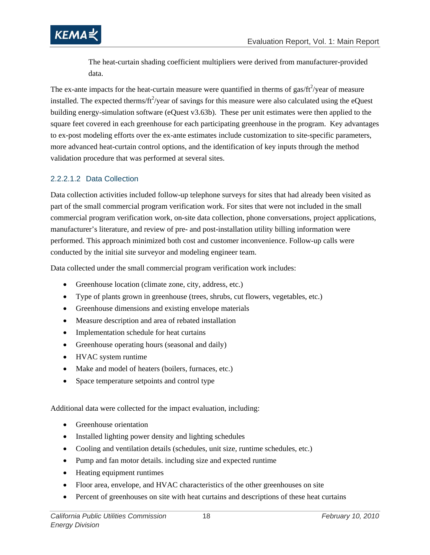

The heat-curtain shading coefficient multipliers were derived from manufacturer-provided data.

The ex-ante impacts for the heat-curtain measure were quantified in therms of gas/ $\frac{ft^2}{year}$  of measure installed. The expected therms/ $ft^2$ /year of savings for this measure were also calculated using the eQuest building energy-simulation software (eQuest v3.63b). These per unit estimates were then applied to the square feet covered in each greenhouse for each participating greenhouse in the program. Key advantages to ex-post modeling efforts over the ex-ante estimates include customization to site-specific parameters, more advanced heat-curtain control options, and the identification of key inputs through the method validation procedure that was performed at several sites.

### 2.2.2.1.2 Data Collection

Data collection activities included follow-up telephone surveys for sites that had already been visited as part of the small commercial program verification work. For sites that were not included in the small commercial program verification work, on-site data collection, phone conversations, project applications, manufacturer's literature, and review of pre- and post-installation utility billing information were performed. This approach minimized both cost and customer inconvenience. Follow-up calls were conducted by the initial site surveyor and modeling engineer team.

Data collected under the small commercial program verification work includes:

- Greenhouse location (climate zone, city, address, etc.)
- Type of plants grown in greenhouse (trees, shrubs, cut flowers, vegetables, etc.)
- Greenhouse dimensions and existing envelope materials
- Measure description and area of rebated installation
- Implementation schedule for heat curtains
- Greenhouse operating hours (seasonal and daily)
- HVAC system runtime
- Make and model of heaters (boilers, furnaces, etc.)
- Space temperature setpoints and control type

Additional data were collected for the impact evaluation, including:

- Greenhouse orientation
- Installed lighting power density and lighting schedules
- Cooling and ventilation details (schedules, unit size, runtime schedules, etc.)
- Pump and fan motor details, including size and expected runtime
- Heating equipment runtimes
- Floor area, envelope, and HVAC characteristics of the other greenhouses on site
- Percent of greenhouses on site with heat curtains and descriptions of these heat curtains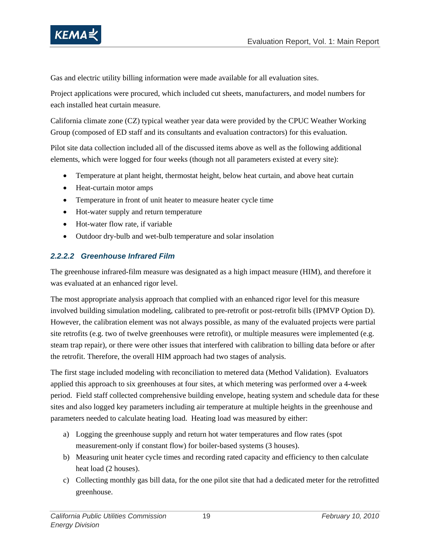

Gas and electric utility billing information were made available for all evaluation sites.

Project applications were procured, which included cut sheets, manufacturers, and model numbers for each installed heat curtain measure.

California climate zone (CZ) typical weather year data were provided by the CPUC Weather Working Group (composed of ED staff and its consultants and evaluation contractors) for this evaluation.

Pilot site data collection included all of the discussed items above as well as the following additional elements, which were logged for four weeks (though not all parameters existed at every site):

- Temperature at plant height, thermostat height, below heat curtain, and above heat curtain
- Heat-curtain motor amps
- Temperature in front of unit heater to measure heater cycle time
- Hot-water supply and return temperature
- Hot-water flow rate, if variable
- Outdoor dry-bulb and wet-bulb temperature and solar insolation

### *2.2.2.2 Greenhouse Infrared Film*

The greenhouse infrared-film measure was designated as a high impact measure (HIM), and therefore it was evaluated at an enhanced rigor level.

The most appropriate analysis approach that complied with an enhanced rigor level for this measure involved building simulation modeling, calibrated to pre-retrofit or post-retrofit bills (IPMVP Option D). However, the calibration element was not always possible, as many of the evaluated projects were partial site retrofits (e.g. two of twelve greenhouses were retrofit), or multiple measures were implemented (e.g. steam trap repair), or there were other issues that interfered with calibration to billing data before or after the retrofit. Therefore, the overall HIM approach had two stages of analysis.

The first stage included modeling with reconciliation to metered data (Method Validation). Evaluators applied this approach to six greenhouses at four sites, at which metering was performed over a 4-week period. Field staff collected comprehensive building envelope, heating system and schedule data for these sites and also logged key parameters including air temperature at multiple heights in the greenhouse and parameters needed to calculate heating load. Heating load was measured by either:

- a) Logging the greenhouse supply and return hot water temperatures and flow rates (spot measurement-only if constant flow) for boiler-based systems (3 houses).
- b) Measuring unit heater cycle times and recording rated capacity and efficiency to then calculate heat load (2 houses).
- c) Collecting monthly gas bill data, for the one pilot site that had a dedicated meter for the retrofitted greenhouse.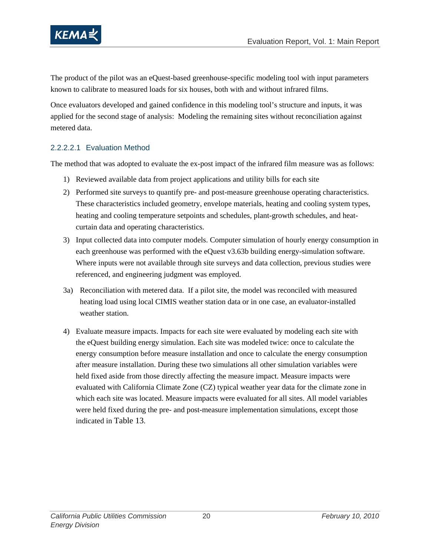

The product of the pilot was an eQuest-based greenhouse-specific modeling tool with input parameters known to calibrate to measured loads for six houses, both with and without infrared films.

Once evaluators developed and gained confidence in this modeling tool's structure and inputs, it was applied for the second stage of analysis: Modeling the remaining sites without reconciliation against metered data.

### 2.2.2.2.1 Evaluation Method

The method that was adopted to evaluate the ex-post impact of the infrared film measure was as follows:

- 1) Reviewed available data from project applications and utility bills for each site
- 2) Performed site surveys to quantify pre- and post-measure greenhouse operating characteristics. These characteristics included geometry, envelope materials, heating and cooling system types, heating and cooling temperature setpoints and schedules, plant-growth schedules, and heatcurtain data and operating characteristics.
- 3) Input collected data into computer models. Computer simulation of hourly energy consumption in each greenhouse was performed with the eQuest v3.63b building energy-simulation software. Where inputs were not available through site surveys and data collection, previous studies were referenced, and engineering judgment was employed.
- 3a) Reconciliation with metered data. If a pilot site, the model was reconciled with measured heating load using local CIMIS weather station data or in one case, an evaluator-installed weather station.
- 4) Evaluate measure impacts. Impacts for each site were evaluated by modeling each site with the eQuest building energy simulation. Each site was modeled twice: once to calculate the energy consumption before measure installation and once to calculate the energy consumption after measure installation. During these two simulations all other simulation variables were held fixed aside from those directly affecting the measure impact. Measure impacts were evaluated with California Climate Zone (CZ) typical weather year data for the climate zone in which each site was located. Measure impacts were evaluated for all sites. All model variables were held fixed during the pre- and post-measure implementation simulations, except those indicated in [Table 13.](#page-34-0)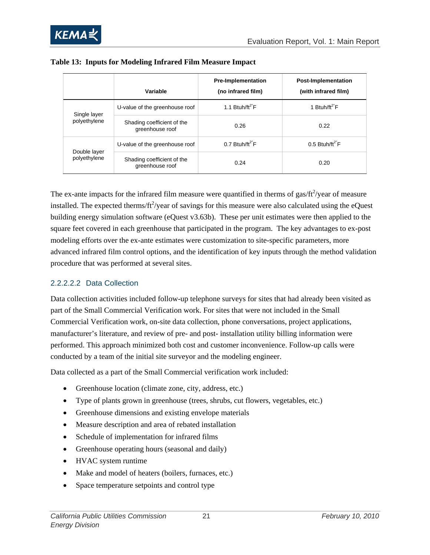

|                              | Variable                                      | <b>Pre-Implementation</b><br>(no infrared film) | <b>Post-Implementation</b><br>(with infrared film) |
|------------------------------|-----------------------------------------------|-------------------------------------------------|----------------------------------------------------|
| Single layer                 | U-value of the greenhouse roof                | 1.1 Btuh/ft <sup>2°</sup> F                     | 1 Btuh/ft <sup>2°</sup> F                          |
| polyethylene                 | Shading coefficient of the<br>greenhouse roof | 0.26                                            | 0.22                                               |
|                              | U-value of the greenhouse roof                | 0.7 Btuh/ft <sup>2°</sup> F                     | $0.5$ Btuh/ft <sup>2°</sup> F                      |
| Double layer<br>polyethylene | Shading coefficient of the<br>greenhouse roof | 0.24                                            | 0.20                                               |

<span id="page-34-0"></span>

|  | Table 13: Inputs for Modeling Infrared Film Measure Impact |  |  |
|--|------------------------------------------------------------|--|--|
|  |                                                            |  |  |

The ex-ante impacts for the infrared film measure were quantified in therms of  $gas/ft^2$ /year of measure installed. The expected therms/ $ft^2$ /year of savings for this measure were also calculated using the eQuest building energy simulation software (eQuest v3.63b). These per unit estimates were then applied to the square feet covered in each greenhouse that participated in the program. The key advantages to ex-post modeling efforts over the ex-ante estimates were customization to site-specific parameters, more advanced infrared film control options, and the identification of key inputs through the method validation procedure that was performed at several sites.

### 2.2.2.2.2 Data Collection

Data collection activities included follow-up telephone surveys for sites that had already been visited as part of the Small Commercial Verification work. For sites that were not included in the Small Commercial Verification work, on-site data collection, phone conversations, project applications, manufacturer's literature, and review of pre- and post- installation utility billing information were performed. This approach minimized both cost and customer inconvenience. Follow-up calls were conducted by a team of the initial site surveyor and the modeling engineer.

Data collected as a part of the Small Commercial verification work included:

- Greenhouse location (climate zone, city, address, etc.)
- Type of plants grown in greenhouse (trees, shrubs, cut flowers, vegetables, etc.)
- Greenhouse dimensions and existing envelope materials
- Measure description and area of rebated installation
- Schedule of implementation for infrared films
- Greenhouse operating hours (seasonal and daily)
- HVAC system runtime
- Make and model of heaters (boilers, furnaces, etc.)
- Space temperature setpoints and control type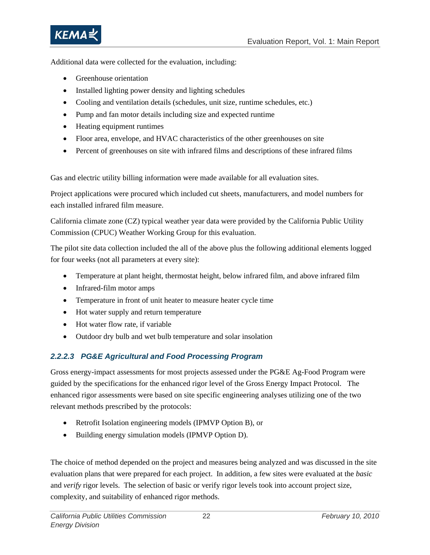



Additional data were collected for the evaluation, including:

- Greenhouse orientation
- Installed lighting power density and lighting schedules
- Cooling and ventilation details (schedules, unit size, runtime schedules, etc.)
- Pump and fan motor details including size and expected runtime
- Heating equipment runtimes
- Floor area, envelope, and HVAC characteristics of the other greenhouses on site
- Percent of greenhouses on site with infrared films and descriptions of these infrared films

Gas and electric utility billing information were made available for all evaluation sites.

Project applications were procured which included cut sheets, manufacturers, and model numbers for each installed infrared film measure.

California climate zone (CZ) typical weather year data were provided by the California Public Utility Commission (CPUC) Weather Working Group for this evaluation.

The pilot site data collection included the all of the above plus the following additional elements logged for four weeks (not all parameters at every site):

- Temperature at plant height, thermostat height, below infrared film, and above infrared film
- Infrared-film motor amps
- Temperature in front of unit heater to measure heater cycle time
- Hot water supply and return temperature
- Hot water flow rate, if variable
- Outdoor dry bulb and wet bulb temperature and solar insolation

### *2.2.2.3 PG&E Agricultural and Food Processing Program*

Gross energy-impact assessments for most projects assessed under the PG&E Ag-Food Program were guided by the specifications for the enhanced rigor level of the Gross Energy Impact Protocol. The enhanced rigor assessments were based on site specific engineering analyses utilizing one of the two relevant methods prescribed by the protocols:

- Retrofit Isolation engineering models (IPMVP Option B), or
- Building energy simulation models (IPMVP Option D).

The choice of method depended on the project and measures being analyzed and was discussed in the site evaluation plans that were prepared for each project. In addition, a few sites were evaluated at the *basic* and *verify* rigor levels. The selection of basic or verify rigor levels took into account project size, complexity, and suitability of enhanced rigor methods.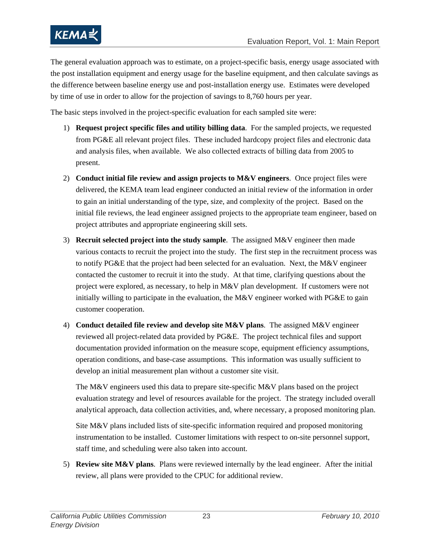The general evaluation approach was to estimate, on a project-specific basis, energy usage associated with the post installation equipment and energy usage for the baseline equipment, and then calculate savings as the difference between baseline energy use and post-installation energy use. Estimates were developed by time of use in order to allow for the projection of savings to 8,760 hours per year.

The basic steps involved in the project-specific evaluation for each sampled site were:

- 1) **Request project specific files and utility billing data**. For the sampled projects, we requested from PG&E all relevant project files. These included hardcopy project files and electronic data and analysis files, when available. We also collected extracts of billing data from 2005 to present.
- 2) **Conduct initial file review and assign projects to M&V engineers**. Once project files were delivered, the KEMA team lead engineer conducted an initial review of the information in order to gain an initial understanding of the type, size, and complexity of the project. Based on the initial file reviews, the lead engineer assigned projects to the appropriate team engineer, based on project attributes and appropriate engineering skill sets.
- 3) **Recruit selected project into the study sample**. The assigned M&V engineer then made various contacts to recruit the project into the study. The first step in the recruitment process was to notify PG&E that the project had been selected for an evaluation. Next, the M&V engineer contacted the customer to recruit it into the study. At that time, clarifying questions about the project were explored, as necessary, to help in M&V plan development. If customers were not initially willing to participate in the evaluation, the  $M\&V$  engineer worked with PG&E to gain customer cooperation.
- 4) **Conduct detailed file review and develop site M&V plans**. The assigned M&V engineer reviewed all project-related data provided by PG&E. The project technical files and support documentation provided information on the measure scope, equipment efficiency assumptions, operation conditions, and base-case assumptions. This information was usually sufficient to develop an initial measurement plan without a customer site visit.

The M&V engineers used this data to prepare site-specific M&V plans based on the project evaluation strategy and level of resources available for the project. The strategy included overall analytical approach, data collection activities, and, where necessary, a proposed monitoring plan.

Site M&V plans included lists of site-specific information required and proposed monitoring instrumentation to be installed. Customer limitations with respect to on-site personnel support, staff time, and scheduling were also taken into account.

5) **Review site M&V plans**. Plans were reviewed internally by the lead engineer. After the initial review, all plans were provided to the CPUC for additional review.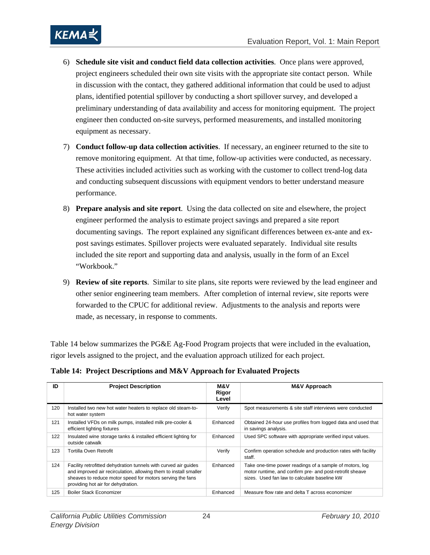

- 6) **Schedule site visit and conduct field data collection activities**. Once plans were approved, project engineers scheduled their own site visits with the appropriate site contact person. While in discussion with the contact, they gathered additional information that could be used to adjust plans, identified potential spillover by conducting a short spillover survey, and developed a preliminary understanding of data availability and access for monitoring equipment. The project engineer then conducted on-site surveys, performed measurements, and installed monitoring equipment as necessary.
- 7) **Conduct follow-up data collection activities**. If necessary, an engineer returned to the site to remove monitoring equipment. At that time, follow-up activities were conducted, as necessary. These activities included activities such as working with the customer to collect trend-log data and conducting subsequent discussions with equipment vendors to better understand measure performance.
- 8) **Prepare analysis and site report**. Using the data collected on site and elsewhere, the project engineer performed the analysis to estimate project savings and prepared a site report documenting savings. The report explained any significant differences between ex-ante and expost savings estimates. Spillover projects were evaluated separately. Individual site results included the site report and supporting data and analysis, usually in the form of an Excel "Workbook."
- 9) **Review of site reports**. Similar to site plans, site reports were reviewed by the lead engineer and other senior engineering team members. After completion of internal review, site reports were forwarded to the CPUC for additional review. Adjustments to the analysis and reports were made, as necessary, in response to comments.

[Table 14](#page-37-0) below summarizes the PG&E Ag-Food Program projects that were included in the evaluation, rigor levels assigned to the project, and the evaluation approach utilized for each project.

**Table 14: Project Descriptions and M&V Approach for Evaluated Projects**

<span id="page-37-0"></span>

| ID  | <b>Project Description</b>                                                                                                                                                                                                             | <b>M&amp;V</b><br>Rigor<br>Level | <b>M&amp;V Approach</b>                                                                                                                                             |
|-----|----------------------------------------------------------------------------------------------------------------------------------------------------------------------------------------------------------------------------------------|----------------------------------|---------------------------------------------------------------------------------------------------------------------------------------------------------------------|
| 120 | Installed two new hot water heaters to replace old steam-to-<br>hot water system                                                                                                                                                       | Verify                           | Spot measurements & site staff interviews were conducted                                                                                                            |
| 121 | Installed VFDs on milk pumps, installed milk pre-cooler &<br>efficient lighting fixtures                                                                                                                                               | Enhanced                         | Obtained 24-hour use profiles from logged data and used that<br>in savings analysis.                                                                                |
| 122 | Insulated wine storage tanks & installed efficient lighting for<br>outside catwalk                                                                                                                                                     | Enhanced                         | Used SPC software with appropriate verified input values.                                                                                                           |
| 123 | Tortilla Oven Retrofit                                                                                                                                                                                                                 | Verify                           | Confirm operation schedule and production rates with facility<br>staff.                                                                                             |
| 124 | Facility retrofitted dehydration tunnels with curved air guides<br>and improved air recirculation, allowing them to install smaller<br>sheaves to reduce motor speed for motors serving the fans<br>providing hot air for dehydration. | Enhanced                         | Take one-time power readings of a sample of motors, log<br>motor runtime, and confirm pre- and post-retrofit sheave<br>sizes. Used fan law to calculate baseline kW |
| 125 | Boiler Stack Economizer                                                                                                                                                                                                                | Enhanced                         | Measure flow rate and delta T across economizer                                                                                                                     |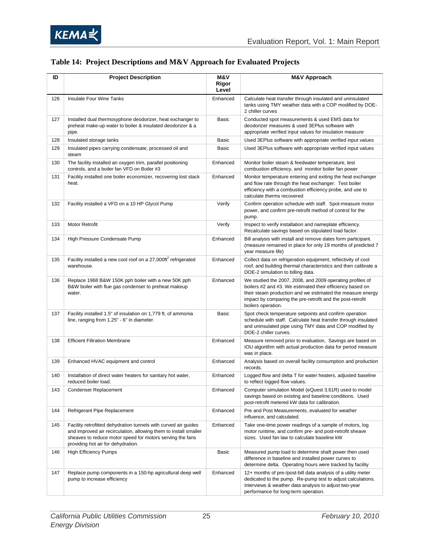

| ID  | <b>Project Description</b>                                                                                                                                                                                                             | M&V<br>Rigor<br>Level | <b>M&amp;V Approach</b>                                                                                                                                                                                                                                                  |  |
|-----|----------------------------------------------------------------------------------------------------------------------------------------------------------------------------------------------------------------------------------------|-----------------------|--------------------------------------------------------------------------------------------------------------------------------------------------------------------------------------------------------------------------------------------------------------------------|--|
| 126 | Insulate Four Wine Tanks                                                                                                                                                                                                               | Enhanced              | Calculate heat transfer through insulated and uninsulated<br>tanks using TMY weather data with a COP modified by DOE-<br>2 chiller curves                                                                                                                                |  |
| 127 | Installed dual thermosyphone deodorizer, heat exchanger to<br>preheat make-up water to boiler & insulated deodorizer & a<br>pipe.                                                                                                      | Basic                 | Conducted spot measurements & used EMS data for<br>deodorizer measures & used 3EPlus software with<br>appropriate verified input values for insulation measure                                                                                                           |  |
| 128 | Insulated storage tanks                                                                                                                                                                                                                | Basic                 | Used 3EPlus software with appropriate verified input values                                                                                                                                                                                                              |  |
| 129 | Insulated pipes carrying condensate, processed oil and<br>steam                                                                                                                                                                        | <b>Basic</b>          | Used 3EPlus software with appropriate verified input values                                                                                                                                                                                                              |  |
| 130 | The facility installed an oxygen trim, parallel positioning<br>controls, and a boiler fan VFD on Boiler #3                                                                                                                             | Enhanced              | Monitor boiler steam & feedwater temperature, test<br>combustion efficiency, and monitor boiler fan power                                                                                                                                                                |  |
| 131 | Facility installed one boiler economizer, recovering lost stack<br>heat.                                                                                                                                                               | Enhanced              | Monitor temperature entering and exiting the heat exchanger<br>and flow rate through the heat exchanger. Test boiler<br>efficiency with a combustion efficiency probe, and use to<br>calculate therms recovered                                                          |  |
| 132 | Facility installed a VFD on a 10 HP Glycol Pump                                                                                                                                                                                        | Verify                | Confirm operation schedule with staff. Spot-measure motor<br>power, and confirm pre-retrofit method of control for the<br>pump.                                                                                                                                          |  |
| 133 | <b>Motor Retrofit</b>                                                                                                                                                                                                                  | Verify                | Inspect to verify installation and nameplate efficiency.<br>Recalculate savings based on stipulated load factor.                                                                                                                                                         |  |
| 134 | High Pressure Condensate Pump                                                                                                                                                                                                          | Enhanced              | Bill analysis with install and remove dates form participant.<br>(measure remained in place for only 19 months of predicted 7<br>year measure life)                                                                                                                      |  |
| 135 | Facility installed a new cool roof on a 27,000ft <sup>2</sup> refrigerated<br>warehouse.                                                                                                                                               | Enhanced              | Collect data on refrigeration equipment, reflectivity of cool<br>roof, and building thermal characteristics and then calibrate a<br>DOE-2 simulation to billing data.                                                                                                    |  |
| 136 | Replace 1968 B&W 150K pph boiler with a new 50K pph<br>B&W boiler with flue gas condenser to preheat makeup<br>water.                                                                                                                  | Enhanced              | We studied the 2007, 2008, and 2009 operating profiles of<br>boilers #2 and #3. We estimated their efficiency based on<br>their steam production and we estimated the measure energy<br>impact by comparing the pre-retrofit and the post-retrofit<br>boilers operation. |  |
| 137 | Facility installed 1.5" of insulation on 1,779 ft. of ammonia<br>line, ranging from 1.25" - 6" in diameter.                                                                                                                            | Basic                 | Spot check temperature setpoints and confirm operation<br>schedule with staff. Calculate heat transfer through insulated<br>and uninsulated pipe using TMY data and COP modified by<br>DOE-2 chiller curves.                                                             |  |
| 138 | <b>Efficient Filtration Membrane</b>                                                                                                                                                                                                   | Enhanced              | Measure removed prior to evaluation, Savings are based on<br>IOU algorithm with actual production data for period measure<br>was in place.                                                                                                                               |  |
| 139 | Enhanced HVAC equipment and control                                                                                                                                                                                                    | Enhanced              | Analysis based on overall facility consumption and production<br>records.                                                                                                                                                                                                |  |
| 140 | Installation of direct water heaters for sanitary hot water,<br>reduced boiler load.                                                                                                                                                   | Enhanced              | Logged flow and delta T for water heaters, adjusted baseline<br>to reflect logged flow values.                                                                                                                                                                           |  |
| 143 | <b>Condenser Replacement</b>                                                                                                                                                                                                           | Enhanced              | Computer simulation Model (eQuest 3.61R) used to model<br>savings based on existing and baseline conditions. Used<br>post-retrofit metered kW data for calibration.                                                                                                      |  |
| 144 | Refrigerant Pipe Replacement                                                                                                                                                                                                           | Enhanced              | Pre and Post Measurements, evaluated for weather<br>influence, and calculated.                                                                                                                                                                                           |  |
| 145 | Facility retrofitted dehydration tunnels with curved air guides<br>and improved air recirculation, allowing them to install smaller<br>sheaves to reduce motor speed for motors serving the fans<br>providing hot air for dehydration. | Enhanced              | Take one-time power readings of a sample of motors, log<br>motor runtime, and confirm pre- and post-retrofit sheave<br>sizes. Used fan law to calculate baseline kW                                                                                                      |  |
| 146 | <b>High Efficiency Pumps</b>                                                                                                                                                                                                           | Basic                 | Measured pump load to determine shaft power then used<br>difference in baseline and installed power curves to<br>determine delta. Operating hours were tracked by facility                                                                                               |  |
| 147 | Replace pump components in a 150-hp agricultural deep well<br>pump to increase efficiency                                                                                                                                              | Enhanced              | 12+ months of pre-/post-bill data analysis of a utility meter<br>dedicated to the pump. Re-pump test to adjust calculations.<br>Interviews & weather data analysis to adjust two-year<br>performance for long-term operation.                                            |  |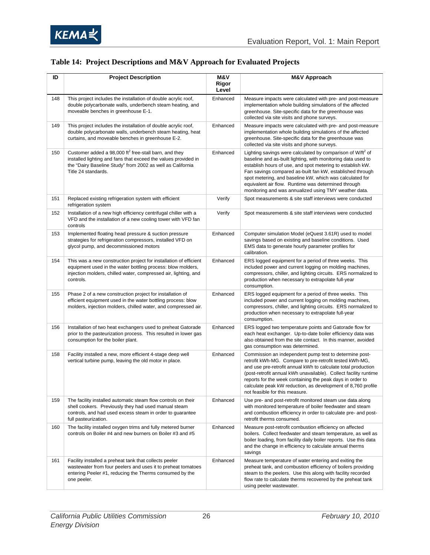

| ID  | <b>Project Description</b>                                                                                                                                                                                             | M&V<br>Rigor<br>Level | <b>M&amp;V Approach</b>                                                                                                                                                                                                                                                                                                                                                                                                                       |
|-----|------------------------------------------------------------------------------------------------------------------------------------------------------------------------------------------------------------------------|-----------------------|-----------------------------------------------------------------------------------------------------------------------------------------------------------------------------------------------------------------------------------------------------------------------------------------------------------------------------------------------------------------------------------------------------------------------------------------------|
| 148 | This project includes the installation of double acrylic roof,<br>double polycarbonate walls, underbench steam heating, and<br>moveable benches in greenhouse E-1.                                                     | Enhanced              | Measure impacts were calculated with pre- and post-measure<br>implementation whole building simulations of the affected<br>greenhouse. Site-specific data for the greenhouse was<br>collected via site visits and phone surveys.                                                                                                                                                                                                              |
| 149 | This project includes the installation of double acrylic roof,<br>double polycarbonate walls, underbench steam heating, heat<br>curtains, and moveable benches in greenhouse E-2.                                      | Enhanced              | Measure impacts were calculated with pre- and post-measure<br>implementation whole building simulations of the affected<br>greenhouse. Site-specific data for the greenhouse was<br>collected via site visits and phone surveys.                                                                                                                                                                                                              |
| 150 | Customer added a 98,000 $\text{ft}^2$ free-stall barn, and they<br>installed lighting and fans that exceed the values provided in<br>the "Dairy Baseline Study" from 2002 as well as California<br>Title 24 standards. | Enhanced              | Lighting savings were calculated by comparison of W/ft <sup>2</sup> of<br>baseline and as-built lighting, with monitoring data used to<br>establish hours of use, and spot metering to establish kW.<br>Fan savings compared as-built fan kW, established through<br>spot metering, and baseline kW, which was calculated for<br>equivalent air flow. Runtime was determined through<br>monitoring and was annualized using TMY weather data. |
| 151 | Replaced existing refrigeration system with efficient<br>refrigeration system                                                                                                                                          | Verify                | Spot measurements & site staff interviews were conducted                                                                                                                                                                                                                                                                                                                                                                                      |
| 152 | Installation of a new high efficiency centrifugal chiller with a<br>VFD and the installation of a new cooling tower with VFD fan<br>controls                                                                           | Verify                | Spot measurements & site staff interviews were conducted                                                                                                                                                                                                                                                                                                                                                                                      |
| 153 | Implemented floating head pressure & suction pressure<br>strategies for refrigeration compressors, installed VFD on<br>glycol pump, and decommissioned motors                                                          | Enhanced              | Computer simulation Model (eQuest 3.61R) used to model<br>savings based on existing and baseline conditions. Used<br>EMS data to generate hourly parameter profiles for<br>calibration.                                                                                                                                                                                                                                                       |
| 154 | This was a new construction project for installation of efficient<br>equipment used in the water bottling process: blow molders,<br>injection molders, chilled water, compressed air, lighting, and<br>controls.       | Enhanced              | ERS logged equipment for a period of three weeks. This<br>included power and current logging on molding machines,<br>compressors, chiller, and lighting circuits. ERS normalized to<br>production when necessary to extrapolate full-year<br>consumption.                                                                                                                                                                                     |
| 155 | Phase 2 of a new construction project for installation of<br>efficient equipment used in the water bottling process: blow<br>molders, injection molders, chilled water, and compressed air.                            | Enhanced              | ERS logged equipment for a period of three weeks. This<br>included power and current logging on molding machines,<br>compressors, chiller, and lighting circuits. ERS normalized to<br>production when necessary to extrapolate full-year<br>consumption.                                                                                                                                                                                     |
| 156 | Installation of two heat exchangers used to preheat Gatorade<br>prior to the pasteurization process. This resulted in lower gas<br>consumption for the boiler plant.                                                   | Enhanced              | ERS logged two temperature points and Gatorade flow for<br>each heat exchanger. Up-to-date boiler efficiency data was<br>also obtained from the site contact. In this manner, avoided<br>gas consumption was determined.                                                                                                                                                                                                                      |
| 158 | Facility installed a new, more efficient 4-stage deep well<br>vertical turbine pump, leaving the old motor in place.                                                                                                   | Enhanced              | Commission an independent pump test to determine post-<br>retrofit kWh-MG. Compare to pre-retrofit tested kWh-MG,<br>and use pre-retrofit annual kWh to calculate total production<br>(post-retrofit annual kWh unavailable). Collect facility runtime<br>reports for the week containing the peak days in order to<br>calculate peak kW reduction, as development of 8,760 profile<br>not feasible for this measure.                         |
| 159 | The facility installed automatic steam flow controls on their<br>shell cookers. Previously they had used manual steam<br>controls, and had used excess steam in order to guarantee<br>full pasteurization.             | Enhanced              | Use pre- and post-retrofit monitored steam use data along<br>with monitored temperature of boiler feedwater and steam<br>and combustion efficiency in order to calculate pre- and post-<br>retrofit therms consumed.                                                                                                                                                                                                                          |
| 160 | The facility installed oxygen trims and fully metered burner<br>controls on Boiler #4 and new burners on Boiler #3 and #5                                                                                              | Enhanced              | Measure post-retrofit combustion efficiency on affected<br>boilers. Collect feedwater and steam temperature, as well as<br>boiler loading, from facility daily boiler reports. Use this data<br>and the change in efficiency to calculate annual therms<br>savings                                                                                                                                                                            |
| 161 | Facility installed a preheat tank that collects peeler<br>wastewater from four peelers and uses it to preheat tomatoes<br>entering Peeler #1, reducing the Therms consumed by the<br>one peeler.                       | Enhanced              | Measure temperature of water entering and exiting the<br>preheat tank, and combustion efficiency of boilers providing<br>steam to the peelers. Use this along with facility recorded<br>flow rate to calculate therms recovered by the preheat tank                                                                                                                                                                                           |

using peeler wastewater.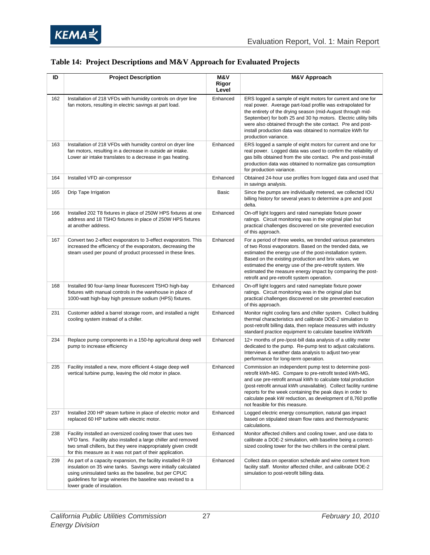

| ID  | <b>Project Description</b>                                                                                                                                                                                                                                                           | M&V<br>Rigor<br>Level | <b>M&amp;V Approach</b>                                                                                                                                                                                                                                                                                                                                                                                               |
|-----|--------------------------------------------------------------------------------------------------------------------------------------------------------------------------------------------------------------------------------------------------------------------------------------|-----------------------|-----------------------------------------------------------------------------------------------------------------------------------------------------------------------------------------------------------------------------------------------------------------------------------------------------------------------------------------------------------------------------------------------------------------------|
| 162 | Installation of 218 VFDs with humidity controls on dryer line<br>fan motors, resulting in electric savings at part load.                                                                                                                                                             | Enhanced              | ERS logged a sample of eight motors for current and one for<br>real power. Average part-load profile was extrapolated for<br>the entirety of the drying season (mid-August through mid-<br>September) for both 25 and 30 hp motors. Electric utility bills<br>were also obtained through the site contact. Pre and post-<br>install production data was obtained to normalize kWh for<br>production variance.         |
| 163 | Installation of 218 VFDs with humidity control on dryer line<br>fan motors, resulting in a decrease in outside air intake.<br>Lower air intake translates to a decrease in gas heating.                                                                                              | Enhanced              | ERS logged a sample of eight motors for current and one for<br>real power. Logged data was used to confirm the reliability of<br>gas bills obtained from the site contact. Pre and post-install<br>production data was obtained to normalize gas consumption<br>for production variance.                                                                                                                              |
| 164 | Installed VFD air-compressor                                                                                                                                                                                                                                                         | Enhanced              | Obtained 24-hour use profiles from logged data and used that<br>in savings analysis.                                                                                                                                                                                                                                                                                                                                  |
| 165 | Drip Tape Irrigation                                                                                                                                                                                                                                                                 | Basic                 | Since the pumps are individually metered, we collected IOU<br>billing history for several years to determine a pre and post<br>delta.                                                                                                                                                                                                                                                                                 |
| 166 | Installed 202 T8 fixtures in place of 250W HPS fixtures at one<br>address and 18 T5HO fixtures in place of 250W HPS fixtures<br>at another address.                                                                                                                                  | Enhanced              | On-off light loggers and rated nameplate fixture power<br>ratings. Circuit monitoring was in the original plan but<br>practical challenges discovered on site prevented execution<br>of this approach.                                                                                                                                                                                                                |
| 167 | Convert two 2-effect evaporators to 3-effect evaporators. This<br>increased the efficiency of the evaporators, decreasing the<br>steam used per pound of product processed in these lines.                                                                                           | Enhanced              | For a period of three weeks, we trended various parameters<br>of two Rossi evaporators. Based on the trended data, we<br>estimated the energy use of the post-installation system.<br>Based on the existing production and brix values, we<br>estimated the energy use of the pre-retrofit system. We<br>estimated the measure energy impact by comparing the post-<br>retrofit and pre-retrofit system operation.    |
| 168 | Installed 90 four-lamp linear fluorescent T5HO high-bay<br>fixtures with manual controls in the warehouse in place of<br>1000-watt high-bay high pressure sodium (HPS) fixtures.                                                                                                     | Enhanced              | On-off light loggers and rated nameplate fixture power<br>ratings. Circuit monitoring was in the original plan but<br>practical challenges discovered on site prevented execution<br>of this approach.                                                                                                                                                                                                                |
| 231 | Customer added a barrel storage room, and installed a night<br>cooling system instead of a chiller.                                                                                                                                                                                  | Enhanced              | Monitor night cooling fans and chiller system. Collect building<br>thermal characteristics and calibrate DOE-2 simulation to<br>post-retrofit billing data, then replace measures with industry<br>standard practice equipment to calculate baseline kW/kWh                                                                                                                                                           |
| 234 | Replace pump components in a 150-hp agricultural deep well<br>pump to increase efficiency                                                                                                                                                                                            | Enhanced              | 12+ months of pre-/post-bill data analysis of a utility meter<br>dedicated to the pump. Re-pump test to adjust calculations.<br>Interviews & weather data analysis to adjust two-year<br>performance for long-term operation.                                                                                                                                                                                         |
| 235 | Facility installed a new, more efficient 4-stage deep well<br>vertical turbine pump, leaving the old motor in place.                                                                                                                                                                 | Enhanced              | Commission an independent pump test to determine post-<br>retrofit kWh-MG. Compare to pre-retrofit tested kWh-MG,<br>and use pre-retrofit annual kWh to calculate total production<br>(post-retrofit annual kWh unavailable). Collect facility runtime<br>reports for the week containing the peak days in order to<br>calculate peak kW reduction, as development of 8,760 profile<br>not feasible for this measure. |
| 237 | Installed 200 HP steam turbine in place of electric motor and<br>replaced 60 HP turbine with electric motor.                                                                                                                                                                         | Enhanced              | Logged electric energy consumption, natural gas impact<br>based on stipulated steam flow rates and thermodynamic<br>calculations.                                                                                                                                                                                                                                                                                     |
| 238 | Facility installed an oversized cooling tower that uses two<br>VFD fans. Facility also installed a large chiller and removed<br>two small chillers, but they were inappropriately given credit<br>for this measure as it was not part of their application.                          | Enhanced              | Monitor affected chillers and cooling tower, and use data to<br>calibrate a DOE-2 simulation, with baseline being a correct-<br>sized cooling tower for the two chillers in the central plant.                                                                                                                                                                                                                        |
| 239 | As part of a capacity expansion, the facility installed R-19<br>insulation on 35 wine tanks. Savings were initially calculated<br>using uninsulated tanks as the baseline, but per CPUC<br>guidelines for large wineries the baseline was revised to a<br>lower grade of insulation. | Enhanced              | Collect data on operation schedule and wine content from<br>facility staff. Monitor affected chiller, and calibrate DOE-2<br>simulation to post-retrofit billing data.                                                                                                                                                                                                                                                |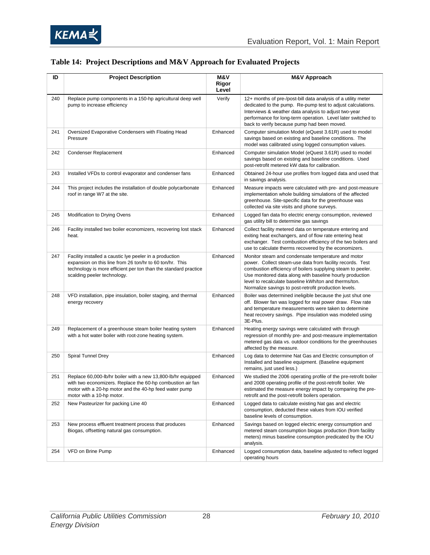

|  |  |  | Table 14: Project Descriptions and M&V Approach for Evaluated Projects |
|--|--|--|------------------------------------------------------------------------|
|--|--|--|------------------------------------------------------------------------|

| ID  | <b>Project Description</b>                                                                                                                                                                                            | M&V<br>Rigor<br>Level | <b>M&amp;V Approach</b>                                                                                                                                                                                                                                                                                                                                      |
|-----|-----------------------------------------------------------------------------------------------------------------------------------------------------------------------------------------------------------------------|-----------------------|--------------------------------------------------------------------------------------------------------------------------------------------------------------------------------------------------------------------------------------------------------------------------------------------------------------------------------------------------------------|
| 240 | Replace pump components in a 150-hp agricultural deep well<br>pump to increase efficiency                                                                                                                             | Verify                | 12+ months of pre-/post-bill data analysis of a utility meter<br>dedicated to the pump. Re-pump test to adjust calculations.<br>Interviews & weather data analysis to adjust two-year<br>performance for long-term operation. Level later switched to<br>back to verify because pump had been moved.                                                         |
| 241 | Oversized Evaporative Condensers with Floating Head<br>Pressure                                                                                                                                                       | Enhanced              | Computer simulation Model (eQuest 3.61R) used to model<br>savings based on existing and baseline conditions. The<br>model was calibrated using logged consumption values.                                                                                                                                                                                    |
| 242 | <b>Condenser Replacement</b>                                                                                                                                                                                          | Enhanced              | Computer simulation Model (eQuest 3.61R) used to model<br>savings based on existing and baseline conditions. Used<br>post-retrofit metered kW data for calibration.                                                                                                                                                                                          |
| 243 | Installed VFDs to control evaporator and condenser fans                                                                                                                                                               | Enhanced              | Obtained 24-hour use profiles from logged data and used that<br>in savings analysis.                                                                                                                                                                                                                                                                         |
| 244 | This project includes the installation of double polycarbonate<br>roof in range W7 at the site.                                                                                                                       | Enhanced              | Measure impacts were calculated with pre- and post-measure<br>implementation whole building simulations of the affected<br>greenhouse. Site-specific data for the greenhouse was<br>collected via site visits and phone surveys.                                                                                                                             |
| 245 | Modification to Drying Ovens                                                                                                                                                                                          | Enhanced              | Logged fan data fro electric energy consumption, reviewed<br>gas utility bill to determine gas savings                                                                                                                                                                                                                                                       |
| 246 | Facility installed two boiler economizers, recovering lost stack<br>heat.                                                                                                                                             | Enhanced              | Collect facility metered data on temperature entering and<br>exiting heat exchangers, and of flow rate entering heat<br>exchanger. Test combustion efficiency of the two boilers and<br>use to calculate therms recovered by the economizers.                                                                                                                |
| 247 | Facility installed a caustic lye peeler in a production<br>expansion on this line from 26 ton/hr to 60 ton/hr. This<br>technology is more efficient per ton than the standard practice<br>scalding peeler technology. | Enhanced              | Monitor steam and condensate temperature and motor<br>power. Collect steam-use data from facility records. Test<br>combustion efficiency of boilers supplying steam to peeler.<br>Use monitored data along with baseline hourly production<br>level to recalculate baseline kWh/ton and therms/ton.<br>Normalize savings to post-retrofit production levels. |
| 248 | VFD installation, pipe insulation, boiler staging, and thermal<br>energy recovery                                                                                                                                     | Enhanced              | Boiler was determined ineligible because the just shut one<br>off. Blower fan was logged for real power draw. Flow rate<br>and temperature measurements were taken to determine<br>heat recovery savings. Pipe insulation was modeled using<br>3E-Plus.                                                                                                      |
| 249 | Replacement of a greenhouse steam boiler heating system<br>with a hot water boiler with root-zone heating system.                                                                                                     | Enhanced              | Heating energy savings were calculated with through<br>regression of monthly pre- and post-measure implementation<br>metered gas data vs. outdoor conditions for the greenhouses<br>affected by the measure.                                                                                                                                                 |
| 250 | Spiral Tunnel Drey                                                                                                                                                                                                    | Enhanced              | Log data to determine Nat Gas and Electric consumption of<br>Installed and baseline equipment. (Baseline equipment<br>remains, just used less.)                                                                                                                                                                                                              |
| 251 | Replace 60,000-lb/hr boiler with a new 13,800-lb/hr equipped<br>with two economizers. Replace the 60-hp combustion air fan<br>motor with a 20-hp motor and the 40-hp feed water pump<br>motor with a 10-hp motor.     | Enhanced              | We studied the 2006 operating profile of the pre-retrofit boiler<br>and 2008 operating profile of the post-retrofit boiler. We<br>estimated the measure energy impact by comparing the pre-<br>retrofit and the post-retrofit boilers operation.                                                                                                             |
| 252 | New Pasteurizer for packing Line 40                                                                                                                                                                                   | Enhanced              | Logged data to calculate existing Nat gas and electric<br>consumption, deducted these values from IOU verified<br>baseline levels of consumption.                                                                                                                                                                                                            |
| 253 | New process effluent treatment process that produces<br>Biogas, offsetting natural gas consumption.                                                                                                                   | Enhanced              | Savings based on logged electric energy consumption and<br>metered steam consumption biogas production (from facility<br>meters) minus baseline consumption predicated by the IOU<br>analysis.                                                                                                                                                               |
| 254 | VFD on Brine Pump                                                                                                                                                                                                     | Enhanced              | Logged consumption data, baseline adjusted to reflect logged<br>operating hours                                                                                                                                                                                                                                                                              |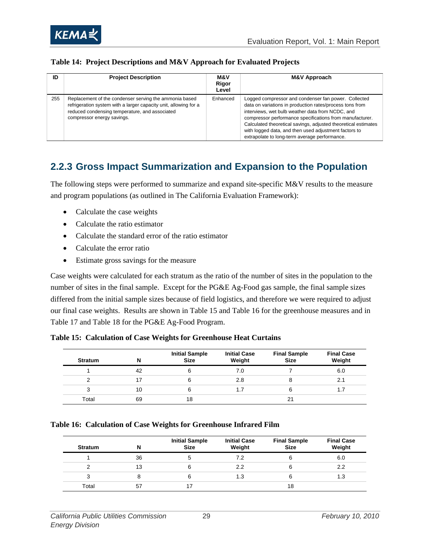

| ID  | <b>Project Description</b>                                                                                                                                                                                 | M&V<br>Rigor<br>Level | M&V Approach                                                                                                                                                                                                                                                                                                                                                                                                 |
|-----|------------------------------------------------------------------------------------------------------------------------------------------------------------------------------------------------------------|-----------------------|--------------------------------------------------------------------------------------------------------------------------------------------------------------------------------------------------------------------------------------------------------------------------------------------------------------------------------------------------------------------------------------------------------------|
| 255 | Replacement of the condenser serving the ammonia based<br>refrigeration system with a larger capacity unit, allowing for a<br>reduced condensing temperature, and associated<br>compressor energy savings. | Enhanced              | Logged compressor and condenser fan power. Collected<br>data on variations in production rates/process tons from<br>interviews, wet bulb weather data from NCDC, and<br>compressor performance specifications from manufacturer.<br>Calculated theoretical savings, adjusted theoretical estimates<br>with logged data, and then used adjustment factors to<br>extrapolate to long-term average performance. |

### **2.2.3 Gross Impact Summarization and Expansion to the Population**

The following steps were performed to summarize and expand site-specific M&V results to the measure and program populations (as outlined in The California Evaluation Framework):

- Calculate the case weights
- Calculate the ratio estimator
- Calculate the standard error of the ratio estimator
- Calculate the error ratio
- Estimate gross savings for the measure

Case weights were calculated for each stratum as the ratio of the number of sites in the population to the number of sites in the final sample. Except for the PG&E Ag-Food gas sample, the final sample sizes differed from the initial sample sizes because of field logistics, and therefore we were required to adjust our final case weights. Results are shown in [Table 15](#page-42-0) and [Table 16](#page-42-1) for the greenhouse measures and in [Table 17](#page-43-0) and [Table 18](#page-43-1) for the PG&E Ag-Food Program.

<span id="page-42-0"></span>

|  | Table 15: Calculation of Case Weights for Greenhouse Heat Curtains |  |  |  |  |  |
|--|--------------------------------------------------------------------|--|--|--|--|--|
|--|--------------------------------------------------------------------|--|--|--|--|--|

| <b>Stratum</b> |    | <b>Initial Sample</b><br><b>Size</b> | <b>Initial Case</b><br>Weight | <b>Final Sample</b><br><b>Size</b> | <b>Final Case</b><br>Weight |
|----------------|----|--------------------------------------|-------------------------------|------------------------------------|-----------------------------|
|                | 42 |                                      | 7.0                           |                                    | 6.0                         |
|                |    |                                      | 2.8                           |                                    | 2.1                         |
| 3              | 10 |                                      |                               | 6                                  | 1.7                         |
| Total          | 69 | 18                                   |                               | 21                                 |                             |

#### <span id="page-42-1"></span>**Table 16: Calculation of Case Weights for Greenhouse Infrared Film**

| <b>Stratum</b> | N  | <b>Initial Sample</b><br><b>Size</b> | <b>Initial Case</b><br>Weight | <b>Final Sample</b><br><b>Size</b> | <b>Final Case</b><br>Weight |
|----------------|----|--------------------------------------|-------------------------------|------------------------------------|-----------------------------|
|                | 36 | 5                                    | 7.2                           | 6                                  | 6.0                         |
| 2              | 13 | 6                                    | 2.2                           | 6                                  | 2.2                         |
|                |    | 6                                    | 1.3                           | 6                                  | 1.3                         |
| Total          | 57 |                                      |                               | 18                                 |                             |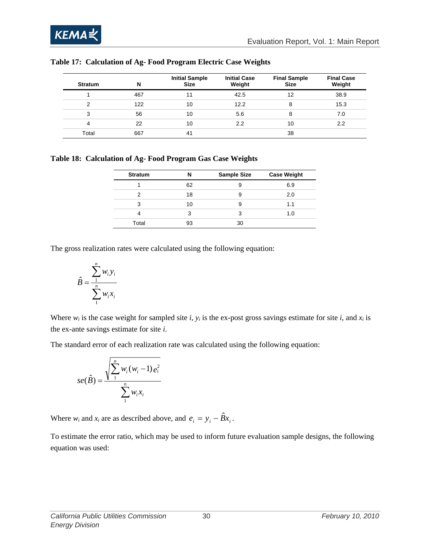

| <b>Stratum</b> | N   | <b>Initial Sample</b><br><b>Size</b> | <b>Initial Case</b><br>Weight | <b>Final Sample</b><br><b>Size</b> | <b>Final Case</b><br>Weight |
|----------------|-----|--------------------------------------|-------------------------------|------------------------------------|-----------------------------|
|                | 467 | 11                                   | 42.5                          | 12                                 | 38.9                        |
| っ              | 122 | 10                                   | 12.2                          | 8                                  | 15.3                        |
| 3              | 56  | 10                                   | 5.6                           | 8                                  | 7.0                         |
| 4              | 22  | 10                                   | 2.2                           | 10                                 | 2.2                         |
| Total          | 667 | 41                                   |                               | 38                                 |                             |

#### <span id="page-43-0"></span>**Table 17: Calculation of Ag- Food Program Electric Case Weights**

<span id="page-43-1"></span>**Table 18: Calculation of Ag- Food Program Gas Case Weights** 

| <b>Stratum</b> | N  | <b>Sample Size</b> | <b>Case Weight</b> |
|----------------|----|--------------------|--------------------|
|                | 62 | g                  | 6.9                |
|                | 18 | g                  | 2.0                |
|                | 10 | 9                  | 1.1                |
|                | ว  |                    | 1.0                |
| Total          | 93 | 30                 |                    |

The gross realization rates were calculated using the following equation:

$$
\hat{B} = \frac{\sum_{1}^{n} w_i y_i}{\sum_{1}^{n} w_i x_i}
$$

Where  $w_i$  is the case weight for sampled site *i*,  $y_i$  is the ex-post gross savings estimate for site *i*, and  $x_i$  is the ex-ante savings estimate for site *i*.

The standard error of each realization rate was calculated using the following equation:

$$
se(\hat{B}) = \frac{\sqrt{\sum_{i=1}^{n} w_i (w_i - 1) e_i^2}}{\sum_{i=1}^{n} w_i x_i}
$$

Where  $w_i$  and  $x_i$  are as described above, and  $e_i = y_i - \hat{B}x_i$ .

To estimate the error ratio, which may be used to inform future evaluation sample designs, the following equation was used: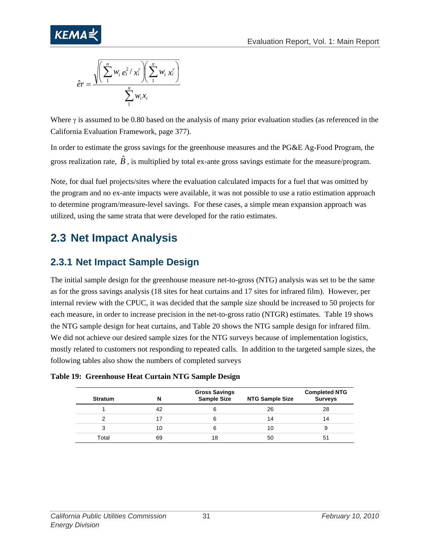

$$
\hat{e}r = \frac{\sqrt{\left(\sum_{1}^{n} w_i e_i^2 / x_i^{\gamma}\right)\left(\sum_{1}^{n} w_i x_i^{\gamma}\right)}}{\sum_{1}^{n} w_i x_i}
$$

Where  $\gamma$  is assumed to be 0.80 based on the analysis of many prior evaluation studies (as referenced in the California Evaluation Framework, page 377).

In order to estimate the gross savings for the greenhouse measures and the PG&E Ag-Food Program, the gross realization rate,  $\hat{B}$ , is multiplied by total ex-ante gross savings estimate for the measure/program.

Note, for dual fuel projects/sites where the evaluation calculated impacts for a fuel that was omitted by the program and no ex-ante impacts were available, it was not possible to use a ratio estimation approach to determine program/measure-level savings. For these cases, a simple mean expansion approach was utilized, using the same strata that were developed for the ratio estimates.

## **2.3 Net Impact Analysis**

### **2.3.1 Net Impact Sample Design**

The initial sample design for the greenhouse measure net-to-gross (NTG) analysis was set to be the same as for the gross savings analysis (18 sites for heat curtains and 17 sites for infrared film). However, per internal review with the CPUC, it was decided that the sample size should be increased to 50 projects for each measure, in order to increase precision in the net-to-gross ratio (NTGR) estimates. [Table 19](#page-44-0) shows the NTG sample design for heat curtains, and [Table 20](#page-45-0) shows the NTG sample design for infrared film. We did not achieve our desired sample sizes for the NTG surveys because of implementation logistics, mostly related to customers not responding to repeated calls. In addition to the targeted sample sizes, the following tables also show the numbers of completed surveys

#### <span id="page-44-0"></span>**Table 19: Greenhouse Heat Curtain NTG Sample Design**

| <b>Stratum</b> | N  | <b>Gross Savings</b><br>Sample Size | <b>NTG Sample Size</b> | <b>Completed NTG</b><br><b>Surveys</b> |
|----------------|----|-------------------------------------|------------------------|----------------------------------------|
|                | 42 |                                     | 26                     | 28                                     |
|                |    |                                     | 14                     | 14                                     |
|                | 10 |                                     | 10                     |                                        |
| Total          | 69 | 18                                  | 50                     | 51                                     |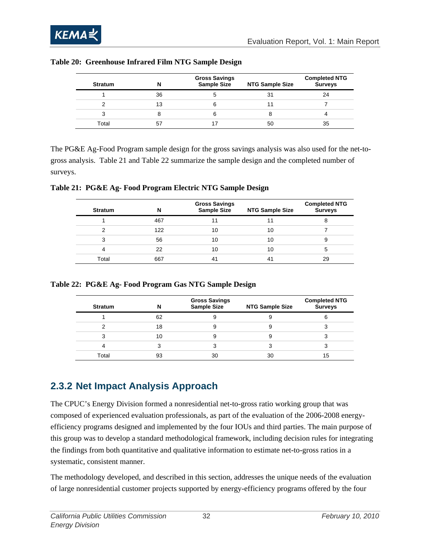

| <b>Stratum</b> | N  | <b>Gross Savings</b><br><b>Sample Size</b> | <b>NTG Sample Size</b> | <b>Completed NTG</b><br><b>Surveys</b> |
|----------------|----|--------------------------------------------|------------------------|----------------------------------------|
|                | 36 |                                            | 31                     | 24                                     |
|                | 13 | 6                                          |                        |                                        |
|                |    |                                            |                        |                                        |
| Total          |    |                                            | 50                     | 35                                     |

#### <span id="page-45-0"></span>**Table 20: Greenhouse Infrared Film NTG Sample Design**

The PG&E Ag-Food Program sample design for the gross savings analysis was also used for the net-togross analysis. [Table 21](#page-45-1) and [Table 22](#page-45-2) summarize the sample design and the completed number of surveys.

<span id="page-45-1"></span>**Table 21: PG&E Ag- Food Program Electric NTG Sample Design** 

| <b>Stratum</b> | N   | <b>Gross Savings</b><br><b>Sample Size</b> | <b>NTG Sample Size</b> | <b>Completed NTG</b><br><b>Surveys</b> |
|----------------|-----|--------------------------------------------|------------------------|----------------------------------------|
|                | 467 |                                            | 11                     |                                        |
|                | 122 | 10                                         | 10                     |                                        |
|                | 56  | 10                                         | 10                     |                                        |
|                | 22  | 10                                         | 10                     |                                        |
| Total          | 667 |                                            | 4 <sup>1</sup>         | 29                                     |

#### <span id="page-45-2"></span>**Table 22: PG&E Ag- Food Program Gas NTG Sample Design**

| <b>Stratum</b> | N  | <b>Gross Savings</b><br><b>Sample Size</b> | <b>NTG Sample Size</b> | <b>Completed NTG</b><br><b>Surveys</b> |
|----------------|----|--------------------------------------------|------------------------|----------------------------------------|
|                | 62 |                                            |                        |                                        |
|                | 18 |                                            |                        |                                        |
|                | 10 |                                            | g                      |                                        |
|                | 3  |                                            |                        |                                        |
| Total          | 93 | 30                                         | 30                     | 15                                     |

### **2.3.2 Net Impact Analysis Approach**

The CPUC's Energy Division formed a nonresidential net-to-gross ratio working group that was composed of experienced evaluation professionals, as part of the evaluation of the 2006-2008 energyefficiency programs designed and implemented by the four IOUs and third parties. The main purpose of this group was to develop a standard methodological framework, including decision rules for integrating the findings from both quantitative and qualitative information to estimate net-to-gross ratios in a systematic, consistent manner.

The methodology developed, and described in this section, addresses the unique needs of the evaluation of large nonresidential customer projects supported by energy-efficiency programs offered by the four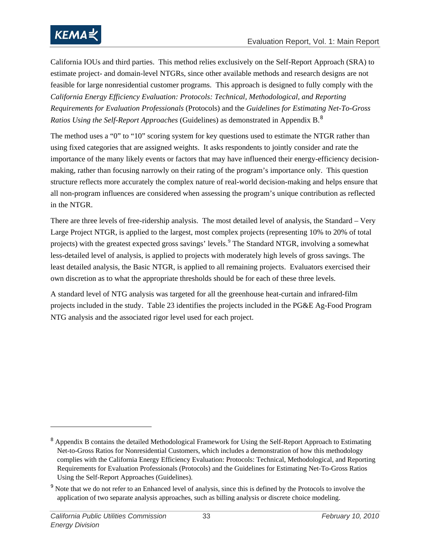

California IOUs and third parties. This method relies exclusively on the Self-Report Approach (SRA) to estimate project- and domain-level NTGRs, since other available methods and research designs are not feasible for large nonresidential customer programs. This approach is designed to fully comply with the *California Energy Efficiency Evaluation: Protocols: Technical, Methodological, and Reporting Requirements for Evaluation Professionals* (Protocols) and the *Guidelines for Estimating Net-To-Gross Ratios Using the Self-Report Approaches (Guidelines)* as demonstrated in Appendix B.<sup>[8](#page-46-0)</sup>

The method uses a "0" to "10" scoring system for key questions used to estimate the NTGR rather than using fixed categories that are assigned weights. It asks respondents to jointly consider and rate the importance of the many likely events or factors that may have influenced their energy-efficiency decisionmaking, rather than focusing narrowly on their rating of the program's importance only. This question structure reflects more accurately the complex nature of real-world decision-making and helps ensure that all non-program influences are considered when assessing the program's unique contribution as reflected in the NTGR.

There are three levels of free-ridership analysis. The most detailed level of analysis, the Standard – Very Large Project NTGR, is applied to the largest, most complex projects (representing 10% to 20% of total projects) with the greatest expected gross savings' levels. The Standard NTGR, involving a somewhat less-detailed level of analysis, is applied to projects with moderately high levels of gross savings. The least detailed analysis, the Basic NTGR, is applied to all remaining projects. Evaluators exercised their own discretion as to what the appropriate thresholds should be for each of these three levels.

A standard level of NTG analysis was targeted for all the greenhouse heat-curtain and infrared-film projects included in the study. [Table 23](#page-47-0) identifies the projects included in the PG&E Ag-Food Program NTG analysis and the associated rigor level used for each project.

-

<span id="page-46-0"></span><sup>&</sup>lt;sup>8</sup> Appendix B contains the detailed Methodological Framework for Using the Self-Report Approach to Estimating Net-to-Gross Ratios for Nonresidential Customers, which includes a demonstration of how this methodology complies with the California Energy Efficiency Evaluation: Protocols: Technical, Methodological, and Reporting Requirements for Evaluation Professionals (Protocols) and the Guidelines for Estimating Net-To-Gross Ratios Using the Self-Report Approaches (Guidelines).

<span id="page-46-1"></span><sup>&</sup>lt;sup>9</sup> Note that we do not refer to an Enhanced level of analysis, since this is defined by the Protocols to involve the application of two separate analysis approaches, such as billing analysis or discrete choice modeling.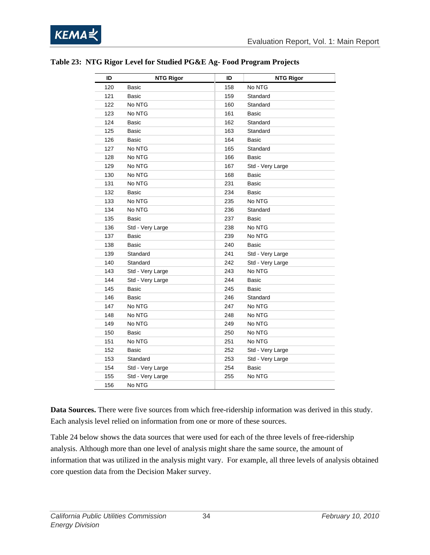

| ID  | <b>NTG Rigor</b> | ID  | <b>NTG Rigor</b> |
|-----|------------------|-----|------------------|
| 120 | <b>Basic</b>     | 158 | No NTG           |
| 121 | Basic            | 159 | Standard         |
| 122 | No NTG           | 160 | Standard         |
| 123 | No NTG           | 161 | <b>Basic</b>     |
| 124 | <b>Basic</b>     | 162 | Standard         |
| 125 | Basic            | 163 | Standard         |
| 126 | <b>Basic</b>     | 164 | <b>Basic</b>     |
| 127 | No NTG           | 165 | Standard         |
| 128 | No NTG           | 166 | <b>Basic</b>     |
| 129 | No NTG           | 167 | Std - Very Large |
| 130 | No NTG           | 168 | Basic            |
| 131 | No NTG           | 231 | Basic            |
| 132 | <b>Basic</b>     | 234 | Basic            |
| 133 | No NTG           | 235 | No NTG           |
| 134 | No NTG           | 236 | Standard         |
| 135 | <b>Basic</b>     | 237 | Basic            |
| 136 | Std - Very Large | 238 | No NTG           |
| 137 | Basic            | 239 | No NTG           |
| 138 | Basic            | 240 | Basic            |
| 139 | Standard         | 241 | Std - Very Large |
| 140 | Standard         | 242 | Std - Very Large |
| 143 | Std - Very Large | 243 | No NTG           |
| 144 | Std - Very Large | 244 | <b>Basic</b>     |
| 145 | <b>Basic</b>     | 245 | Basic            |
| 146 | Basic            | 246 | Standard         |
| 147 | No NTG           | 247 | No NTG           |
| 148 | No NTG           | 248 | No NTG           |
| 149 | No NTG           | 249 | No NTG           |
| 150 | Basic            | 250 | No NTG           |
| 151 | No NTG           | 251 | No NTG           |
| 152 | <b>Basic</b>     | 252 | Std - Very Large |
| 153 | Standard         | 253 | Std - Very Large |
| 154 | Std - Very Large | 254 | <b>Basic</b>     |
| 155 | Std - Very Large | 255 | No NTG           |
| 156 | No NTG           |     |                  |
|     |                  |     |                  |

#### <span id="page-47-0"></span>**Table 23: NTG Rigor Level for Studied PG&E Ag- Food Program Projects**

**Data Sources.** There were five sources from which free-ridership information was derived in this study. Each analysis level relied on information from one or more of these sources.

[Table 24](#page-48-0) below shows the data sources that were used for each of the three levels of free-ridership analysis. Although more than one level of analysis might share the same source, the amount of information that was utilized in the analysis might vary. For example, all three levels of analysis obtained core question data from the Decision Maker survey.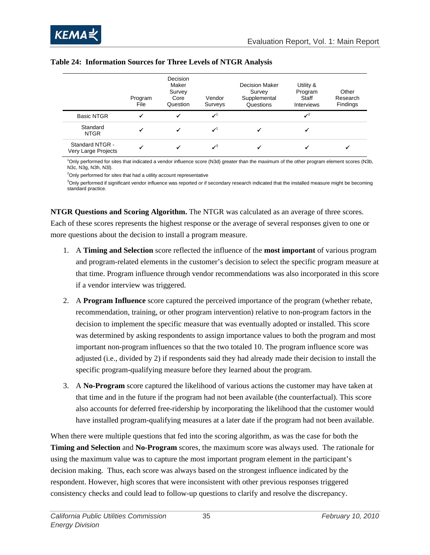|                                        | Program<br>File | <b>Decision</b><br>Maker<br>Survey<br>Core<br>Question | Vendor<br>Surveys | <b>Decision Maker</b><br>Survey<br>Supplemental<br>Questions | Utility &<br>Program<br>Staff<br><b>Interviews</b> | Other<br>Research<br>Findings |
|----------------------------------------|-----------------|--------------------------------------------------------|-------------------|--------------------------------------------------------------|----------------------------------------------------|-------------------------------|
| <b>Basic NTGR</b>                      |                 |                                                        |                   |                                                              |                                                    |                               |
| Standard<br><b>NTGR</b>                |                 |                                                        |                   |                                                              |                                                    |                               |
| Standard NTGR -<br>Very Large Projects |                 |                                                        | $\mathcal{I}^3$   |                                                              |                                                    | √                             |

#### <span id="page-48-0"></span>**Table 24: Information Sources for Three Levels of NTGR Analysis**

1 Only performed for sites that indicated a vendor influence score (N3d) greater than the maximum of the other program element scores (N3b, N3c, N3g, N3h, N3l).

 $2$ Only performed for sites that had a utility account representative

<sup>3</sup>Only performed if significant vendor influence was reported or if secondary research indicated that the installed measure might be becoming standard practice.

**NTGR Questions and Scoring Algorithm.** The NTGR was calculated as an average of three scores.

Each of these scores represents the highest response or the average of several responses given to one or more questions about the decision to install a program measure.

- 1. A **Timing and Selection** score reflected the influence of the **most important** of various program and program-related elements in the customer's decision to select the specific program measure at that time. Program influence through vendor recommendations was also incorporated in this score if a vendor interview was triggered.
- 2. A **Program Influence** score captured the perceived importance of the program (whether rebate, recommendation, training, or other program intervention) relative to non-program factors in the decision to implement the specific measure that was eventually adopted or installed. This score was determined by asking respondents to assign importance values to both the program and most important non-program influences so that the two totaled 10. The program influence score was adjusted (i.e., divided by 2) if respondents said they had already made their decision to install the specific program-qualifying measure before they learned about the program.
- 3. A **No-Program** score captured the likelihood of various actions the customer may have taken at that time and in the future if the program had not been available (the counterfactual). This score also accounts for deferred free-ridership by incorporating the likelihood that the customer would have installed program-qualifying measures at a later date if the program had not been available.

When there were multiple questions that fed into the scoring algorithm, as was the case for both the **Timing and Selection** and **No-Program** scores, the maximum score was always used. The rationale for using the maximum value was to capture the most important program element in the participant's decision making. Thus, each score was always based on the strongest influence indicated by the respondent. However, high scores that were inconsistent with other previous responses triggered consistency checks and could lead to follow-up questions to clarify and resolve the discrepancy.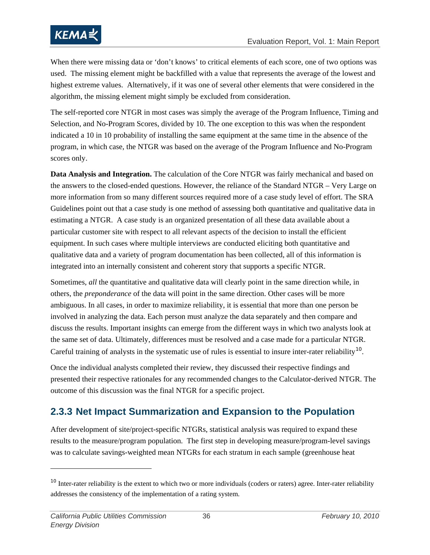

When there were missing data or 'don't knows' to critical elements of each score, one of two options was used. The missing element might be backfilled with a value that represents the average of the lowest and highest extreme values. Alternatively, if it was one of several other elements that were considered in the algorithm, the missing element might simply be excluded from consideration.

The self-reported core NTGR in most cases was simply the average of the Program Influence, Timing and Selection, and No-Program Scores, divided by 10. The one exception to this was when the respondent indicated a 10 in 10 probability of installing the same equipment at the same time in the absence of the program, in which case, the NTGR was based on the average of the Program Influence and No-Program scores only.

**Data Analysis and Integration.** The calculation of the Core NTGR was fairly mechanical and based on the answers to the closed-ended questions. However, the reliance of the Standard NTGR – Very Large on more information from so many different sources required more of a case study level of effort. The SRA Guidelines point out that a case study is one method of assessing both quantitative and qualitative data in estimating a NTGR. A case study is an organized presentation of all these data available about a particular customer site with respect to all relevant aspects of the decision to install the efficient equipment. In such cases where multiple interviews are conducted eliciting both quantitative and qualitative data and a variety of program documentation has been collected, all of this information is integrated into an internally consistent and coherent story that supports a specific NTGR.

Sometimes, *all* the quantitative and qualitative data will clearly point in the same direction while, in others, the *preponderance* of the data will point in the same direction. Other cases will be more ambiguous. In all cases, in order to maximize reliability, it is essential that more than one person be involved in analyzing the data. Each person must analyze the data separately and then compare and discuss the results. Important insights can emerge from the different ways in which two analysts look at the same set of data. Ultimately, differences must be resolved and a case made for a particular NTGR. Careful training of analysts in the systematic use of rules is essential to insure inter-rater reliability<sup>[10](#page-49-0)</sup>.

Once the individual analysts completed their review, they discussed their respective findings and presented their respective rationales for any recommended changes to the Calculator-derived NTGR. The outcome of this discussion was the final NTGR for a specific project.

## **2.3.3 Net Impact Summarization and Expansion to the Population**

After development of site/project-specific NTGRs, statistical analysis was required to expand these results to the measure/program population. The first step in developing measure/program-level savings was to calculate savings-weighted mean NTGRs for each stratum in each sample (greenhouse heat

l

<span id="page-49-0"></span> $10$  Inter-rater reliability is the extent to which two or more individuals (coders or raters) agree. Inter-rater reliability addresses the consistency of the implementation of a rating system.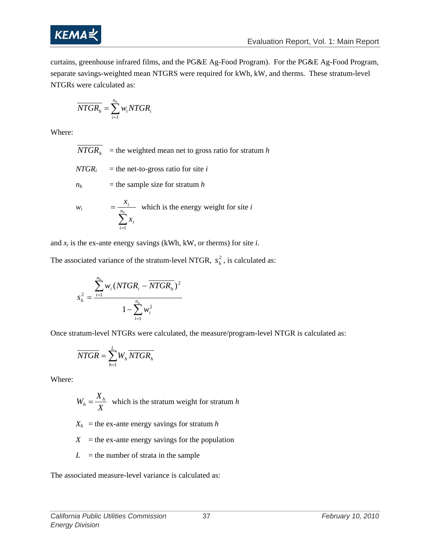

curtains, greenhouse infrared films, and the PG&E Ag-Food Program). For the PG&E Ag-Food Program, separate savings-weighted mean NTGRS were required for kWh, kW, and therms. These stratum-level NTGRs were calculated as:

$$
\overline{NTGR_h} = \sum_{i=1}^{n_h} w_i NTGR_i
$$

Where:

 $\overline{NTGR_h}$  = the weighted mean net to gross ratio for stratum *h* 

 $NTGR_i$  = the net-to-gross ratio for site *i* 

 $n_h$  = the sample size for stratum *h* 

$$
w_i = \frac{x_i}{\sum_{i=1}^{n_h} x_i}
$$
 which is the energy weight for site *i*

and  $x_i$  is the ex-ante energy savings (kWh, kW, or therms) for site *i*.

The associated variance of the stratum-level NTGR,  $s_h^2$ , is calculated as:

$$
s_{h}^{2} = \frac{\sum_{i=1}^{n_{h}} w_{i} (NTGR_{i} - \overline{NTGR_{h}})^{2}}{1 - \sum_{i=1}^{n_{h}} w_{i}^{2}}
$$

Once stratum-level NTGRs were calculated, the measure/program-level NTGR is calculated as:

$$
\overline{NTGR} = \sum_{h=1}^{L} W_h \overline{NTGR_h}
$$

Where:

$$
W_h = \frac{X_h}{X}
$$
 which is the stratum weight for stratum h

- $X_h$  = the ex-ante energy savings for stratum *h*
- $X =$  the ex-ante energy savings for the population
- $L =$  the number of strata in the sample

The associated measure-level variance is calculated as: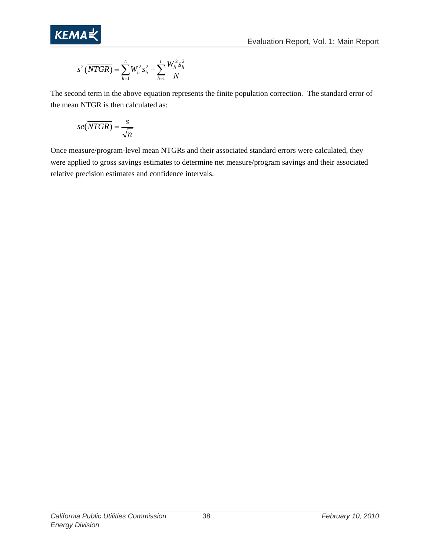

$$
s^{2}(\overline{NTGR}) = \sum_{h=1}^{L} W_{h}^{2} s_{h}^{2} - \sum_{h=1}^{L} \frac{W_{h}^{2} s_{h}^{2}}{N}
$$

The second term in the above equation represents the finite population correction. The standard error of the mean NTGR is then calculated as:

$$
se(\overline{NTGR}) = \frac{s}{\sqrt{n}}
$$

Once measure/program-level mean NTGRs and their associated standard errors were calculated, they were applied to gross savings estimates to determine net measure/program savings and their associated relative precision estimates and confidence intervals.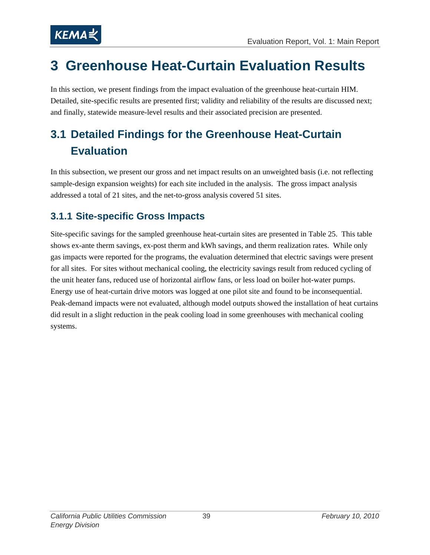

# **3 Greenhouse Heat-Curtain Evaluation Results**

In this section, we present findings from the impact evaluation of the greenhouse heat-curtain HIM. Detailed, site-specific results are presented first; validity and reliability of the results are discussed next; and finally, statewide measure-level results and their associated precision are presented.

## **3.1 Detailed Findings for the Greenhouse Heat-Curtain Evaluation**

In this subsection, we present our gross and net impact results on an unweighted basis (i.e. not reflecting sample-design expansion weights) for each site included in the analysis. The gross impact analysis addressed a total of 21 sites, and the net-to-gross analysis covered 51 sites.

## **3.1.1 Site-specific Gross Impacts**

Site-specific savings for the sampled greenhouse heat-curtain sites are presented in [Table 25](#page-53-0). This table shows ex-ante therm savings, ex-post therm and kWh savings, and therm realization rates. While only gas impacts were reported for the programs, the evaluation determined that electric savings were present for all sites. For sites without mechanical cooling, the electricity savings result from reduced cycling of the unit heater fans, reduced use of horizontal airflow fans, or less load on boiler hot-water pumps. Energy use of heat-curtain drive motors was logged at one pilot site and found to be inconsequential. Peak-demand impacts were not evaluated, although model outputs showed the installation of heat curtains did result in a slight reduction in the peak cooling load in some greenhouses with mechanical cooling systems.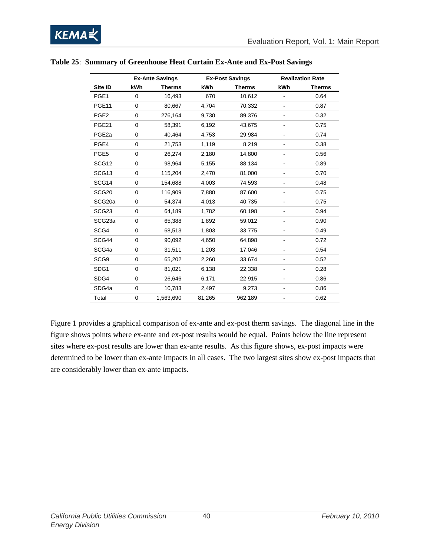

|                   |             | <b>Ex-Ante Savings</b> |        | <b>Ex-Post Savings</b> |                              | <b>Realization Rate</b> |
|-------------------|-------------|------------------------|--------|------------------------|------------------------------|-------------------------|
| Site ID           | kWh         | <b>Therms</b>          | kWh    | <b>Therms</b>          | kWh                          | <b>Therms</b>           |
| PGE1              | $\mathbf 0$ | 16,493                 | 670    | 10,612                 |                              | 0.64                    |
| <b>PGE11</b>      | 0           | 80,667                 | 4,704  | 70,332                 |                              | 0.87                    |
| PGE <sub>2</sub>  | 0           | 276,164                | 9,730  | 89,376                 |                              | 0.32                    |
| PGE <sub>21</sub> | 0           | 58,391                 | 6,192  | 43,675                 | -                            | 0.75                    |
| PGE <sub>2a</sub> | 0           | 40,464                 | 4,753  | 29,984                 |                              | 0.74                    |
| PGE4              | 0           | 21,753                 | 1,119  | 8,219                  |                              | 0.38                    |
| PGE <sub>5</sub>  | 0           | 26,274                 | 2,180  | 14,800                 |                              | 0.56                    |
| SCG12             | 0           | 98,964                 | 5,155  | 88,134                 |                              | 0.89                    |
| SCG <sub>13</sub> | 0           | 115,204                | 2,470  | 81,000                 |                              | 0.70                    |
| SCG14             | 0           | 154,688                | 4,003  | 74,593                 |                              | 0.48                    |
| SCG <sub>20</sub> | 0           | 116,909                | 7,880  | 87,600                 |                              | 0.75                    |
| SCG20a            | 0           | 54,374                 | 4,013  | 40,735                 |                              | 0.75                    |
| SCG <sub>23</sub> | 0           | 64,189                 | 1,782  | 60,198                 | $\qquad \qquad \blacksquare$ | 0.94                    |
| SCG23a            | 0           | 65,388                 | 1,892  | 59,012                 |                              | 0.90                    |
| SCG4              | 0           | 68,513                 | 1,803  | 33,775                 | ٠                            | 0.49                    |
| SCG44             | 0           | 90,092                 | 4,650  | 64,898                 |                              | 0.72                    |
| SCG4a             | 0           | 31,511                 | 1,203  | 17,046                 |                              | 0.54                    |
| SCG9              | 0           | 65,202                 | 2,260  | 33,674                 |                              | 0.52                    |
| SDG1              | 0           | 81,021                 | 6,138  | 22,338                 |                              | 0.28                    |
| SDG4              | $\mathbf 0$ | 26,646                 | 6,171  | 22,915                 |                              | 0.86                    |
| SDG4a             | $\mathbf 0$ | 10,783                 | 2,497  | 9,273                  |                              | 0.86                    |
| Total             | 0           | 1,563,690              | 81,265 | 962,189                |                              | 0.62                    |

#### <span id="page-53-0"></span>**Table 25**: **Summary of Greenhouse Heat Curtain Ex-Ante and Ex-Post Savings**

[Figure 1](#page-54-0) provides a graphical comparison of ex-ante and ex-post therm savings. The diagonal line in the figure shows points where ex-ante and ex-post results would be equal. Points below the line represent sites where ex-post results are lower than ex-ante results. As this figure shows, ex-post impacts were determined to be lower than ex-ante impacts in all cases. The two largest sites show ex-post impacts that are considerably lower than ex-ante impacts.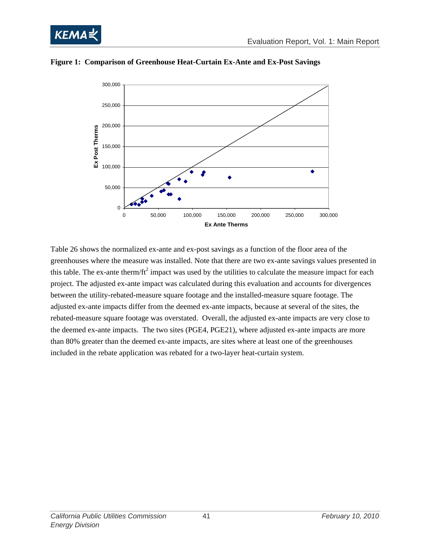





#### <span id="page-54-0"></span>**Figure 1: Comparison of Greenhouse Heat-Curtain Ex-Ante and Ex-Post Savings**

[Table 26](#page-55-0) shows the normalized ex-ante and ex-post savings as a function of the floor area of the greenhouses where the measure was installed. Note that there are two ex-ante savings values presented in this table. The ex-ante therm/ft<sup>2</sup> impact was used by the utilities to calculate the measure impact for each project. The adjusted ex-ante impact was calculated during this evaluation and accounts for divergences between the utility-rebated-measure square footage and the installed-measure square footage. The adjusted ex-ante impacts differ from the deemed ex-ante impacts, because at several of the sites, the rebated-measure square footage was overstated. Overall, the adjusted ex-ante impacts are very close to the deemed ex-ante impacts. The two sites (PGE4, PGE21), where adjusted ex-ante impacts are more than 80% greater than the deemed ex-ante impacts, are sites where at least one of the greenhouses included in the rebate application was rebated for a two-layer heat-curtain system.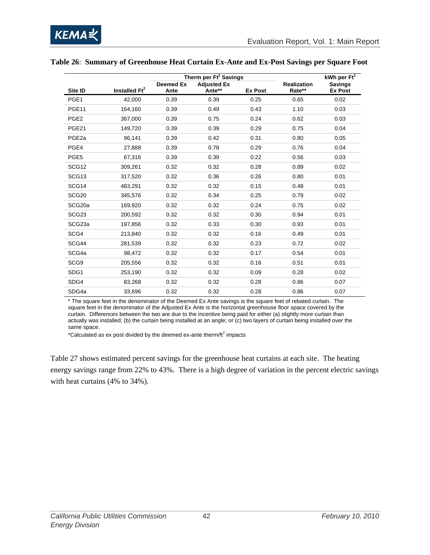

|                   |                           | Therm per Ft <sup>2</sup> Savings |                              |                | kWh per $Ft^2$               |                                  |
|-------------------|---------------------------|-----------------------------------|------------------------------|----------------|------------------------------|----------------------------------|
| Site ID           | Installed Ft <sup>2</sup> | <b>Deemed Ex</b><br>Ante          | <b>Adjusted Ex</b><br>Ante** | <b>Ex Post</b> | <b>Realization</b><br>Rate** | <b>Savings</b><br><b>Ex Post</b> |
| PGE1              | 42,000                    | 0.39                              | 0.39                         | 0.25           | 0.65                         | 0.02                             |
| <b>PGE11</b>      | 164,160                   | 0.39                              | 0.49                         | 0.43           | 1.10                         | 0.03                             |
| PGE <sub>2</sub>  | 367,000                   | 0.39                              | 0.75                         | 0.24           | 0.62                         | 0.03                             |
| PGE21             | 149,720                   | 0.39                              | 0.39                         | 0.29           | 0.75                         | 0.04                             |
| PGE <sub>2a</sub> | 96,141                    | 0.39                              | 0.42                         | 0.31           | 0.80                         | 0.05                             |
| PGE4              | 27,888                    | 0.39                              | 0.78                         | 0.29           | 0.76                         | 0.04                             |
| PGE <sub>5</sub>  | 67,316                    | 0.39                              | 0.39                         | 0.22           | 0.56                         | 0.03                             |
| SCG12             | 309,261                   | 0.32                              | 0.32                         | 0.28           | 0.89                         | 0.02                             |
| SCG13             | 317,520                   | 0.32                              | 0.36                         | 0.26           | 0.80                         | 0.01                             |
| SCG14             | 483,291                   | 0.32                              | 0.32                         | 0.15           | 0.48                         | 0.01                             |
| SCG <sub>20</sub> | 345,576                   | 0.32                              | 0.34                         | 0.25           | 0.79                         | 0.02                             |
| SCG20a            | 169,920                   | 0.32                              | 0.32                         | 0.24           | 0.75                         | 0.02                             |
| SCG <sub>23</sub> | 200,592                   | 0.32                              | 0.32                         | 0.30           | 0.94                         | 0.01                             |
| SCG23a            | 197,856                   | 0.32                              | 0.33                         | 0.30           | 0.93                         | 0.01                             |
| SCG4              | 213,840                   | 0.32                              | 0.32                         | 0.16           | 0.49                         | 0.01                             |
| SCG44             | 281,539                   | 0.32                              | 0.32                         | 0.23           | 0.72                         | 0.02                             |
| SCG4a             | 98,472                    | 0.32                              | 0.32                         | 0.17           | 0.54                         | 0.01                             |
| SCG9              | 205,556                   | 0.32                              | 0.32                         | 0.16           | 0.51                         | 0.01                             |
| SDG1              | 253,190                   | 0.32                              | 0.32                         | 0.09           | 0.28                         | 0.02                             |
| SDG4              | 83,268                    | 0.32                              | 0.32                         | 0.28           | 0.86                         | 0.07                             |
| SDG4a             | 33,696                    | 0.32                              | 0.32                         | 0.28           | 0.86                         | 0.07                             |

#### <span id="page-55-0"></span>**Table 26**: **Summary of Greenhouse Heat Curtain Ex-Ante and Ex-Post Savings per Square Foot**

\* The square feet in the denominator of the Deemed Ex Ante savings is the square feet of rebated curtain. The square feet in the denominator of the Adjusted Ex Ante is the horizontal greenhouse floor space covered by the curtain. Differences between the two are due to the incentive being paid for either (a) slightly more curtain than actually was installed; (b) the curtain being installed at an angle; or (c) two layers of curtain being installed over the same space.

\*Calculated as ex post divided by the deemed ex-ante therm/ $\text{ft}^2$  impacts

[Table 27](#page-56-0) shows estimated percent savings for the greenhouse heat curtains at each site. The heating energy savings range from 22% to 43%. There is a high degree of variation in the percent electric savings with heat curtains (4% to 34%).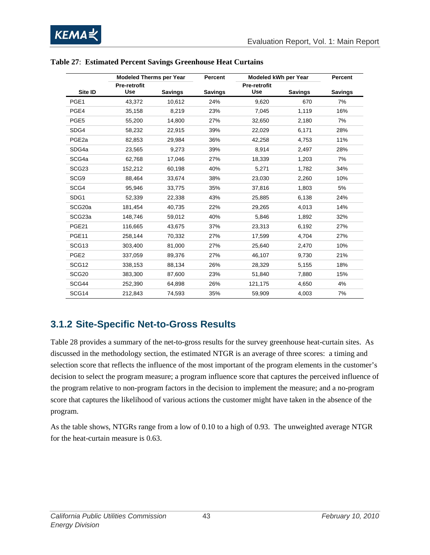

|                   | <b>Modeled Therms per Year</b>    |                | Percent        | Modeled kWh per Year              |                | Percent        |  |
|-------------------|-----------------------------------|----------------|----------------|-----------------------------------|----------------|----------------|--|
| Site ID           | <b>Pre-retrofit</b><br><b>Use</b> | <b>Savings</b> | <b>Savings</b> | <b>Pre-retrofit</b><br><b>Use</b> | <b>Savings</b> | <b>Savings</b> |  |
| PGE1              | 43,372                            | 10,612         | 24%            | 9,620                             | 670            | 7%             |  |
| PGE4              | 35,158                            | 8,219          | 23%            | 7,045                             | 1,119          | 16%            |  |
| PGE <sub>5</sub>  | 55,200                            | 14,800         | 27%            | 32,650                            | 2,180          | 7%             |  |
| SDG4              | 58,232                            | 22,915         | 39%            | 22,029                            | 6,171          | 28%            |  |
| PGE <sub>2a</sub> | 82,853                            | 29,984         | 36%            | 42,258                            | 4,753          | 11%            |  |
| SDG4a             | 23,565                            | 9,273          | 39%            | 8,914                             | 2,497          | 28%            |  |
| SCG4a             | 62,768                            | 17,046         | 27%            | 18,339                            | 1,203          | 7%             |  |
| SCG <sub>23</sub> | 152,212                           | 60,198         | 40%            | 5,271                             | 1,782          | 34%            |  |
| SCG9              | 88,464                            | 33,674         | 38%            | 23,030                            | 2,260          | 10%            |  |
| SCG4              | 95,946                            | 33,775         | 35%            | 37,816                            | 1,803          | 5%             |  |
| SDG1              | 52,339                            | 22,338         | 43%            | 25,885                            | 6,138          | 24%            |  |
| SCG20a            | 181,454                           | 40,735         | 22%            | 29,265                            | 4,013          | 14%            |  |
| SCG23a            | 148,746                           | 59,012         | 40%            | 5,846                             | 1,892          | 32%            |  |
| PGE21             | 116,665                           | 43,675         | 37%            | 23,313                            | 6,192          | 27%            |  |
| PGE11             | 258,144                           | 70,332         | 27%            | 17,599                            | 4,704          | 27%            |  |
| SCG <sub>13</sub> | 303,400                           | 81,000         | 27%            | 25,640                            | 2,470          | 10%            |  |
| PGE <sub>2</sub>  | 337,059                           | 89,376         | 27%            | 46,107                            | 9,730          | 21%            |  |
| SCG <sub>12</sub> | 338,153                           | 88,134         | 26%            | 28,329                            | 5,155          | 18%            |  |
| SCG <sub>20</sub> | 383,300                           | 87,600         | 23%            | 51,840                            | 7,880          | 15%            |  |
| SCG44             | 252,390                           | 64,898         | 26%            | 121,175                           | 4,650          | 4%             |  |
| SCG14             | 212,843                           | 74,593         | 35%            | 59,909                            | 4,003          | 7%             |  |

#### <span id="page-56-0"></span>**Table 27**: **Estimated Percent Savings Greenhouse Heat Curtains**

## **3.1.2 Site-Specific Net-to-Gross Results**

[Table 28](#page-57-0) provides a summary of the net-to-gross results for the survey greenhouse heat-curtain sites. As discussed in the methodology section, the estimated NTGR is an average of three scores: a timing and selection score that reflects the influence of the most important of the program elements in the customer's decision to select the program measure; a program influence score that captures the perceived influence of the program relative to non-program factors in the decision to implement the measure; and a no-program score that captures the likelihood of various actions the customer might have taken in the absence of the program.

As the table shows, NTGRs range from a low of 0.10 to a high of 0.93. The unweighted average NTGR for the heat-curtain measure is 0.63.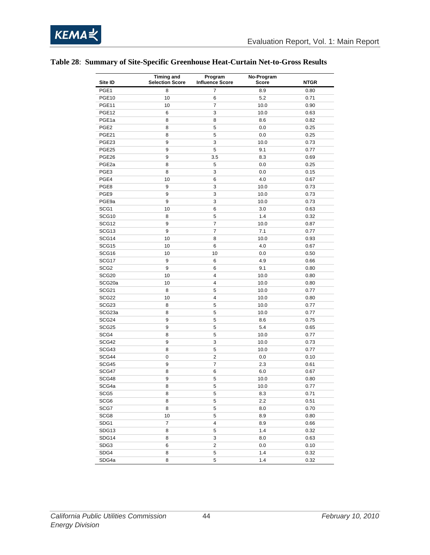

#### <span id="page-57-0"></span>**Table 28**: **Summary of Site-Specific Greenhouse Heat-Curtain Net-to-Gross Results**

| Site ID           | <b>Timing and</b><br><b>Selection Score</b> | Program<br><b>Influence Score</b> | No-Program<br><b>Score</b> | <b>NTGR</b> |
|-------------------|---------------------------------------------|-----------------------------------|----------------------------|-------------|
| PGE1              | 8                                           | 7                                 | 8.9                        | 0.80        |
| <b>PGE10</b>      | 10                                          | 6                                 | 5.2                        | 0.71        |
| PGE11             | 10                                          | 7                                 | 10.0                       | 0.90        |
| PGE <sub>12</sub> | 6                                           | 3                                 | 10.0                       | 0.63        |
| PGE <sub>1a</sub> | 8                                           | 8                                 | 8.6                        | 0.82        |
| PGE <sub>2</sub>  | 8                                           | 5                                 | 0.0                        | 0.25        |
| PGE21             | 8                                           | 5                                 | 0.0                        | 0.25        |
| PGE23             | 9                                           | 3                                 | 10.0                       | 0.73        |
| PGE25             | 9                                           | 5                                 | 9.1                        | 0.77        |
| PGE26             | 9                                           | 3.5                               | 8.3                        | 0.69        |
| PGE <sub>2a</sub> | 8                                           | 5                                 | 0.0                        | 0.25        |
| PGE3              | 8                                           | 3                                 | 0.0                        | 0.15        |
| PGE4              | 10                                          | 6                                 | 4.0                        | 0.67        |
| PGE8              | 9                                           | 3                                 | 10.0                       | 0.73        |
| PGE9              | 9                                           | 3                                 | 10.0                       | 0.73        |
|                   | 9                                           | 3                                 |                            |             |
| PGE9a             |                                             |                                   | 10.0                       | 0.73        |
| SCG1              | 10                                          | 6                                 | 3.0                        | 0.63        |
| SCG10             | 8                                           | 5                                 | 1.4                        | 0.32        |
| SCG12             | 9                                           | 7                                 | 10.0                       | 0.87        |
| SCG13             | 9                                           | 7                                 | 7.1                        | 0.77        |
| SCG14             | 10                                          | 8                                 | 10.0                       | 0.93        |
| SCG15             | 10                                          | 6                                 | 4.0                        | 0.67        |
| SCG16             | 10                                          | 10                                | 0.0                        | 0.50        |
| SCG17             | 9                                           | 6                                 | 4.9                        | 0.66        |
| SCG <sub>2</sub>  | 9                                           | 6                                 | 9.1                        | 0.80        |
| SCG <sub>20</sub> | 10                                          | $\overline{4}$                    | 10.0                       | 0.80        |
| SCG20a            | 10                                          | 4                                 | 10.0                       | 0.80        |
| SCG21             | 8                                           | 5                                 | 10.0                       | 0.77        |
| SCG22             | 10                                          | 4                                 | 10.0                       | 0.80        |
| SCG <sub>23</sub> | 8                                           | 5                                 | 10.0                       | 0.77        |
| SCG23a            | 8                                           | 5                                 | 10.0                       | 0.77        |
| SCG24             | 9                                           | 5                                 | 8.6                        | 0.75        |
| SCG <sub>25</sub> | 9                                           | 5                                 | 5.4                        | 0.65        |
| SCG4              | 8                                           | 5                                 | 10.0                       | 0.77        |
| SCG42             | 9                                           | 3                                 | 10.0                       | 0.73        |
| SCG43             | 8                                           | 5                                 | 10.0                       | 0.77        |
| SCG44             | 0                                           | 2                                 | 0.0                        | 0.10        |
| SCG45             | 9                                           | $\overline{7}$                    | 2.3                        | 0.61        |
| SCG47             | 8                                           | 6                                 | 6.0                        | 0.67        |
| SCG48             | 9                                           | 5                                 | 10.0                       | 0.80        |
| SCG4a             | 8                                           | 5                                 | 10.0                       | 0.77        |
| SCG5              | 8                                           | 5                                 | 8.3                        | 0.71        |
| SCG6              | 8                                           | 5                                 | 2.2                        | 0.51        |
| SCG7              | 8                                           | 5                                 | 8.0                        | 0.70        |
| SCG8              | 10                                          | 5                                 | 8.9                        | 0.80        |
| SDG1              | $\overline{7}$                              | 4                                 | 8.9                        | 0.66        |
| SDG13             | 8                                           | 5                                 | 1.4                        | 0.32        |
| SDG14             | 8                                           | 3                                 | 8.0                        | 0.63        |
| SDG3              | 6                                           | 2                                 | 0.0                        | 0.10        |
| SDG4              | 8                                           | 5                                 | 1.4                        | 0.32        |
| SDG4a             | 8                                           | 5                                 | 1.4                        | 0.32        |
|                   |                                             |                                   |                            |             |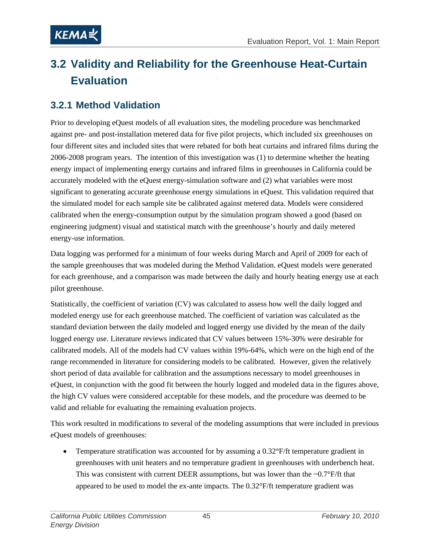# **3.2 Validity and Reliability for the Greenhouse Heat-Curtain Evaluation**

## **3.2.1 Method Validation**

KEMA

Prior to developing eQuest models of all evaluation sites, the modeling procedure was benchmarked against pre- and post-installation metered data for five pilot projects, which included six greenhouses on four different sites and included sites that were rebated for both heat curtains and infrared films during the 2006-2008 program years. The intention of this investigation was (1) to determine whether the heating energy impact of implementing energy curtains and infrared films in greenhouses in California could be accurately modeled with the eQuest energy-simulation software and (2) what variables were most significant to generating accurate greenhouse energy simulations in eQuest. This validation required that the simulated model for each sample site be calibrated against metered data. Models were considered calibrated when the energy-consumption output by the simulation program showed a good (based on engineering judgment) visual and statistical match with the greenhouse's hourly and daily metered energy-use information.

Data logging was performed for a minimum of four weeks during March and April of 2009 for each of the sample greenhouses that was modeled during the Method Validation. eQuest models were generated for each greenhouse, and a comparison was made between the daily and hourly heating energy use at each pilot greenhouse.

Statistically, the coefficient of variation (CV) was calculated to assess how well the daily logged and modeled energy use for each greenhouse matched. The coefficient of variation was calculated as the standard deviation between the daily modeled and logged energy use divided by the mean of the daily logged energy use. Literature reviews indicated that CV values between 15%-30% were desirable for calibrated models. All of the models had CV values within 19%-64%, which were on the high end of the range recommended in literature for considering models to be calibrated. However, given the relatively short period of data available for calibration and the assumptions necessary to model greenhouses in eQuest, in conjunction with the good fit between the hourly logged and modeled data in the figures above, the high CV values were considered acceptable for these models, and the procedure was deemed to be valid and reliable for evaluating the remaining evaluation projects.

This work resulted in modifications to several of the modeling assumptions that were included in previous eQuest models of greenhouses:

Temperature stratification was accounted for by assuming a  $0.32\degree$ F/ft temperature gradient in greenhouses with unit heaters and no temperature gradient in greenhouses with underbench heat. This was consistent with current DEER assumptions, but was lower than the  $\sim 0.7\degree$ F/ft that appeared to be used to model the ex-ante impacts. The 0.32°F/ft temperature gradient was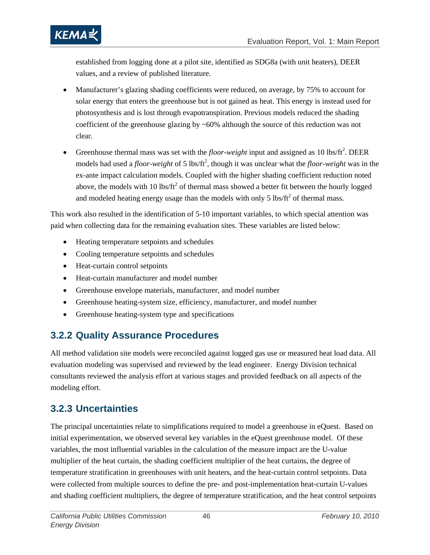

established from logging done at a pilot site, identified as SDG8a (with unit heaters), DEER values, and a review of published literature.

- Manufacturer's glazing shading coefficients were reduced, on average, by 75% to account for solar energy that enters the greenhouse but is not gained as heat. This energy is instead used for photosynthesis and is lost through evapotranspiration. Previous models reduced the shading coefficient of the greenhouse glazing by  $~60\%$  although the source of this reduction was not clear.
- Greenhouse thermal mass was set with the *floor-weight* input and assigned as 10 lbs/ft<sup>2</sup>. DEER models had used a *floor-weight* of 5 lbs/ft<sup>2</sup>, though it was unclear what the *floor-weight* was in the ex-ante impact calculation models. Coupled with the higher shading coefficient reduction noted above, the models with  $10 \text{ lbs/ft}^2$  of thermal mass showed a better fit between the hourly logged and modeled heating energy usage than the models with only 5 lbs/ $ft<sup>2</sup>$  of thermal mass.

This work also resulted in the identification of 5-10 important variables, to which special attention was paid when collecting data for the remaining evaluation sites. These variables are listed below:

- Heating temperature setpoints and schedules
- Cooling temperature setpoints and schedules
- Heat-curtain control setpoints
- Heat-curtain manufacturer and model number
- Greenhouse envelope materials, manufacturer, and model number
- Greenhouse heating-system size, efficiency, manufacturer, and model number
- Greenhouse heating-system type and specifications

## **3.2.2 Quality Assurance Procedures**

All method validation site models were reconciled against logged gas use or measured heat load data. All evaluation modeling was supervised and reviewed by the lead engineer. Energy Division technical consultants reviewed the analysis effort at various stages and provided feedback on all aspects of the modeling effort.

## **3.2.3 Uncertainties**

The principal uncertainties relate to simplifications required to model a greenhouse in eQuest. Based on initial experimentation, we observed several key variables in the eQuest greenhouse model. Of these variables, the most influential variables in the calculation of the measure impact are the U-value multiplier of the heat curtain, the shading coefficient multiplier of the heat curtains, the degree of temperature stratification in greenhouses with unit heaters, and the heat-curtain control setpoints. Data were collected from multiple sources to define the pre- and post-implementation heat-curtain U-values and shading coefficient multipliers, the degree of temperature stratification, and the heat control setpoints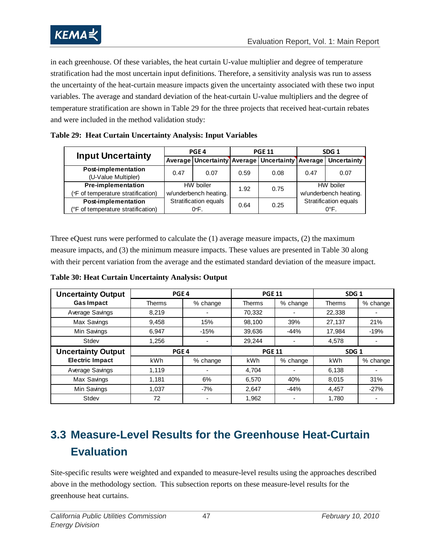**Uncertainty** 

w/underbench heating. Stratification equals 0°F.



in each greenhouse. Of these variables, the heat curtain U-value multiplier and degree of temperature stratification had the most uncertain input definitions. Therefore, a sensitivity analysis was run to assess the uncertainty of the heat-curtain measure impacts given the uncertainty associated with these two input variables. The average and standard deviation of the heat-curtain U-value multipliers and the degree of temperature stratification are shown in [Table 29](#page-60-0) for the three projects that received heat-curtain rebates and were included in the method validation study:

| adie 29:   Heat Curtain Uncertainty Analysis: Input Variables  |                  |                                    |               |                                                         |                  |                                |
|----------------------------------------------------------------|------------------|------------------------------------|---------------|---------------------------------------------------------|------------------|--------------------------------|
|                                                                | PGE <sub>4</sub> |                                    | <b>PGE 11</b> |                                                         | SDG <sub>1</sub> |                                |
| <b>Input Uncertainty</b>                                       |                  |                                    |               | Average   Uncertainty   Average   Uncertainty   Average |                  | <b>Uncerta</b>                 |
| <b>Post-implementation</b><br>(U-Value Multipler)              | 0.47             | 0.07                               | 0.59          | 0.08                                                    | 0.47             | 0.07                           |
| <b>Pre-implementation</b><br>(F of temperature stratification) |                  | HW boiler<br>w/underbench heating. | 1.92          | 0.75                                                    |                  | HW boiler<br>w/underbench heat |

w/underbench heating. Stratification equals 0°F.

**POSI-implementation**<br>
<sup>(°</sup>F of temperature stratification) 0.64 0.25

<span id="page-60-0"></span>

|  |  | Table 29: Heat Curtain Uncertainty Analysis: Input Variables |
|--|--|--------------------------------------------------------------|
|  |  |                                                              |

Three eQuest runs were performed to calculate the (1) average measure impacts, (2) the maximum measure impacts, and (3) the minimum measure impacts. These values are presented in [Table 30](#page-60-1) along with their percent variation from the average and the estimated standard deviation of the measure impact.

<span id="page-60-1"></span>**Table 30: Heat Curtain Uncertainty Analysis: Output** 

**Post-implementation** 

| <b>Uncertainty Output</b> | PGE <sub>4</sub> |          |               | <b>PGE 11</b> |                  | SDG <sub>1</sub> |  |
|---------------------------|------------------|----------|---------------|---------------|------------------|------------------|--|
| <b>Gas Impact</b>         | <b>Therms</b>    | % change | Therms        | % change      | <b>Therms</b>    | % change         |  |
| Average Savings           | 8.219            |          | 70,332        |               | 22,338           |                  |  |
| Max Savings               | 9,458            | 15%      | 98,100        | 39%           | 27,137           | 21%              |  |
| Min Savings               | 6.947            | $-15%$   | 39,636        | $-44%$        | 17.984           | $-19%$           |  |
| Stdev                     | 1.256            |          | 29.244        |               | 4.578            |                  |  |
|                           |                  |          |               |               |                  |                  |  |
| <b>Uncertainty Output</b> | PGE <sub>4</sub> |          | <b>PGE 11</b> |               | SDG <sub>1</sub> |                  |  |
| <b>Electric Impact</b>    | <b>kWh</b>       | % change | <b>kWh</b>    | % change      | <b>kWh</b>       | % change         |  |
| Average Savings           | 1.119            |          | 4.704         |               | 6.138            |                  |  |
| Max Savings               | 1,181            | 6%       | 6.570         | 40%           | 8,015            | 31%              |  |
| Min Savings               | 1,037            | $-7%$    | 2,647         | $-44%$        | 4,457            | $-27%$           |  |

## **3.3 Measure-Level Results for the Greenhouse Heat-Curtain Evaluation**

Site-specific results were weighted and expanded to measure-level results using the approaches described above in the methodology section. This subsection reports on these measure-level results for the greenhouse heat curtains.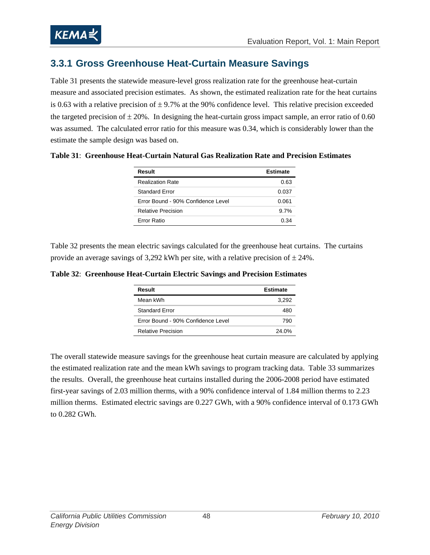

## **3.3.1 Gross Greenhouse Heat-Curtain Measure Savings**

[Table 31](#page-61-0) presents the statewide measure-level gross realization rate for the greenhouse heat-curtain measure and associated precision estimates. As shown, the estimated realization rate for the heat curtains is 0.63 with a relative precision of  $\pm$  9.7% at the 90% confidence level. This relative precision exceeded the targeted precision of  $\pm 20\%$ . In designing the heat-curtain gross impact sample, an error ratio of 0.60 was assumed. The calculated error ratio for this measure was 0.34, which is considerably lower than the estimate the sample design was based on.

| Result                             | <b>Estimate</b> |
|------------------------------------|-----------------|
| <b>Realization Rate</b>            | 0.63            |
| Standard Frror                     | 0.037           |
| Error Bound - 90% Confidence Level | 0.061           |
| <b>Relative Precision</b>          | $9.7\%$         |
| <b>Frror Ratio</b>                 | 0.34            |

<span id="page-61-0"></span>**Table 31**: **Greenhouse Heat-Curtain Natural Gas Realization Rate and Precision Estimates**

[Table 32](#page-61-1) presents the mean electric savings calculated for the greenhouse heat curtains. The curtains provide an average savings of 3,292 kWh per site, with a relative precision of  $\pm 24\%$ .

<span id="page-61-1"></span>**Table 32**: **Greenhouse Heat-Curtain Electric Savings and Precision Estimates**

| Result                             | <b>Estimate</b> |
|------------------------------------|-----------------|
| Mean kWh                           | 3.292           |
| Standard Frror                     | 480             |
| Error Bound - 90% Confidence Level | 790             |
| Relative Precision                 | 24.0%           |

The overall statewide measure savings for the greenhouse heat curtain measure are calculated by applying the estimated realization rate and the mean kWh savings to program tracking data. [Table 33](#page-62-0) summarizes the results. Overall, the greenhouse heat curtains installed during the 2006-2008 period have estimated first-year savings of 2.03 million therms, with a 90% confidence interval of 1.84 million therms to 2.23 million therms. Estimated electric savings are 0.227 GWh, with a 90% confidence interval of 0.173 GWh to 0.282 GWh.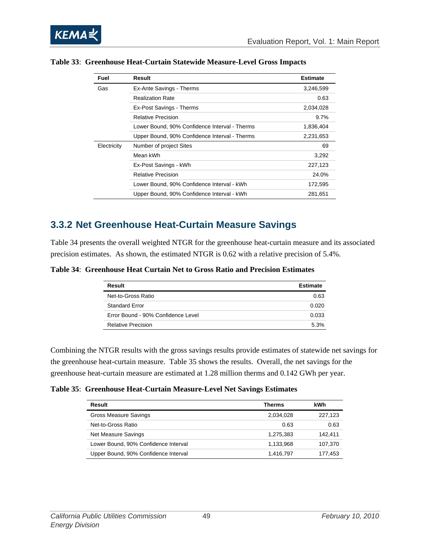

| <b>Fuel</b> | <b>Result</b>                                 | <b>Estimate</b> |
|-------------|-----------------------------------------------|-----------------|
| Gas         | Ex-Ante Savings - Therms                      | 3,246,599       |
|             | <b>Realization Rate</b>                       | 0.63            |
|             | Ex-Post Savings - Therms                      | 2,034,028       |
|             | <b>Relative Precision</b>                     | 9.7%            |
|             | Lower Bound, 90% Confidence Interval - Therms | 1,836,404       |
|             | Upper Bound, 90% Confidence Interval - Therms | 2,231,653       |
| Electricity | Number of project Sites                       | 69              |
|             | Mean kWh                                      | 3,292           |
|             | Ex-Post Savings - kWh                         | 227,123         |
|             | <b>Relative Precision</b>                     | 24.0%           |
|             | Lower Bound, 90% Confidence Interval - kWh    | 172,595         |
|             | Upper Bound, 90% Confidence Interval - kWh    | 281,651         |

#### <span id="page-62-0"></span>**Table 33**: **Greenhouse Heat-Curtain Statewide Measure-Level Gross Impacts**

### **3.3.2 Net Greenhouse Heat-Curtain Measure Savings**

[Table 34](#page-62-1) presents the overall weighted NTGR for the greenhouse heat-curtain measure and its associated precision estimates. As shown, the estimated NTGR is 0.62 with a relative precision of 5.4%.

<span id="page-62-1"></span>**Table 34**: **Greenhouse Heat Curtain Net to Gross Ratio and Precision Estimates**

| Result                             | <b>Estimate</b> |
|------------------------------------|-----------------|
| Net-to-Gross Ratio                 | 0.63            |
| <b>Standard Error</b>              | 0.020           |
| Error Bound - 90% Confidence Level | 0.033           |
| <b>Relative Precision</b>          | 5.3%            |

Combining the NTGR results with the gross savings results provide estimates of statewide net savings for the greenhouse heat-curtain measure. [Table 35](#page-62-2) shows the results. Overall, the net savings for the greenhouse heat-curtain measure are estimated at 1.28 million therms and 0.142 GWh per year.

<span id="page-62-2"></span>**Table 35**: **Greenhouse Heat-Curtain Measure-Level Net Savings Estimates**

| Result                               | Therms    | kWh     |
|--------------------------------------|-----------|---------|
| Gross Measure Savings                | 2.034.028 | 227.123 |
| Net-to-Gross Ratio                   | 0.63      | 0.63    |
| Net Measure Savings                  | 1.275.383 | 142.411 |
| Lower Bound, 90% Confidence Interval | 1.133.968 | 107,370 |
| Upper Bound, 90% Confidence Interval | 1.416.797 | 177.453 |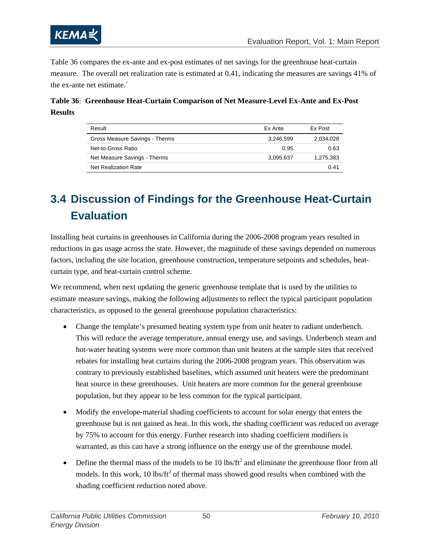

[Table 36](#page-63-0) compares the ex-ante and ex-post estimates of net savings for the greenhouse heat-curtain measure. The overall net realization rate is estimated at 0.41, indicating the measures are savings 41% of the ex-ante net estimate.`

<span id="page-63-0"></span>**Table 36**: **Greenhouse Heat-Curtain Comparison of Net Measure-Level Ex-Ante and Ex-Post Results**

| Result                         | Ex Ante   | Ex Post   |
|--------------------------------|-----------|-----------|
| Gross Measure Savings - Therms | 3.246.599 | 2,034,028 |
| Net-to-Gross Ratio             | 0.95      | 0.63      |
| Net Measure Savings - Therms   | 3.095.637 | 1,275,383 |
| Net Realization Rate           |           | 0.41      |

## **3.4 Discussion of Findings for the Greenhouse Heat-Curtain Evaluation**

Installing heat curtains in greenhouses in California during the 2006-2008 program years resulted in reductions in gas usage across the state. However, the magnitude of these savings depended on numerous factors, including the site location, greenhouse construction, temperature setpoints and schedules, heatcurtain type, and heat-curtain control scheme.

We recommend, when next updating the generic greenhouse template that is used by the utilities to estimate measure savings, making the following adjustments to reflect the typical participant population characteristics, as opposed to the general greenhouse population characteristics:

- Change the template's presumed heating system type from unit heater to radiant underbench. This will reduce the average temperature, annual energy use, and savings. Underbench steam and hot-water heating systems were more common than unit heaters at the sample sites that received rebates for installing heat curtains during the 2006-2008 program years. This observation was contrary to previously established baselines, which assumed unit heaters were the predominant heat source in these greenhouses. Unit heaters are more common for the general greenhouse population, but they appear to be less common for the typical participant.
- Modify the envelope-material shading coefficients to account for solar energy that enters the greenhouse but is not gained as heat. In this work, the shading coefficient was reduced on average by 75% to account for this energy. Further research into shading coefficient modifiers is warranted, as this can have a strong influence on the energy use of the greenhouse model.
- Define the thermal mass of the models to be 10 lbs/ $\text{ft}^2$  and eliminate the greenhouse floor from all models. In this work, 10 lbs/ft<sup>2</sup> of thermal mass showed good results when combined with the shading coefficient reduction noted above.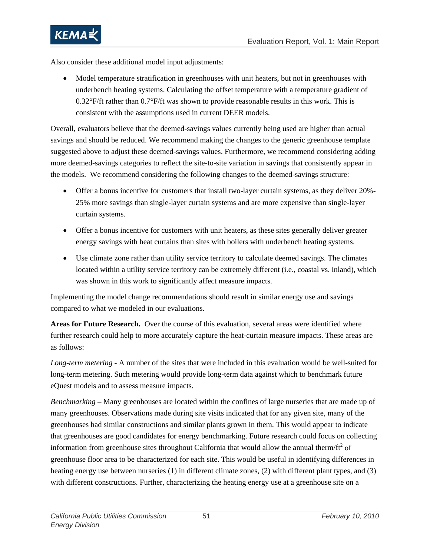

Also consider these additional model input adjustments:

• Model temperature stratification in greenhouses with unit heaters, but not in greenhouses with underbench heating systems. Calculating the offset temperature with a temperature gradient of  $0.32^{\circ}$ F/ft rather than  $0.7^{\circ}$ F/ft was shown to provide reasonable results in this work. This is consistent with the assumptions used in current DEER models.

Overall, evaluators believe that the deemed-savings values currently being used are higher than actual savings and should be reduced. We recommend making the changes to the generic greenhouse template suggested above to adjust these deemed-savings values. Furthermore, we recommend considering adding more deemed-savings categories to reflect the site-to-site variation in savings that consistently appear in the models. We recommend considering the following changes to the deemed-savings structure:

- Offer a bonus incentive for customers that install two-layer curtain systems, as they deliver 20%- 25% more savings than single-layer curtain systems and are more expensive than single-layer curtain systems.
- Offer a bonus incentive for customers with unit heaters, as these sites generally deliver greater energy savings with heat curtains than sites with boilers with underbench heating systems.
- Use climate zone rather than utility service territory to calculate deemed savings. The climates located within a utility service territory can be extremely different (i.e., coastal vs. inland), which was shown in this work to significantly affect measure impacts.

Implementing the model change recommendations should result in similar energy use and savings compared to what we modeled in our evaluations.

**Areas for Future Research.** Over the course of this evaluation, several areas were identified where further research could help to more accurately capture the heat-curtain measure impacts. These areas are as follows:

*Long-term metering* - A number of the sites that were included in this evaluation would be well-suited for long-term metering. Such metering would provide long-term data against which to benchmark future eQuest models and to assess measure impacts.

*Benchmarking* – Many greenhouses are located within the confines of large nurseries that are made up of many greenhouses. Observations made during site visits indicated that for any given site, many of the greenhouses had similar constructions and similar plants grown in them. This would appear to indicate that greenhouses are good candidates for energy benchmarking. Future research could focus on collecting information from greenhouse sites throughout California that would allow the annual therm/ft<sup>2</sup> of greenhouse floor area to be characterized for each site. This would be useful in identifying differences in heating energy use between nurseries (1) in different climate zones, (2) with different plant types, and (3) with different constructions. Further, characterizing the heating energy use at a greenhouse site on a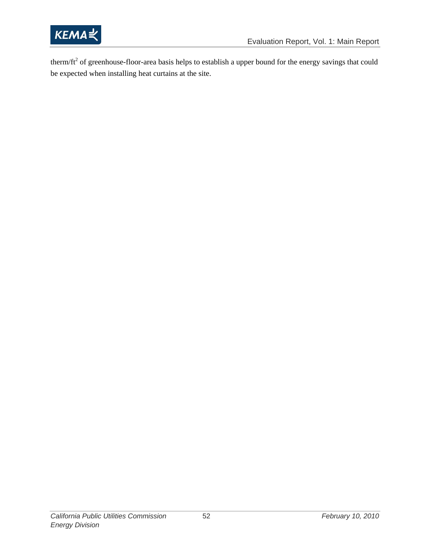![](_page_65_Picture_0.jpeg)

therm/ft<sup>2</sup> of greenhouse-floor-area basis helps to establish a upper bound for the energy savings that could be expected when installing heat curtains at the site.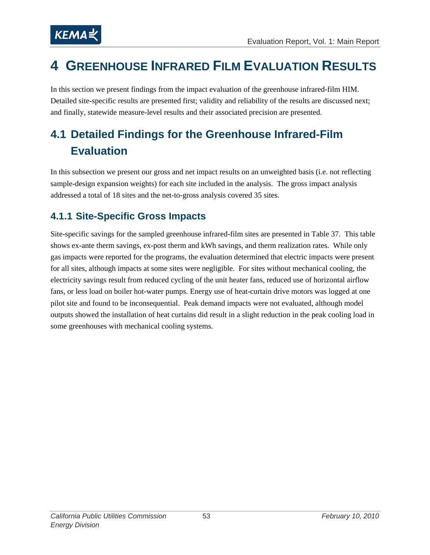![](_page_66_Picture_1.jpeg)

# **GREENHOUSE INFRARED FILM EVALUATION RESULTS**

In this section we present findings from the impact evaluation of the greenhouse infrared-film HIM. Detailed site-specific results are presented first; validity and reliability of the results are discussed next; and finally, statewide measure-level results and their associated precision are presented.

## **4.1 Detailed Findings for the Greenhouse Infrared-Film Evaluation**

In this subsection we present our gross and net impact results on an unweighted basis (i.e. not reflecting sample-design expansion weights) for each site included in the analysis. The gross impact analysis addressed a total of 18 sites and the net-to-gross analysis covered 35 sites.

## **4.1.1 Site-Specific Gross Impacts**

Site-specific savings for the sampled greenhouse infrared-film sites are presented in [Table 37](#page-67-0). This table shows ex-ante therm savings, ex-post therm and kWh savings, and therm realization rates. While only gas impacts were reported for the programs, the evaluation determined that electric impacts were present for all sites, although impacts at some sites were negligible. For sites without mechanical cooling, the electricity savings result from reduced cycling of the unit heater fans, reduced use of horizontal airflow fans, or less load on boiler hot-water pumps. Energy use of heat-curtain drive motors was logged at one pilot site and found to be inconsequential. Peak demand impacts were not evaluated, although model outputs showed the installation of heat curtains did result in a slight reduction in the peak cooling load in some greenhouses with mechanical cooling systems.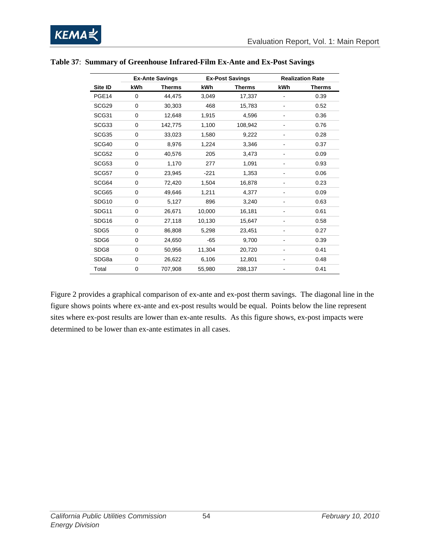![](_page_67_Picture_1.jpeg)

|                   |            | <b>Ex-Ante Savings</b> | <b>Ex-Post Savings</b> |               | <b>Realization Rate</b> |               |
|-------------------|------------|------------------------|------------------------|---------------|-------------------------|---------------|
| Site ID           | <b>kWh</b> | <b>Therms</b>          | kWh                    | <b>Therms</b> | <b>kWh</b>              | <b>Therms</b> |
| PGE <sub>14</sub> | $\Omega$   | 44,475                 | 3,049                  | 17,337        |                         | 0.39          |
| SCG29             | 0          | 30,303                 | 468                    | 15,783        |                         | 0.52          |
| SCG31             | $\Omega$   | 12,648                 | 1,915                  | 4,596         |                         | 0.36          |
| SCG33             | 0          | 142,775                | 1,100                  | 108,942       |                         | 0.76          |
| SCG <sub>35</sub> | 0          | 33,023                 | 1,580                  | 9,222         |                         | 0.28          |
| SCG40             | 0          | 8,976                  | 1,224                  | 3,346         |                         | 0.37          |
| SCG52             | 0          | 40,576                 | 205                    | 3,473         |                         | 0.09          |
| SCG53             | 0          | 1,170                  | 277                    | 1,091         |                         | 0.93          |
| SCG57             | 0          | 23,945                 | $-221$                 | 1,353         |                         | 0.06          |
| SCG64             | 0          | 72,420                 | 1,504                  | 16,878        |                         | 0.23          |
| SCG65             | 0          | 49,646                 | 1,211                  | 4,377         |                         | 0.09          |
| SDG10             | 0          | 5,127                  | 896                    | 3,240         |                         | 0.63          |
| SDG11             | 0          | 26,671                 | 10,000                 | 16,181        |                         | 0.61          |
| SDG16             | $\Omega$   | 27,118                 | 10,130                 | 15,647        |                         | 0.58          |
| SDG <sub>5</sub>  | 0          | 86,808                 | 5,298                  | 23,451        |                         | 0.27          |
| SDG6              | $\Omega$   | 24,650                 | $-65$                  | 9,700         |                         | 0.39          |
| SDG8              | 0          | 50,956                 | 11,304                 | 20,720        |                         | 0.41          |
| SDG8a             | $\Omega$   | 26,622                 | 6,106                  | 12,801        |                         | 0.48          |
| Total             | 0          | 707,908                | 55,980                 | 288,137       |                         | 0.41          |

#### <span id="page-67-0"></span>**Table 37**: **Summary of Greenhouse Infrared-Film Ex-Ante and Ex-Post Savings**

[Figure 2](#page-68-0) provides a graphical comparison of ex-ante and ex-post therm savings. The diagonal line in the figure shows points where ex-ante and ex-post results would be equal. Points below the line represent sites where ex-post results are lower than ex-ante results. As this figure shows, ex-post impacts were determined to be lower than ex-ante estimates in all cases.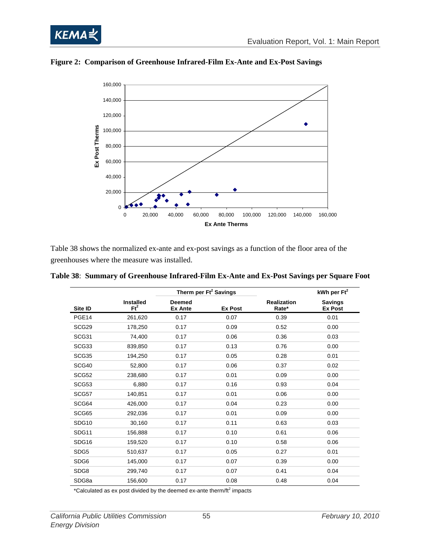![](_page_68_Picture_0.jpeg)

![](_page_68_Picture_1.jpeg)

<span id="page-68-0"></span>![](_page_68_Figure_2.jpeg)

![](_page_68_Figure_3.jpeg)

[Table 38](#page-68-1) shows the normalized ex-ante and ex-post savings as a function of the floor area of the greenhouses where the measure was installed.

|                   |                            | Therm per Ft <sup>2</sup> Savings |                |                             | kWh per $Ft^2$                   |
|-------------------|----------------------------|-----------------------------------|----------------|-----------------------------|----------------------------------|
| Site ID           | <b>Installed</b><br>$Ft^2$ | <b>Deemed</b><br><b>Ex Ante</b>   | <b>Ex Post</b> | <b>Realization</b><br>Rate* | <b>Savings</b><br><b>Ex Post</b> |
| PGE <sub>14</sub> | 261,620                    | 0.17                              | 0.07           | 0.39                        | 0.01                             |
| SCG29             | 178,250                    | 0.17                              | 0.09           | 0.52                        | 0.00                             |
| SCG31             | 74.400                     | 0.17                              | 0.06           | 0.36                        | 0.03                             |
| SCG33             | 839,850                    | 0.17                              | 0.13           | 0.76                        | 0.00                             |
| SCG35             | 194,250                    | 0.17                              | 0.05           | 0.28                        | 0.01                             |
| SCG40             | 52,800                     | 0.17                              | 0.06           | 0.37                        | 0.02                             |
| SCG52             | 238,680                    | 0.17                              | 0.01           | 0.09                        | 0.00                             |
| SCG53             | 6,880                      | 0.17                              | 0.16           | 0.93                        | 0.04                             |
| SCG57             | 140,851                    | 0.17                              | 0.01           | 0.06                        | 0.00                             |
| SCG64             | 426,000                    | 0.17                              | 0.04           | 0.23                        | 0.00                             |
| SCG65             | 292,036                    | 0.17                              | 0.01           | 0.09                        | 0.00                             |
| SDG10             | 30,160                     | 0.17                              | 0.11           | 0.63                        | 0.03                             |
| SDG11             | 156,888                    | 0.17                              | 0.10           | 0.61                        | 0.06                             |
| SDG16             | 159,520                    | 0.17                              | 0.10           | 0.58                        | 0.06                             |
| SDG5              | 510,637                    | 0.17                              | 0.05           | 0.27                        | 0.01                             |
| SDG <sub>6</sub>  | 145,000                    | 0.17                              | 0.07           | 0.39                        | 0.00                             |
| SDG8              | 299,740                    | 0.17                              | 0.07           | 0.41                        | 0.04                             |
| SDG8a             | 156,600                    | 0.17                              | 0.08           | 0.48                        | 0.04                             |

<span id="page-68-1"></span>**Table 38**: **Summary of Greenhouse Infrared-Film Ex-Ante and Ex-Post Savings per Square Foot**

\*Calculated as ex post divided by the deemed ex-ante therm/ft $2$  impacts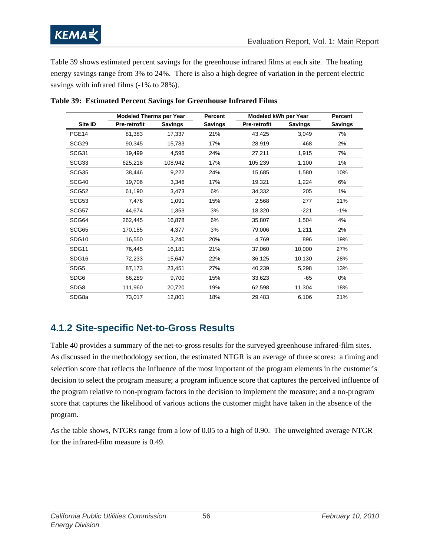![](_page_69_Picture_0.jpeg)

[Table 39](#page-69-0) shows estimated percent savings for the greenhouse infrared films at each site. The heating energy savings range from 3% to 24%. There is also a high degree of variation in the percent electric savings with infrared films (-1% to 28%).

|                   | <b>Modeled Therms per Year</b> |                | <b>Percent</b> | Modeled kWh per Year |                | Percent        |
|-------------------|--------------------------------|----------------|----------------|----------------------|----------------|----------------|
| Site ID           | <b>Pre-retrofit</b>            | <b>Savings</b> | <b>Savings</b> | <b>Pre-retrofit</b>  | <b>Savings</b> | <b>Savings</b> |
| PGE14             | 81,383                         | 17,337         | 21%            | 43,425               | 3.049          | 7%             |
| SCG <sub>29</sub> | 90,345                         | 15,783         | 17%            | 28,919               | 468            | 2%             |
| SCG31             | 19,499                         | 4,596          | 24%            | 27,211               | 1,915          | 7%             |
| SCG33             | 625,218                        | 108,942        | 17%            | 105,239              | 1,100          | 1%             |
| SCG35             | 38,446                         | 9,222          | 24%            | 15,685               | 1,580          | 10%            |
| SCG40             | 19,706                         | 3,346          | 17%            | 19,321               | 1,224          | 6%             |
| SCG52             | 61,190                         | 3,473          | 6%             | 34,332               | 205            | 1%             |
| SCG53             | 7,476                          | 1,091          | 15%            | 2,568                | 277            | 11%            |
| SCG57             | 44,674                         | 1,353          | 3%             | 18,320               | $-221$         | $-1%$          |
| SCG64             | 262,445                        | 16,878         | 6%             | 35,807               | 1,504          | 4%             |
| SCG65             | 170,185                        | 4,377          | 3%             | 79,006               | 1,211          | 2%             |
| SDG10             | 16,550                         | 3,240          | 20%            | 4,769                | 896            | 19%            |
| SDG11             | 76,445                         | 16,181         | 21%            | 37,060               | 10,000         | 27%            |
| SDG16             | 72,233                         | 15,647         | 22%            | 36,125               | 10,130         | 28%            |
| SDG5              | 87,173                         | 23,451         | 27%            | 40,239               | 5,298          | 13%            |
| SDG6              | 66,289                         | 9,700          | 15%            | 33,623               | $-65$          | 0%             |
| SDG8              | 111,960                        | 20,720         | 19%            | 62,598               | 11,304         | 18%            |
| SDG8a             | 73,017                         | 12,801         | 18%            | 29,483               | 6,106          | 21%            |

<span id="page-69-0"></span>**Table 39: Estimated Percent Savings for Greenhouse Infrared Films**

### **4.1.2 Site-specific Net-to-Gross Results**

[Table 40](#page-70-0) provides a summary of the net-to-gross results for the surveyed greenhouse infrared-film sites. As discussed in the methodology section, the estimated NTGR is an average of three scores: a timing and selection score that reflects the influence of the most important of the program elements in the customer's decision to select the program measure; a program influence score that captures the perceived influence of the program relative to non-program factors in the decision to implement the measure; and a no-program score that captures the likelihood of various actions the customer might have taken in the absence of the program.

As the table shows, NTGRs range from a low of 0.05 to a high of 0.90. The unweighted average NTGR for the infrared-film measure is 0.49.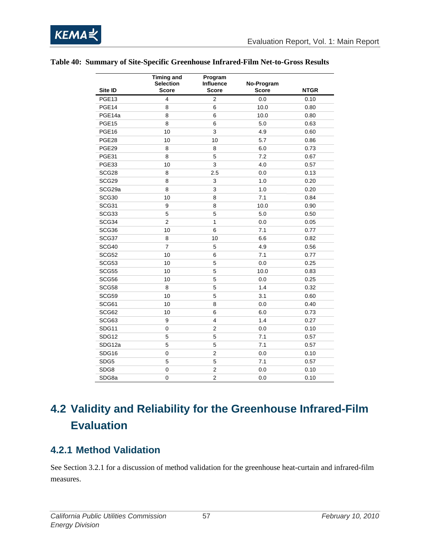![](_page_70_Picture_0.jpeg)

#### <span id="page-70-0"></span>**Table 40: Summary of Site-Specific Greenhouse Infrared-Film Net-to-Gross Results**

|                   | <b>Timing and</b><br><b>Selection</b> | Program<br><b>Influence</b> | No-Program   |             |
|-------------------|---------------------------------------|-----------------------------|--------------|-------------|
| Site ID           | <b>Score</b>                          | <b>Score</b>                | <b>Score</b> | <b>NTGR</b> |
| PGE <sub>13</sub> | $\overline{4}$                        | $\overline{2}$              | 0.0          | 0.10        |
| PGE14             | 8                                     | 6                           | 10.0         | 0.80        |
| PGE14a            | 8                                     | 6                           | 10.0         | 0.80        |
| <b>PGE15</b>      | 8                                     | 6                           | 5.0          | 0.63        |
| PGE16             | 10                                    | 3                           | 4.9          | 0.60        |
| PGE28             | 10                                    | 10                          | 5.7          | 0.86        |
| PGE29             | 8                                     | 8                           | 6.0          | 0.73        |
| PGE31             | 8                                     | 5                           | 7.2          | 0.67        |
| PGE33             | 10                                    | 3                           | 4.0          | 0.57        |
| SCG28             | 8                                     | 2.5                         | 0.0          | 0.13        |
| SCG29             | 8                                     | 3                           | 1.0          | 0.20        |
| SCG29a            | 8                                     | 3                           | 1.0          | 0.20        |
| SCG30             | 10                                    | 8                           | 7.1          | 0.84        |
| SCG31             | 9                                     | 8                           | 10.0         | 0.90        |
| SCG33             | 5                                     | 5                           | 5.0          | 0.50        |
| SCG34             | $\overline{c}$                        | 1                           | 0.0          | 0.05        |
| SCG36             | 10                                    | 6                           | 7.1          | 0.77        |
| SCG37             | 8                                     | 10                          | 6.6          | 0.82        |
| SCG40             | $\overline{7}$                        | 5                           | 4.9          | 0.56        |
| SCG52             | 10                                    | 6                           | 7.1          | 0.77        |
| SCG53             | 10                                    | 5                           | 0.0          | 0.25        |
| SCG55             | 10                                    | 5                           | 10.0         | 0.83        |
| SCG56             | 10                                    | 5                           | 0.0          | 0.25        |
| SCG58             | 8                                     | 5                           | 1.4          | 0.32        |
| SCG59             | 10                                    | 5                           | 3.1          | 0.60        |
| SCG61             | 10                                    | 8                           | 0.0          | 0.40        |
| SCG62             | 10                                    | 6                           | 6.0          | 0.73        |
| SCG63             | 9                                     | 4                           | 1.4          | 0.27        |
| SDG11             | 0                                     | $\overline{2}$              | 0.0          | 0.10        |
| SDG12             | 5                                     | 5                           | 7.1          | 0.57        |
| SDG12a            | 5                                     | 5                           | 7.1          | 0.57        |
| SDG16             | $\mathbf 0$                           | $\overline{2}$              | 0.0          | 0.10        |
| SDG5              | 5                                     | 5                           | 7.1          | 0.57        |
| SDG8              | $\mathbf 0$                           | $\overline{\mathbf{c}}$     | 0.0          | 0.10        |
| SDG8a             | $\mathbf 0$                           | $\overline{2}$              | 0.0          | 0.10        |

## **4.2 Validity and Reliability for the Greenhouse Infrared-Film Evaluation**

## **4.2.1 Method Validation**

See Section 3.2.1 for a discussion of method validation for the greenhouse heat-curtain and infrared-film measures.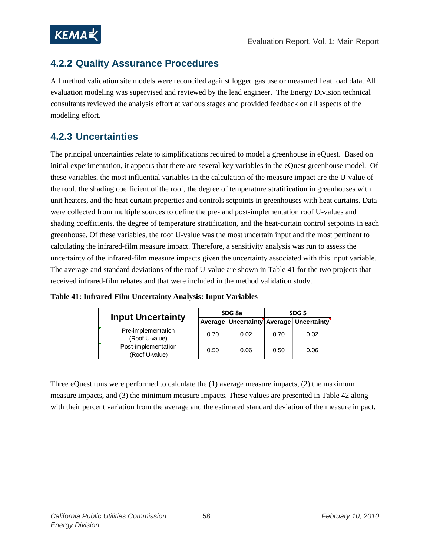![](_page_71_Picture_0.jpeg)

![](_page_71_Picture_1.jpeg)

## **4.2.2 Quality Assurance Procedures**

All method validation site models were reconciled against logged gas use or measured heat load data. All evaluation modeling was supervised and reviewed by the lead engineer. The Energy Division technical consultants reviewed the analysis effort at various stages and provided feedback on all aspects of the modeling effort.

## **4.2.3 Uncertainties**

The principal uncertainties relate to simplifications required to model a greenhouse in eQuest. Based on initial experimentation, it appears that there are several key variables in the eQuest greenhouse model. Of these variables, the most influential variables in the calculation of the measure impact are the U-value of the roof, the shading coefficient of the roof, the degree of temperature stratification in greenhouses with unit heaters, and the heat-curtain properties and controls setpoints in greenhouses with heat curtains. Data were collected from multiple sources to define the pre- and post-implementation roof U-values and shading coefficients, the degree of temperature stratification, and the heat-curtain control setpoints in each greenhouse. Of these variables, the roof U-value was the most uncertain input and the most pertinent to calculating the infrared-film measure impact. Therefore, a sensitivity analysis was run to assess the uncertainty of the infrared-film measure impacts given the uncertainty associated with this input variable. The average and standard deviations of the roof U-value are shown in [Table 41](#page-71-0) for the two projects that received infrared-film rebates and that were included in the method validation study.

| <b>Input Uncertainty</b>              |      | SDG 8a | SDG <sub>5</sub> |                                               |
|---------------------------------------|------|--------|------------------|-----------------------------------------------|
|                                       |      |        |                  | Average   Uncertainty   Average   Uncertainty |
| Pre-implementation<br>(Roof U-value)  | 0.70 | 0.02   | 0.70             | 0.02                                          |
| Post-implementation<br>(Roof U-value) | 0.50 | 0.06   | 0.50             | 0.06                                          |

<span id="page-71-0"></span>

| Table 41: Infrared-Film Uncertainty Analysis: Input Variables |  |  |
|---------------------------------------------------------------|--|--|
|---------------------------------------------------------------|--|--|

Three eQuest runs were performed to calculate the (1) average measure impacts, (2) the maximum measure impacts, and (3) the minimum measure impacts. These values are presented in [Table 42](#page-72-0) along with their percent variation from the average and the estimated standard deviation of the measure impact.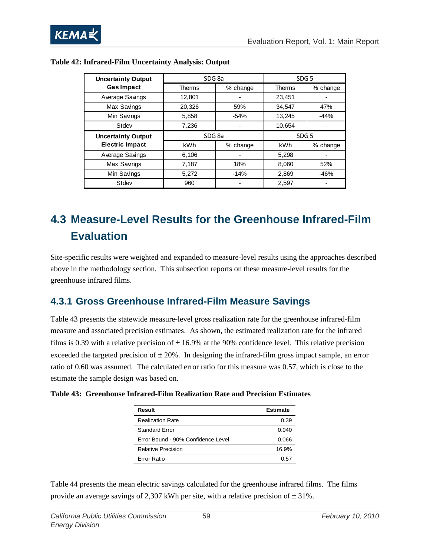

| <b>Uncertainty Output</b> | SDG <sub>8a</sub> |          | SDG <sub>5</sub> |          |  |
|---------------------------|-------------------|----------|------------------|----------|--|
| <b>Gas Impact</b>         | <b>Therms</b>     | % change | Therms           | % change |  |
| Average Savings           | 12,801            |          | 23,451           |          |  |
| Max Savings               | 20,326            | 59%      | 34.547           | 47%      |  |
| Min Savings               | 5,858             | $-54%$   | 13,245           | $-44%$   |  |
| Stdev                     | 7,236             |          | 10.654           |          |  |
|                           |                   |          |                  |          |  |
| <b>Uncertainty Output</b> | SDG <sub>8a</sub> |          | SDG <sub>5</sub> |          |  |
| <b>Electric Impact</b>    | kWh               | % change | kWh              | % change |  |
| Average Savings           | 6,106             |          | 5,298            |          |  |
| Max Savings               | 7,187             | 18%      | 8,060            | 52%      |  |
| Min Savings               | 5,272             | $-14%$   | 2,869            | -46%     |  |

#### **Table 42: Infrared-Film Uncertainty Analysis: Output**

## **4.3 Measure-Level Results for the Greenhouse Infrared-Film Evaluation**

Site-specific results were weighted and expanded to measure-level results using the approaches described above in the methodology section. This subsection reports on these measure-level results for the greenhouse infrared films.

### **4.3.1 Gross Greenhouse Infrared-Film Measure Savings**

[Table 43](#page-72-0) presents the statewide measure-level gross realization rate for the greenhouse infrared-film measure and associated precision estimates. As shown, the estimated realization rate for the infrared films is 0.39 with a relative precision of  $\pm$  16.9% at the 90% confidence level. This relative precision exceeded the targeted precision of  $\pm 20\%$ . In designing the infrared-film gross impact sample, an error ratio of 0.60 was assumed. The calculated error ratio for this measure was 0.57, which is close to the estimate the sample design was based on.

| Result                             | <b>Estimate</b> |
|------------------------------------|-----------------|
| <b>Realization Rate</b>            | 0.39            |
| Standard Frror                     | 0.040           |
| Error Bound - 90% Confidence Level | 0.066           |
| Relative Precision                 | 16.9%           |
| Error Ratio                        |                 |

<span id="page-72-0"></span>

| Table 43: Greenhouse Infrared-Film Realization Rate and Precision Estimates |  |  |  |  |  |  |  |
|-----------------------------------------------------------------------------|--|--|--|--|--|--|--|
|-----------------------------------------------------------------------------|--|--|--|--|--|--|--|

[Table 44](#page-73-0) presents the mean electric savings calculated for the greenhouse infrared films. The films provide an average savings of 2,307 kWh per site, with a relative precision of  $\pm$  31%.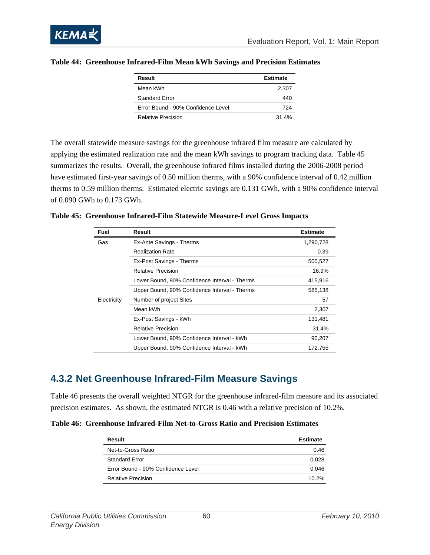

| Result                             | <b>Estimate</b> |
|------------------------------------|-----------------|
| Mean kWh                           | 2,307           |
| Standard Frror                     | 440             |
| Error Bound - 90% Confidence Level | 724             |
| <b>Relative Precision</b>          | 31.4%           |

#### <span id="page-73-0"></span>**Table 44: Greenhouse Infrared-Film Mean kWh Savings and Precision Estimates**

The overall statewide measure savings for the greenhouse infrared film measure are calculated by applying the estimated realization rate and the mean kWh savings to program tracking data. [Table 45](#page-73-1) summarizes the results. Overall, the greenhouse infrared films installed during the 2006-2008 period have estimated first-year savings of 0.50 million therms, with a 90% confidence interval of 0.42 million therms to 0.59 million therms. Estimated electric savings are 0.131 GWh, with a 90% confidence interval of 0.090 GWh to 0.173 GWh.

| Fuel        | Result                                        | <b>Estimate</b> |
|-------------|-----------------------------------------------|-----------------|
| Gas         | Ex-Ante Savings - Therms                      | 1,290,728       |
|             | <b>Realization Rate</b>                       | 0.39            |
|             | Ex-Post Savings - Therms                      | 500,527         |
|             | <b>Relative Precision</b>                     | 16.9%           |
|             | Lower Bound, 90% Confidence Interval - Therms | 415,916         |
|             | Upper Bound, 90% Confidence Interval - Therms | 585,138         |
| Electricity | Number of project Sites                       | 57              |
|             | Mean kWh                                      | 2,307           |
|             | Ex-Post Savings - kWh                         | 131,481         |
|             | <b>Relative Precision</b>                     | 31.4%           |
|             | Lower Bound, 90% Confidence Interval - kWh    | 90,207          |
|             | Upper Bound, 90% Confidence Interval - kWh    | 172,755         |

<span id="page-73-1"></span>**Table 45: Greenhouse Infrared-Film Statewide Measure-Level Gross Impacts** 

### **4.3.2 Net Greenhouse Infrared-Film Measure Savings**

[Table 46](#page-73-2) presents the overall weighted NTGR for the greenhouse infrared-film measure and its associated precision estimates. As shown, the estimated NTGR is 0.46 with a relative precision of 10.2%.

<span id="page-73-2"></span>**Table 46: Greenhouse Infrared-Film Net-to-Gross Ratio and Precision Estimates** 

| Result                             | <b>Estimate</b> |
|------------------------------------|-----------------|
| Net-to-Gross Ratio                 | 0.46            |
| Standard Frror                     | 0.028           |
| Error Bound - 90% Confidence Level | 0.046           |
| <b>Relative Precision</b>          | 10.2%           |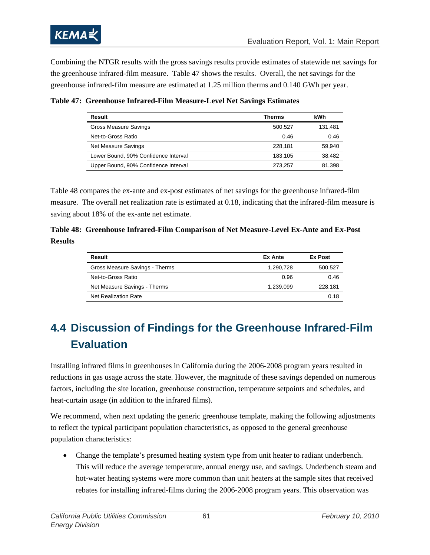



Combining the NTGR results with the gross savings results provide estimates of statewide net savings for the greenhouse infrared-film measure. [Table 47](#page-74-0) shows the results. Overall, the net savings for the greenhouse infrared-film measure are estimated at 1.25 million therms and 0.140 GWh per year.

| Result                               | <b>Therms</b> | kWh     |
|--------------------------------------|---------------|---------|
| <b>Gross Measure Savings</b>         | 500.527       | 131,481 |
| Net-to-Gross Ratio                   | 0.46          | 0.46    |
| Net Measure Savings                  | 228.181       | 59,940  |
| Lower Bound, 90% Confidence Interval | 183.105       | 38.482  |
| Upper Bound, 90% Confidence Interval | 273.257       | 81,398  |

<span id="page-74-0"></span>**Table 47: Greenhouse Infrared-Film Measure-Level Net Savings Estimates** 

[Table 48](#page-74-1) compares the ex-ante and ex-post estimates of net savings for the greenhouse infrared-film measure. The overall net realization rate is estimated at 0.18, indicating that the infrared-film measure is saving about 18% of the ex-ante net estimate.

<span id="page-74-1"></span>**Table 48: Greenhouse Infrared-Film Comparison of Net Measure-Level Ex-Ante and Ex-Post Results** 

| Result                         | Ex Ante   | <b>Ex Post</b> |
|--------------------------------|-----------|----------------|
| Gross Measure Savings - Therms | 1.290.728 | 500,527        |
| Net-to-Gross Ratio             | 0.96      | 0.46           |
| Net Measure Savings - Therms   | 1.239.099 | 228.181        |
| Net Realization Rate           |           | 0.18           |

## **4.4 Discussion of Findings for the Greenhouse Infrared-Film Evaluation**

Installing infrared films in greenhouses in California during the 2006-2008 program years resulted in reductions in gas usage across the state. However, the magnitude of these savings depended on numerous factors, including the site location, greenhouse construction, temperature setpoints and schedules, and heat-curtain usage (in addition to the infrared films).

We recommend, when next updating the generic greenhouse template, making the following adjustments to reflect the typical participant population characteristics, as opposed to the general greenhouse population characteristics:

• Change the template's presumed heating system type from unit heater to radiant underbench. This will reduce the average temperature, annual energy use, and savings. Underbench steam and hot-water heating systems were more common than unit heaters at the sample sites that received rebates for installing infrared-films during the 2006-2008 program years. This observation was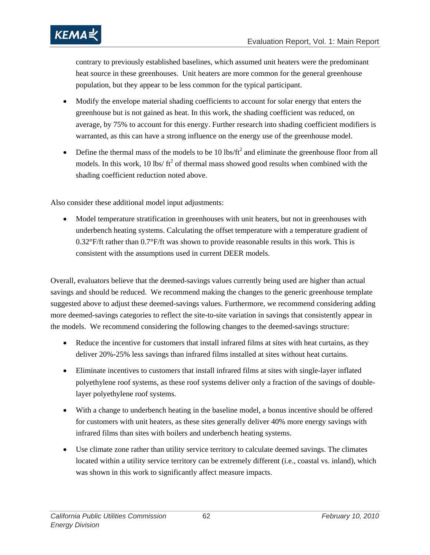

contrary to previously established baselines, which assumed unit heaters were the predominant heat source in these greenhouses. Unit heaters are more common for the general greenhouse population, but they appear to be less common for the typical participant.

- Modify the envelope material shading coefficients to account for solar energy that enters the greenhouse but is not gained as heat. In this work, the shading coefficient was reduced, on average, by 75% to account for this energy. Further research into shading coefficient modifiers is warranted, as this can have a strong influence on the energy use of the greenhouse model.
- Define the thermal mass of the models to be 10 lbs/ft<sup>2</sup> and eliminate the greenhouse floor from all models. In this work, 10 lbs/ $ft^2$  of thermal mass showed good results when combined with the shading coefficient reduction noted above.

Also consider these additional model input adjustments:

• Model temperature stratification in greenhouses with unit heaters, but not in greenhouses with underbench heating systems. Calculating the offset temperature with a temperature gradient of  $0.32^{\circ}$ F/ft rather than  $0.7^{\circ}$ F/ft was shown to provide reasonable results in this work. This is consistent with the assumptions used in current DEER models.

Overall, evaluators believe that the deemed-savings values currently being used are higher than actual savings and should be reduced. We recommend making the changes to the generic greenhouse template suggested above to adjust these deemed-savings values. Furthermore, we recommend considering adding more deemed-savings categories to reflect the site-to-site variation in savings that consistently appear in the models. We recommend considering the following changes to the deemed-savings structure:

- Reduce the incentive for customers that install infrared films at sites with heat curtains, as they deliver 20%-25% less savings than infrared films installed at sites without heat curtains.
- Eliminate incentives to customers that install infrared films at sites with single-layer inflated polyethylene roof systems, as these roof systems deliver only a fraction of the savings of doublelayer polyethylene roof systems.
- With a change to underbench heating in the baseline model, a bonus incentive should be offered for customers with unit heaters, as these sites generally deliver 40% more energy savings with infrared films than sites with boilers and underbench heating systems.
- Use climate zone rather than utility service territory to calculate deemed savings. The climates located within a utility service territory can be extremely different (i.e., coastal vs. inland), which was shown in this work to significantly affect measure impacts.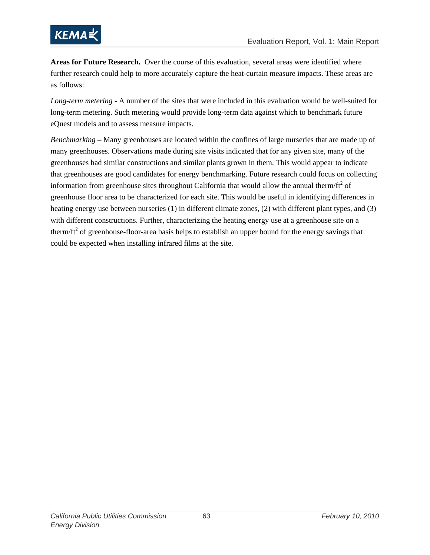



**Areas for Future Research.** Over the course of this evaluation, several areas were identified where further research could help to more accurately capture the heat-curtain measure impacts. These areas are as follows:

*Long-term metering* - A number of the sites that were included in this evaluation would be well-suited for long-term metering. Such metering would provide long-term data against which to benchmark future eQuest models and to assess measure impacts.

*Benchmarking* – Many greenhouses are located within the confines of large nurseries that are made up of many greenhouses. Observations made during site visits indicated that for any given site, many of the greenhouses had similar constructions and similar plants grown in them. This would appear to indicate that greenhouses are good candidates for energy benchmarking. Future research could focus on collecting information from greenhouse sites throughout California that would allow the annual therm/ft<sup>2</sup> of greenhouse floor area to be characterized for each site. This would be useful in identifying differences in heating energy use between nurseries (1) in different climate zones, (2) with different plant types, and (3) with different constructions. Further, characterizing the heating energy use at a greenhouse site on a therm/ft<sup>2</sup> of greenhouse-floor-area basis helps to establish an upper bound for the energy savings that could be expected when installing infrared films at the site.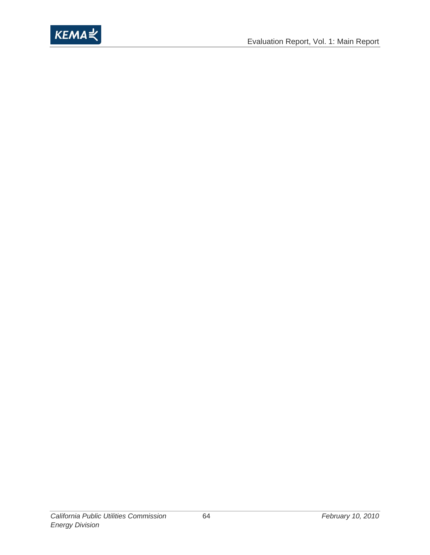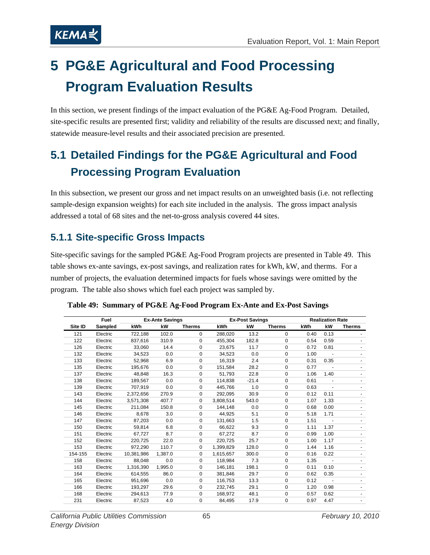# **5 PG&E Agricultural and Food Processing Program Evaluation Results**

In this section, we present findings of the impact evaluation of the PG&E Ag-Food Program. Detailed, site-specific results are presented first; validity and reliability of the results are discussed next; and finally, statewide measure-level results and their associated precision are presented.

## **5.1 Detailed Findings for the PG&E Agricultural and Food Processing Program Evaluation**

In this subsection, we present our gross and net impact results on an unweighted basis (i.e. not reflecting sample-design expansion weights) for each site included in the analysis. The gross impact analysis addressed a total of 68 sites and the net-to-gross analysis covered 44 sites.

### **5.1.1 Site-specific Gross Impacts**

Site-specific savings for the sampled PG&E Ag-Food Program projects are presented in [Table 49.](#page-78-0) This table shows ex-ante savings, ex-post savings, and realization rates for kWh, kW, and therms. For a number of projects, the evaluation determined impacts for fuels whose savings were omitted by the program. The table also shows which fuel each project was sampled by.

<span id="page-78-0"></span>

|         | Fuel     |            | <b>Ex-Ante Savings</b> |               | <b>Ex-Post Savings</b> |         |               |      | <b>Realization Rate</b>  |               |
|---------|----------|------------|------------------------|---------------|------------------------|---------|---------------|------|--------------------------|---------------|
| Site ID | Sampled  | kWh        | kW                     | <b>Therms</b> | kWh                    | kW      | <b>Therms</b> | kWh  | kW                       | <b>Therms</b> |
| 121     | Electric | 722,188    | 102.0                  | 0             | 288,020                | 13.2    | 0             | 0.40 | 0.13                     |               |
| 122     | Electric | 837,616    | 310.9                  | 0             | 455,304                | 182.8   | $\Omega$      | 0.54 | 0.59                     |               |
| 126     | Electric | 33,060     | 14.4                   | 0             | 23,675                 | 11.7    | $\Omega$      | 0.72 | 0.81                     |               |
| 132     | Electric | 34.523     | 0.0                    | 0             | 34.523                 | 0.0     | $\mathbf 0$   | 1.00 |                          |               |
| 133     | Electric | 52,968     | 6.9                    | 0             | 16,319                 | 2.4     | $\Omega$      | 0.31 | 0.35                     |               |
| 135     | Electric | 195,676    | 0.0                    | 0             | 151,584                | 28.2    | 0             | 0.77 | $\overline{\phantom{a}}$ |               |
| 137     | Electric | 48,848     | 16.3                   | 0             | 51,793                 | 22.8    | $\mathbf 0$   | 1.06 | 1.40                     |               |
| 138     | Electric | 189.567    | 0.0                    | 0             | 114.838                | $-21.4$ | $\Omega$      | 0.61 |                          |               |
| 139     | Electric | 707,919    | 0.0                    | 0             | 445,766                | 1.0     | 0             | 0.63 | $\overline{\phantom{a}}$ |               |
| 143     | Electric | 2,372,656  | 270.9                  | $\Omega$      | 292,095                | 30.9    | $\Omega$      | 0.12 | 0.11                     |               |
| 144     | Electric | 3,571,308  | 407.7                  | 0             | 3,808,514              | 543.0   | 0             | 1.07 | 1.33                     |               |
| 145     | Electric | 211,084    | 150.8                  | 0             | 144,148                | 0.0     | $\mathbf 0$   | 0.68 | 0.00                     |               |
| 146     | Electric | 8,678      | 3.0                    | 0             | 44,925                 | 5.1     | $\Omega$      | 5.18 | 1.71                     |               |
| 147     | Electric | 87,203     | 0.0                    | 0             | 131,663                | 1.5     | $\Omega$      | 1.51 | $\overline{\phantom{a}}$ |               |
| 150     | Electric | 59,814     | 6.8                    | 0             | 66.622                 | 9.3     | $\mathbf 0$   | 1.11 | 1.37                     |               |
| 151     | Electric | 67,727     | 8.7                    | 0             | 67,272                 | 8.7     | 0             | 0.99 | 1.00                     |               |
| 152     | Electric | 220.725    | 22.0                   | 0             | 220.725                | 25.7    | $\mathbf 0$   | 1.00 | 1.17                     |               |
| 153     | Electric | 972.290    | 110.7                  | 0             | 1,399,829              | 128.0   | $\Omega$      | 1.44 | 1.16                     |               |
| 154-155 | Electric | 10,381,986 | 1,387.0                | 0             | 1,615,657              | 300.0   | 0             | 0.16 | 0.22                     |               |
| 158     | Electric | 88,048     | 0.0                    | 0             | 118,984                | 7.3     | $\mathbf 0$   | 1.35 |                          |               |
| 163     | Electric | 1,316,390  | 1,995.0                | 0             | 146,181                | 198.1   | 0             | 0.11 | 0.10                     |               |
| 164     | Electric | 614,555    | 86.0                   | 0             | 381,846                | 29.7    | $\Omega$      | 0.62 | 0.35                     |               |
| 165     | Electric | 951,696    | 0.0                    | 0             | 116,753                | 13.3    | $\mathbf 0$   | 0.12 |                          |               |
| 166     | Electric | 193,297    | 29.6                   | 0             | 232,745                | 29.1    | $\Omega$      | 1.20 | 0.98                     |               |
| 168     | Electric | 294,613    | 77.9                   | 0             | 168.972                | 48.1    | $\mathbf 0$   | 0.57 | 0.62                     |               |
| 231     | Electric | 87,523     | 4.0                    | $\Omega$      | 84,495                 | 17.9    | 0             | 0.97 | 4.47                     |               |

**Table 49: Summary of PG&E Ag-Food Program Ex-Ante and Ex-Post Savings**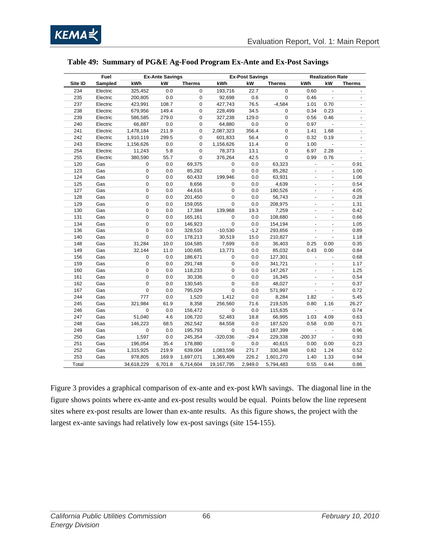

|         | Fuel     |             | <b>Ex-Ante Savings</b> |               |             | <b>Ex-Post Savings</b> |               |                | <b>Realization Rate</b>  |                |
|---------|----------|-------------|------------------------|---------------|-------------|------------------------|---------------|----------------|--------------------------|----------------|
| Site ID | Sampled  | kWh         | kW                     | <b>Therms</b> | kWh         | kW                     | <b>Therms</b> | kWh            | kW                       | <b>Therms</b>  |
| 234     | Electric | 325,452     | 0.0                    | 0             | 193,716     | 22.7                   | $\Omega$      | 0.60           | $\blacksquare$           |                |
| 235     | Electric | 200,805     | 0.0                    | 0             | 92,698      | 0.6                    | $\mathbf 0$   | 0.46           | ä,                       | $\mathbf{r}$   |
| 237     | Electric | 423,991     | 108.7                  | 0             | 427,743     | 76.5                   | $-4,584$      | 1.01           | 0.70                     |                |
| 238     | Electric | 679,956     | 149.4                  | $\mathbf 0$   | 228,499     | 34.5                   | $\Omega$      | 0.34           | 0.23                     | $\blacksquare$ |
| 239     | Electric | 586,585     | 279.0                  | 0             | 327,238     | 129.0                  | $\mathbf 0$   | 0.56           | 0.46                     | $\sim$         |
| 240     | Electric | 66,887      | 0.0                    | 0             | 64,880      | 0.0                    | $\mathbf 0$   | 0.97           |                          | $\mathbf{r}$   |
| 241     | Electric | 1,478,184   | 211.9                  | 0             | 2,087,323   | 356.4                  | $\mathbf 0$   | 1.41           | 1.68                     | $\blacksquare$ |
| 242     | Electric | 1,910,119   | 299.5                  | 0             | 601,833     | 56.4                   | $\mathbf 0$   | 0.32           | 0.19                     | $\sim$         |
| 243     | Electric | 1,156,626   | 0.0                    | $\mathbf 0$   | 1,156,626   | 11.4                   | $\mathbf 0$   | 1.00           | L.                       |                |
| 254     | Electric | 11,243      | 5.8                    | 0             | 78,373      | 13.1                   | $\mathbf 0$   | 6.97           | 2.28                     |                |
| 255     | Electric | 380,590     | 55.7                   | 0             | 376,264     | 42.5                   | 0             | 0.99           | 0.76                     | $\mathbf{r}$   |
| 120     | Gas      | $\Omega$    | 0.0                    | 69,375        | $\Omega$    | 0.0                    | 63,323        |                |                          | 0.91           |
| 123     | Gas      | $\mathbf 0$ | 0.0                    | 85,282        | $\Omega$    | 0.0                    | 85,282        |                | $\blacksquare$           | 1.00           |
| 124     | Gas      | $\mathbf 0$ | 0.0                    | 60,433        | 199,946     | 0.0                    | 63,931        | ä,             | $\ddot{\phantom{1}}$     | 1.06           |
| 125     | Gas      | $\mathbf 0$ | 0.0                    | 8,656         | $\mathbf 0$ | 0.0                    | 4,639         | ä,             | $\overline{a}$           | 0.54           |
| 127     | Gas      | $\Omega$    | 0.0                    | 44,616        | $\Omega$    | 0.0                    | 180,526       | ä,             | $\blacksquare$           | 4.05           |
| 128     | Gas      | $\mathbf 0$ | 0.0                    | 201,450       | $\mathbf 0$ | 0.0                    | 56,743        | ÷              | $\overline{\phantom{a}}$ | 0.28           |
| 129     | Gas      | $\mathbf 0$ | 0.0                    | 159,055       | $\mathbf 0$ | 0.0                    | 208,975       | ٠              |                          | 1.31           |
| 130     | Gas      | $\mathbf 0$ | 0.0                    | 17,384        | 139,968     | 19.3                   | 7,259         | ä,             | $\blacksquare$           | 0.42           |
| 131     | Gas      | $\mathbf 0$ | 0.0                    | 165,161       | $\mathbf 0$ | 0.0                    | 108,680       |                | $\ddot{\phantom{1}}$     | 0.66           |
| 134     | Gas      | $\Omega$    | 0.0                    | 146,923       | $\Omega$    | 0.0                    | 154,194       |                |                          | 1.05           |
| 136     | Gas      | $\Omega$    | 0.0                    | 328,510       | $-10,530$   | $-1.2$                 | 293,656       |                |                          | 0.89           |
| 140     | Gas      | 0           | 0.0                    | 178,213       | 30,519      | 15.0                   | 210,827       | ä,             | ÷,                       | 1.18           |
| 148     | Gas      | 31,284      | 10.0                   | 104,585       | 7,699       | 0.0                    | 36,403        | 0.25           | 0.00                     | 0.35           |
| 149     | Gas      | 32,144      | 11.0                   | 100,685       | 13,771      | 0.0                    | 85,032        | 0.43           | 0.00                     | 0.84           |
| 156     | Gas      | 0           | 0.0                    | 186,671       | $\mathbf 0$ | 0.0                    | 127,301       | $\blacksquare$ |                          | 0.68           |
| 159     | Gas      | $\mathbf 0$ | 0.0                    | 291,748       | $\mathbf 0$ | 0.0                    | 341,721       | ÷,             | ä,                       | 1.17           |
| 160     | Gas      | $\mathbf 0$ | 0.0                    | 118,233       | $\mathbf 0$ | 0.0                    | 147,267       | ä,             |                          | 1.25           |
| 161     | Gas      | $\mathbf 0$ | 0.0                    | 30,336        | $\mathbf 0$ | 0.0                    | 16,345        |                |                          | 0.54           |
| 162     | Gas      | $\Omega$    | 0.0                    | 130,545       | $\mathbf 0$ | 0.0                    | 48,027        | ٠              | ÷.                       | 0.37           |
| 167     | Gas      | 0           | 0.0                    | 795,029       | 0           | 0.0                    | 571,997       |                |                          | 0.72           |
| 244     | Gas      | 777         | 0.0                    | 1,520         | 1,412       | 0.0                    | 8,284         | 1.82           |                          | 5.45           |
| 245     | Gas      | 321.984     | 61.9                   | 8,358         | 256.560     | 71.6                   | 219,535       | 0.80           | 1.16                     | 26.27          |
| 246     | Gas      | 0           | 0.0                    | 156,472       | $\mathbf 0$ | 0.0                    | 115,635       |                |                          | 0.74           |
| 247     | Gas      | 51,040      | 4.6                    | 106,720       | 52,483      | 18.8                   | 66,995        | 1.03           | 4.09                     | 0.63           |
| 248     | Gas      | 146,223     | 68.5                   | 262,542       | 84,558      | 0.0                    | 187,520       | 0.58           | 0.00                     | 0.71           |
| 249     | Gas      | $\Omega$    | 0.0                    | 195,793       | $\Omega$    | 0.0                    | 187,399       |                |                          | 0.96           |
| 250     | Gas      | 1,597       | 0.0                    | 245,354       | $-320,036$  | $-29.4$                | 229,338       | $-200.37$      |                          | 0.93           |
| 251     | Gas      | 196,054     | 35.4                   | 178,880       | 0           | 0.0                    | 40,615        | 0.00           | 0.00                     | 0.23           |
| 252     | Gas      | 1,315,925   | 219.9                  | 639,004       | 1,083,596   | 271.7                  | 330,348       | 0.82           | 1.24                     | 0.52           |
| 253     | Gas      | 978,805     | 169.9                  | 1,697,071     | 1,369,409   | 226.2                  | 1,601,270     | 1.40           | 1.33                     | 0.94           |
| Total   |          | 34,618,229  | 6,701.8                | 6,714,604     | 19,167,795  | 2,949.0                | 5,794,483     | 0.55           | 0.44                     | 0.86           |

#### **Table 49: Summary of PG&E Ag-Food Program Ex-Ante and Ex-Post Savings**

[Figure 3](#page-80-0) provides a graphical comparison of ex-ante and ex-post kWh savings. The diagonal line in the figure shows points where ex-ante and ex-post results would be equal. Points below the line represent sites where ex-post results are lower than ex-ante results. As this figure shows, the project with the largest ex-ante savings had relatively low ex-post savings (site 154-155).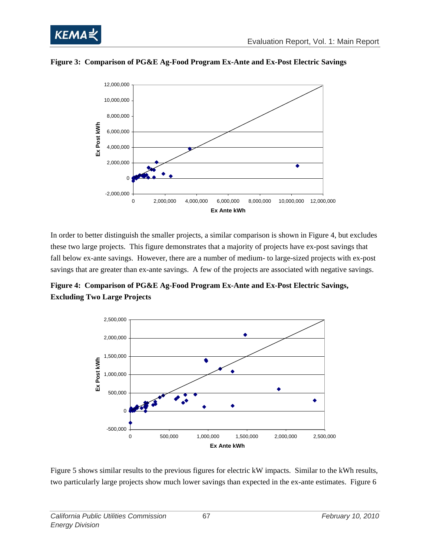



#### <span id="page-80-0"></span>**Figure 3: Comparison of PG&E Ag-Food Program Ex-Ante and Ex-Post Electric Savings**

In order to better distinguish the smaller projects, a similar comparison is shown in [Figure 4](#page-80-1), but excludes these two large projects. This figure demonstrates that a majority of projects have ex-post savings that fall below ex-ante savings. However, there are a number of medium- to large-sized projects with ex-post savings that are greater than ex-ante savings. A few of the projects are associated with negative savings.

<span id="page-80-1"></span>



[Figure 5](#page-81-0) shows similar results to the previous figures for electric kW impacts. Similar to the kWh results, two particularly large projects show much lower savings than expected in the ex-ante estimates. [Figure 6](#page-81-1)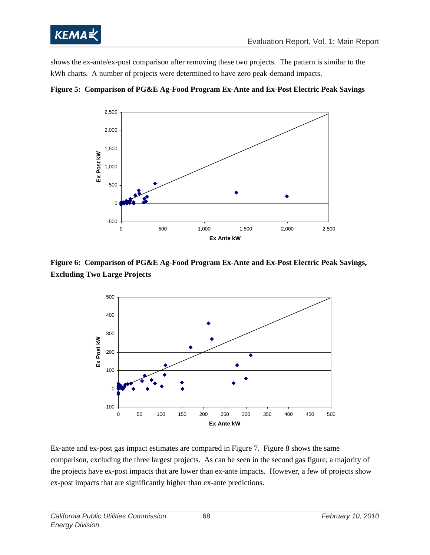

**KEMA** 

shows the ex-ante/ex-post comparison after removing these two projects. The pattern is similar to the kWh charts. A number of projects were determined to have zero peak-demand impacts.



<span id="page-81-0"></span>**Figure 5: Comparison of PG&E Ag-Food Program Ex-Ante and Ex-Post Electric Peak Savings** 

<span id="page-81-1"></span>**Figure 6: Comparison of PG&E Ag-Food Program Ex-Ante and Ex-Post Electric Peak Savings, Excluding Two Large Projects** 



Ex-ante and ex-post gas impact estimates are compared in [Figure 7](#page-82-0). [Figure 8](#page-82-1) shows the same comparison, excluding the three largest projects. As can be seen in the second gas figure, a majority of the projects have ex-post impacts that are lower than ex-ante impacts. However, a few of projects show ex-post impacts that are significantly higher than ex-ante predictions.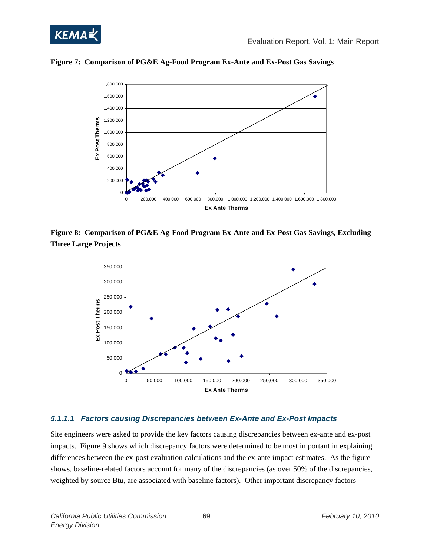

<span id="page-82-0"></span>



<span id="page-82-1"></span>**Figure 8: Comparison of PG&E Ag-Food Program Ex-Ante and Ex-Post Gas Savings, Excluding Three Large Projects** 



#### *5.1.1.1 Factors causing Discrepancies between Ex-Ante and Ex-Post Impacts*

Site engineers were asked to provide the key factors causing discrepancies between ex-ante and ex-post impacts. [Figure 9](#page-83-0) shows which discrepancy factors were determined to be most important in explaining differences between the ex-post evaluation calculations and the ex-ante impact estimates. As the figure shows, baseline-related factors account for many of the discrepancies (as over 50% of the discrepancies, weighted by source Btu, are associated with baseline factors). Other important discrepancy factors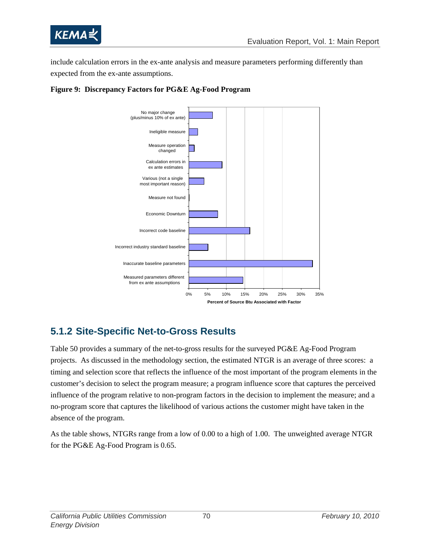

include calculation errors in the ex-ante analysis and measure parameters performing differently than expected from the ex-ante assumptions.



#### <span id="page-83-0"></span>**Figure 9: Discrepancy Factors for PG&E Ag-Food Program**

### **5.1.2 Site-Specific Net-to-Gross Results**

[Table 50](#page-84-0) provides a summary of the net-to-gross results for the surveyed PG&E Ag-Food Program projects. As discussed in the methodology section, the estimated NTGR is an average of three scores: a timing and selection score that reflects the influence of the most important of the program elements in the customer's decision to select the program measure; a program influence score that captures the perceived influence of the program relative to non-program factors in the decision to implement the measure; and a no-program score that captures the likelihood of various actions the customer might have taken in the absence of the program.

As the table shows, NTGRs range from a low of 0.00 to a high of 1.00. The unweighted average NTGR for the PG&E Ag-Food Program is 0.65.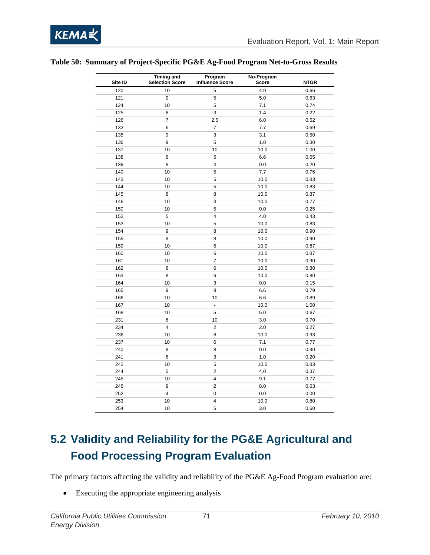

#### <span id="page-84-0"></span>**Table 50: Summary of Project-Specific PG&E Ag-Food Program Net-to-Gross Results**

| Site ID | <b>Timing and</b><br><b>Selection Score</b> | Program<br><b>Influence Score</b> | No-Program<br><b>Score</b> | <b>NTGR</b> |
|---------|---------------------------------------------|-----------------------------------|----------------------------|-------------|
| 120     | 10                                          | 5                                 | 4.9                        | 0.66        |
| 121     | 9                                           | 5                                 | 5.0                        | 0.63        |
| 124     | 10                                          | 5                                 | 7.1                        | 0.74        |
| 125     | 8                                           | 3                                 | 1.4                        | 0.22        |
| 126     | $\overline{7}$                              | 2.5                               | 6.0                        | 0.52        |
| 132     | 6                                           | $\overline{7}$                    | 7.7                        | 0.69        |
| 135     | 9                                           | 3                                 | 3.1                        | 0.50        |
| 136     | 9                                           | 5                                 | 1.0                        | 0.30        |
| 137     | 10                                          | 10                                | 10.0                       | 1.00        |
| 138     | 8                                           | 5                                 | 6.6                        | 0.65        |
| 139     | 8                                           | $\overline{\mathbf{4}}$           | 0.0                        | 0.20        |
| 140     | 10                                          | 5                                 | 7.7                        | 0.76        |
| 143     | 10                                          | 5                                 | 10.0                       | 0.83        |
| 144     | 10                                          | 5                                 | 10.0                       | 0.83        |
| 145     | 8                                           | 8                                 | 10.0                       | 0.87        |
| 146     | 10                                          | 3                                 | 10.0                       | 0.77        |
| 150     | 10                                          | 5                                 | 0.0                        | 0.25        |
| 152     | 5                                           | $\overline{\mathbf{4}}$           | 4.0                        | 0.43        |
| 153     | 10                                          | 5                                 | 10.0                       | 0.83        |
| 154     | 9                                           | 8                                 | 10.0                       | 0.90        |
| 155     | 9                                           | 8                                 | 10.0                       | 0.90        |
| 159     | 10                                          | 6                                 | 10.0                       | 0.87        |
| 160     | 10                                          | 6                                 | 10.0                       | 0.87        |
| 161     | 10                                          | $\overline{7}$                    | 10.0                       | 0.90        |
| 162     | 8                                           | 6                                 | 10.0                       | 0.80        |
| 163     | 8                                           | 6                                 | 10.0                       | 0.80        |
| 164     | 10                                          | 3                                 | 0.0                        | 0.15        |
| 165     | 9                                           | 8                                 | 6.6                        | 0.79        |
| 166     | 10                                          | 10                                | 6.6                        | 0.89        |
| 167     | 10                                          | $\overline{\phantom{a}}$          | 10.0                       | 1.00        |
| 168     | 10                                          | 5                                 | 5.0                        | 0.67        |
| 231     | 8                                           | 10                                | 3.0                        | 0.70        |
| 234     | 4                                           | $\overline{\mathbf{c}}$           | 2.0                        | 0.27        |
| 236     | 10                                          | 8                                 | 10.0                       | 0.93        |
| 237     | 10                                          | 6                                 | 7.1                        | 0.77        |
| 240     | 8                                           | 8                                 | 0.0                        | 0.40        |
| 241     | 8                                           | 3                                 | 1.0                        | 0.20        |
| 242     | 10                                          | 5                                 | 10.0                       | 0.83        |
| 244     | 5                                           | $\overline{2}$                    | 4.0                        | 0.37        |
| 245     | 10                                          | 4                                 | 9.1                        | 0.77        |
| 246     | 9                                           | $\overline{2}$                    | 8.0                        | 0.63        |
| 252     | 4                                           | 0                                 | 0.0                        | 0.00        |
| 253     | 10                                          | $\overline{\mathbf{4}}$           | 10.0                       | 0.80        |
| 254     | 10                                          | 5                                 | 3.0                        | 0.60        |

## **5.2 Validity and Reliability for the PG&E Agricultural and Food Processing Program Evaluation**

The primary factors affecting the validity and reliability of the PG&E Ag-Food Program evaluation are:

• Executing the appropriate engineering analysis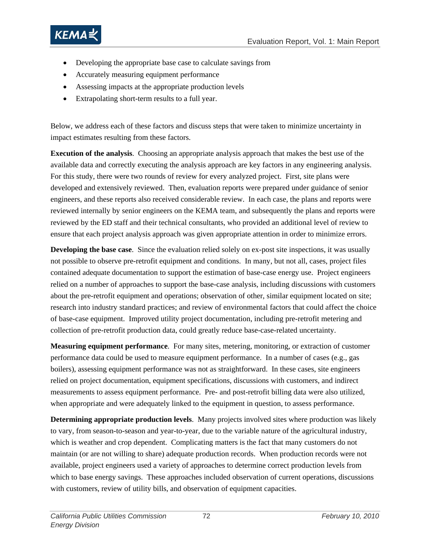

- Developing the appropriate base case to calculate savings from
- Accurately measuring equipment performance
- Assessing impacts at the appropriate production levels
- Extrapolating short-term results to a full year.

Below, we address each of these factors and discuss steps that were taken to minimize uncertainty in impact estimates resulting from these factors.

**Execution of the analysis**. Choosing an appropriate analysis approach that makes the best use of the available data and correctly executing the analysis approach are key factors in any engineering analysis. For this study, there were two rounds of review for every analyzed project. First, site plans were developed and extensively reviewed. Then, evaluation reports were prepared under guidance of senior engineers, and these reports also received considerable review. In each case, the plans and reports were reviewed internally by senior engineers on the KEMA team, and subsequently the plans and reports were reviewed by the ED staff and their technical consultants, who provided an additional level of review to ensure that each project analysis approach was given appropriate attention in order to minimize errors.

**Developing the base case**. Since the evaluation relied solely on ex-post site inspections, it was usually not possible to observe pre-retrofit equipment and conditions. In many, but not all, cases, project files contained adequate documentation to support the estimation of base-case energy use. Project engineers relied on a number of approaches to support the base-case analysis, including discussions with customers about the pre-retrofit equipment and operations; observation of other, similar equipment located on site; research into industry standard practices; and review of environmental factors that could affect the choice of base-case equipment. Improved utility project documentation, including pre-retrofit metering and collection of pre-retrofit production data, could greatly reduce base-case-related uncertainty.

**Measuring equipment performance**. For many sites, metering, monitoring, or extraction of customer performance data could be used to measure equipment performance. In a number of cases (e.g., gas boilers), assessing equipment performance was not as straightforward. In these cases, site engineers relied on project documentation, equipment specifications, discussions with customers, and indirect measurements to assess equipment performance. Pre- and post-retrofit billing data were also utilized, when appropriate and were adequately linked to the equipment in question, to assess performance.

**Determining appropriate production levels**. Many projects involved sites where production was likely to vary, from season-to-season and year-to-year, due to the variable nature of the agricultural industry, which is weather and crop dependent. Complicating matters is the fact that many customers do not maintain (or are not willing to share) adequate production records. When production records were not available, project engineers used a variety of approaches to determine correct production levels from which to base energy savings. These approaches included observation of current operations, discussions with customers, review of utility bills, and observation of equipment capacities.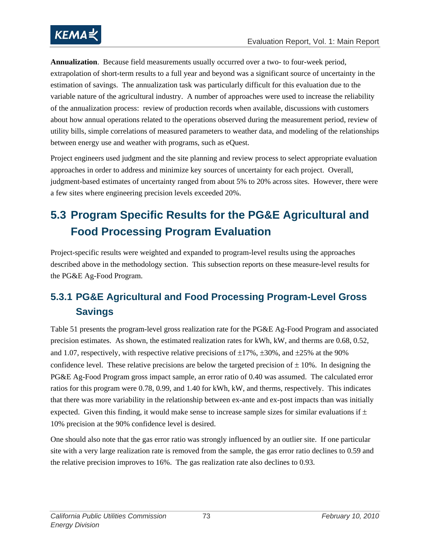

**Annualization**. Because field measurements usually occurred over a two- to four-week period, extrapolation of short-term results to a full year and beyond was a significant source of uncertainty in the estimation of savings. The annualization task was particularly difficult for this evaluation due to the variable nature of the agricultural industry. A number of approaches were used to increase the reliability of the annualization process: review of production records when available, discussions with customers about how annual operations related to the operations observed during the measurement period, review of utility bills, simple correlations of measured parameters to weather data, and modeling of the relationships between energy use and weather with programs, such as eQuest.

Project engineers used judgment and the site planning and review process to select appropriate evaluation approaches in order to address and minimize key sources of uncertainty for each project. Overall, judgment-based estimates of uncertainty ranged from about 5% to 20% across sites. However, there were a few sites where engineering precision levels exceeded 20%.

## **5.3 Program Specific Results for the PG&E Agricultural and Food Processing Program Evaluation**

Project-specific results were weighted and expanded to program-level results using the approaches described above in the methodology section. This subsection reports on these measure-level results for the PG&E Ag-Food Program.

### **5.3.1 PG&E Agricultural and Food Processing Program-Level Gross Savings**

[Table 51](#page-87-0) presents the program-level gross realization rate for the PG&E Ag-Food Program and associated precision estimates. As shown, the estimated realization rates for kWh, kW, and therms are 0.68, 0.52, and 1.07, respectively, with respective relative precisions of  $\pm 17\%$ ,  $\pm 30\%$ , and  $\pm 25\%$  at the 90% confidence level. These relative precisions are below the targeted precision of  $\pm$  10%. In designing the PG&E Ag-Food Program gross impact sample, an error ratio of 0.40 was assumed. The calculated error ratios for this program were 0.78, 0.99, and 1.40 for kWh, kW, and therms, respectively. This indicates that there was more variability in the relationship between ex-ante and ex-post impacts than was initially expected. Given this finding, it would make sense to increase sample sizes for similar evaluations if  $\pm$ 10% precision at the 90% confidence level is desired.

One should also note that the gas error ratio was strongly influenced by an outlier site. If one particular site with a very large realization rate is removed from the sample, the gas error ratio declines to 0.59 and the relative precision improves to 16%. The gas realization rate also declines to 0.93.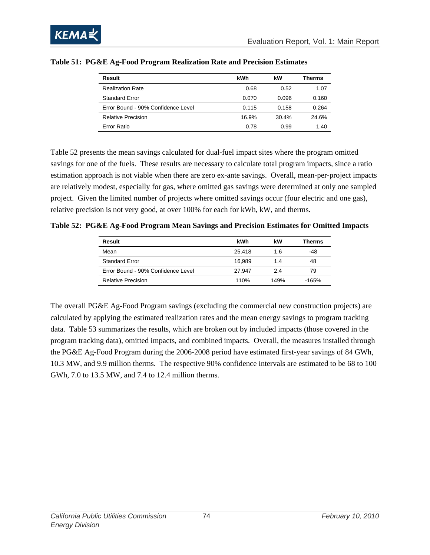

| Result                             | kWh   | kW    | <b>Therms</b> |
|------------------------------------|-------|-------|---------------|
| <b>Realization Rate</b>            | 0.68  | 0.52  | 1.07          |
| <b>Standard Error</b>              | 0.070 | 0.096 | 0.160         |
| Error Bound - 90% Confidence Level | 0.115 | 0.158 | 0.264         |
| <b>Relative Precision</b>          | 16.9% | 30.4% | 24.6%         |
| Error Ratio                        | 0.78  | 0.99  | 1.40          |

#### <span id="page-87-0"></span>**Table 51: PG&E Ag-Food Program Realization Rate and Precision Estimates**

[Table 52](#page-87-1) presents the mean savings calculated for dual-fuel impact sites where the program omitted savings for one of the fuels. These results are necessary to calculate total program impacts, since a ratio estimation approach is not viable when there are zero ex-ante savings. Overall, mean-per-project impacts are relatively modest, especially for gas, where omitted gas savings were determined at only one sampled project. Given the limited number of projects where omitted savings occur (four electric and one gas), relative precision is not very good, at over 100% for each for kWh, kW, and therms.

<span id="page-87-1"></span>

|  |  |  | Table 52: PG&E Ag-Food Program Mean Savings and Precision Estimates for Omitted Impacts |  |
|--|--|--|-----------------------------------------------------------------------------------------|--|
|  |  |  |                                                                                         |  |

| Result                             | kWh    | kW   | Therms  |
|------------------------------------|--------|------|---------|
| Mean                               | 25.418 | 1.6  | -48     |
| <b>Standard Error</b>              | 16.989 | 1.4  | 48      |
| Error Bound - 90% Confidence Level | 27.947 | 2.4  | 79      |
| <b>Relative Precision</b>          | 110%   | 149% | $-165%$ |

The overall PG&E Ag-Food Program savings (excluding the commercial new construction projects) are calculated by applying the estimated realization rates and the mean energy savings to program tracking data. [Table 53](#page-88-0) summarizes the results, which are broken out by included impacts (those covered in the program tracking data), omitted impacts, and combined impacts. Overall, the measures installed through the PG&E Ag-Food Program during the 2006-2008 period have estimated first-year savings of 84 GWh, 10.3 MW, and 9.9 million therms. The respective 90% confidence intervals are estimated to be 68 to 100 GWh, 7.0 to 13.5 MW, and 7.4 to 12.4 million therms.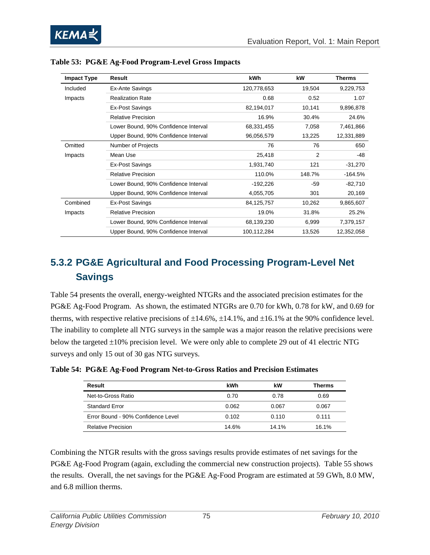

| <b>Impact Type</b> | Result                               | kWh                                                                                                                                                                                                                                         | kW     | <b>Therms</b> |
|--------------------|--------------------------------------|---------------------------------------------------------------------------------------------------------------------------------------------------------------------------------------------------------------------------------------------|--------|---------------|
| Included           | Ex-Ante Savings                      | 120,778,653                                                                                                                                                                                                                                 | 19,504 | 9,229,753     |
| Impacts            | <b>Realization Rate</b>              | 0.68<br>0.52<br>10,141<br>82,194,017<br>16.9%<br>30.4%<br>7,058<br>68,331,455<br>96,056,579<br>13,225<br>76<br>76<br>2<br>25,418<br>121<br>1,931,740<br>110.0%<br>148.7%<br>$-192,226$<br>$-59$<br>4,055,705<br>301<br>84,125,757<br>10,262 | 1.07   |               |
|                    | Ex-Post Savings                      |                                                                                                                                                                                                                                             |        | 9,896,878     |
|                    | <b>Relative Precision</b>            |                                                                                                                                                                                                                                             |        | 24.6%         |
|                    | Lower Bound, 90% Confidence Interval |                                                                                                                                                                                                                                             |        | 7,461,866     |
|                    | Upper Bound, 90% Confidence Interval |                                                                                                                                                                                                                                             |        | 12,331,889    |
| Omitted            | Number of Projects                   |                                                                                                                                                                                                                                             |        | 650           |
| Impacts            | Mean Use                             |                                                                                                                                                                                                                                             |        | -48           |
|                    | Ex-Post Savings                      |                                                                                                                                                                                                                                             |        | $-31,270$     |
|                    | <b>Relative Precision</b>            |                                                                                                                                                                                                                                             |        | $-164.5%$     |
|                    | Lower Bound, 90% Confidence Interval |                                                                                                                                                                                                                                             |        | $-82,710$     |
|                    | Upper Bound, 90% Confidence Interval |                                                                                                                                                                                                                                             |        | 20,169        |
| Combined           | <b>Ex-Post Savings</b>               |                                                                                                                                                                                                                                             |        | 9,865,607     |
| Impacts            | <b>Relative Precision</b>            | 19.0%                                                                                                                                                                                                                                       | 31.8%  | 25.2%         |
|                    | Lower Bound, 90% Confidence Interval | 68,139,230                                                                                                                                                                                                                                  | 6,999  | 7,379,157     |
|                    | Upper Bound, 90% Confidence Interval | 100,112,284                                                                                                                                                                                                                                 | 13,526 | 12,352,058    |

<span id="page-88-0"></span>**Table 53: PG&E Ag-Food Program-Level Gross Impacts** 

### **5.3.2 PG&E Agricultural and Food Processing Program-Level Net Savings**

[Table 54](#page-88-1) presents the overall, energy-weighted NTGRs and the associated precision estimates for the PG&E Ag-Food Program. As shown, the estimated NTGRs are 0.70 for kWh, 0.78 for kW, and 0.69 for therms, with respective relative precisions of  $\pm 14.6\%$ ,  $\pm 14.1\%$ , and  $\pm 16.1\%$  at the 90% confidence level. The inability to complete all NTG surveys in the sample was a major reason the relative precisions were below the targeted  $\pm 10\%$  precision level. We were only able to complete 29 out of 41 electric NTG surveys and only 15 out of 30 gas NTG surveys.

| Result                             | kWh   | kW    | Therms |
|------------------------------------|-------|-------|--------|
| Net-to-Gross Ratio                 | 0.70  | 0.78  | 0.69   |
| <b>Standard Error</b>              | 0.062 | 0.067 | 0.067  |
| Error Bound - 90% Confidence Level | 0.102 | 0.110 | 0.111  |
| <b>Relative Precision</b>          | 14.6% | 14.1% | 16.1%  |

<span id="page-88-1"></span>**Table 54: PG&E Ag-Food Program Net-to-Gross Ratios and Precision Estimates** 

Combining the NTGR results with the gross savings results provide estimates of net savings for the PG&E Ag-Food Program (again, excluding the commercial new construction projects). [Table 55](#page-89-0) shows the results. Overall, the net savings for the PG&E Ag-Food Program are estimated at 59 GWh, 8.0 MW, and 6.8 million therms.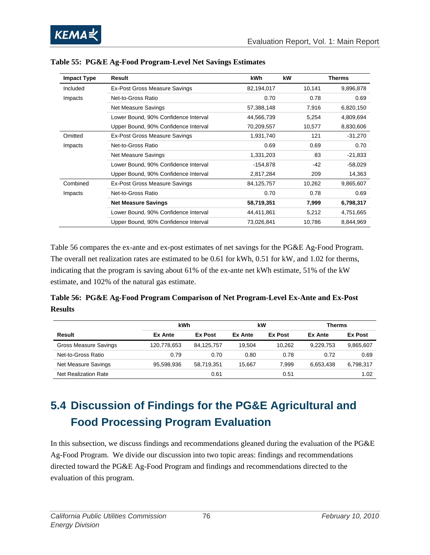

| <b>Impact Type</b> | Result                               | <b>kWh</b> | kW     | <b>Therms</b> |
|--------------------|--------------------------------------|------------|--------|---------------|
| Included           | Ex-Post Gross Measure Savings        | 82,194,017 | 10,141 | 9,896,878     |
| Impacts            | Net-to-Gross Ratio                   | 0.70       | 0.78   | 0.69          |
|                    | Net Measure Savings                  | 57,388,148 | 7,916  | 6,820,150     |
|                    | Lower Bound, 90% Confidence Interval | 44,566,739 | 5,254  | 4,809,694     |
|                    | Upper Bound, 90% Confidence Interval | 70,209,557 | 10,577 | 8,830,606     |
| Omitted            | Ex-Post Gross Measure Savings        | 1,931,740  | 121    | $-31,270$     |
| Impacts            | Net-to-Gross Ratio                   | 0.69       | 0.69   | 0.70          |
|                    | Net Measure Savings                  | 1,331,203  | 83     | $-21,833$     |
|                    | Lower Bound, 90% Confidence Interval | -154,878   | $-42$  | $-58,029$     |
|                    | Upper Bound, 90% Confidence Interval | 2,817,284  | 209    | 14,363        |
| Combined           | Ex-Post Gross Measure Savings        | 84,125,757 | 10,262 | 9,865,607     |
| Impacts            | Net-to-Gross Ratio                   | 0.70       | 0.78   | 0.69          |
|                    | <b>Net Measure Savings</b>           | 58,719,351 | 7,999  | 6,798,317     |
|                    | Lower Bound, 90% Confidence Interval | 44,411,861 | 5,212  | 4,751,665     |
|                    | Upper Bound, 90% Confidence Interval | 73,026,841 | 10,786 | 8,844,969     |

<span id="page-89-0"></span>**Table 55: PG&E Ag-Food Program-Level Net Savings Estimates** 

[Table 56](#page-89-1) compares the ex-ante and ex-post estimates of net savings for the PG&E Ag-Food Program. The overall net realization rates are estimated to be 0.61 for kWh, 0.51 for kW, and 1.02 for therms, indicating that the program is saving about 61% of the ex-ante net kWh estimate, 51% of the kW estimate, and 102% of the natural gas estimate.

<span id="page-89-1"></span>

|                | Table 56: PG&E Ag-Food Program Comparison of Net Program-Level Ex-Ante and Ex-Post |
|----------------|------------------------------------------------------------------------------------|
| <b>Results</b> |                                                                                    |

|                       | kWh         |                | kW             |                | <b>Therms</b> |                |
|-----------------------|-------------|----------------|----------------|----------------|---------------|----------------|
| Result                | Ex Ante     | <b>Ex Post</b> | <b>Ex Ante</b> | <b>Ex Post</b> | Ex Ante       | <b>Ex Post</b> |
| Gross Measure Savings | 120.778.653 | 84.125.757     | 19.504         | 10.262         | 9.229.753     | 9,865,607      |
| Net-to-Gross Ratio    | 0.79        | 0.70           | 0.80           | 0.78           | 0.72          | 0.69           |
| Net Measure Savings   | 95,598,936  | 58,719,351     | 15.667         | 7.999          | 6.653.438     | 6,798,317      |
| Net Realization Rate  |             | 0.61           |                | 0.51           |               | 1.02           |

## **5.4 Discussion of Findings for the PG&E Agricultural and Food Processing Program Evaluation**

In this subsection, we discuss findings and recommendations gleaned during the evaluation of the PG&E Ag-Food Program. We divide our discussion into two topic areas: findings and recommendations directed toward the PG&E Ag-Food Program and findings and recommendations directed to the evaluation of this program.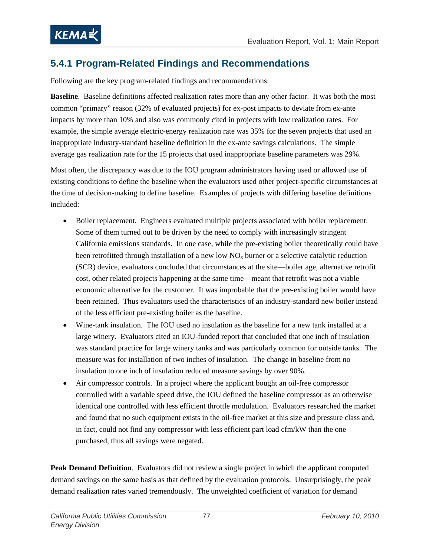

### **5.4.1 Program-Related Findings and Recommendations**

Following are the key program-related findings and recommendations:

**Baseline**. Baseline definitions affected realization rates more than any other factor. It was both the most common "primary" reason (32% of evaluated projects) for ex-post impacts to deviate from ex-ante impacts by more than 10% and also was commonly cited in projects with low realization rates. For example, the simple average electric-energy realization rate was 35% for the seven projects that used an inappropriate industry-standard baseline definition in the ex-ante savings calculations. The simple average gas realization rate for the 15 projects that used inappropriate baseline parameters was 29%.

Most often, the discrepancy was due to the IOU program administrators having used or allowed use of existing conditions to define the baseline when the evaluators used other project-specific circumstances at the time of decision-making to define baseline. Examples of projects with differing baseline definitions included:

- Boiler replacement. Engineers evaluated multiple projects associated with boiler replacement. Some of them turned out to be driven by the need to comply with increasingly stringent California emissions standards. In one case, while the pre-existing boiler theoretically could have been retrofitted through installation of a new low  $NO<sub>x</sub>$  burner or a selective catalytic reduction (SCR) device, evaluators concluded that circumstances at the site—boiler age, alternative retrofit cost, other related projects happening at the same time—meant that retrofit was not a viable economic alternative for the customer. It was improbable that the pre-existing boiler would have been retained. Thus evaluators used the characteristics of an industry-standard new boiler instead of the less efficient pre-existing boiler as the baseline.
- Wine-tank insulation. The IOU used no insulation as the baseline for a new tank installed at a large winery. Evaluators cited an IOU-funded report that concluded that one inch of insulation was standard practice for large winery tanks and was particularly common for outside tanks. The measure was for installation of two inches of insulation. The change in baseline from no insulation to one inch of insulation reduced measure savings by over 90%.
- Air compressor controls. In a project where the applicant bought an oil-free compressor controlled with a variable speed drive, the IOU defined the baseline compressor as an otherwise identical one controlled with less efficient throttle modulation. Evaluators researched the market and found that no such equipment exists in the oil-free market at this size and pressure class and, in fact, could not find any compressor with less efficient part load cfm/kW than the one purchased, thus all savings were negated.

**Peak Demand Definition**. Evaluators did not review a single project in which the applicant computed demand savings on the same basis as that defined by the evaluation protocols. Unsurprisingly, the peak demand realization rates varied tremendously. The unweighted coefficient of variation for demand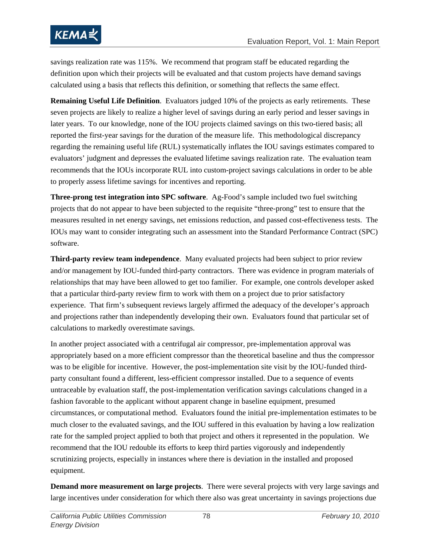savings realization rate was 115%. We recommend that program staff be educated regarding the definition upon which their projects will be evaluated and that custom projects have demand savings calculated using a basis that reflects this definition, or something that reflects the same effect.

**Remaining Useful Life Definition**. Evaluators judged 10% of the projects as early retirements. These seven projects are likely to realize a higher level of savings during an early period and lesser savings in later years. To our knowledge, none of the IOU projects claimed savings on this two-tiered basis; all reported the first-year savings for the duration of the measure life. This methodological discrepancy regarding the remaining useful life (RUL) systematically inflates the IOU savings estimates compared to evaluators' judgment and depresses the evaluated lifetime savings realization rate. The evaluation team recommends that the IOUs incorporate RUL into custom-project savings calculations in order to be able to properly assess lifetime savings for incentives and reporting.

**Three-prong test integration into SPC software**. Ag-Food's sample included two fuel switching projects that do not appear to have been subjected to the requisite "three-prong" test to ensure that the measures resulted in net energy savings, net emissions reduction, and passed cost-effectiveness tests. The IOUs may want to consider integrating such an assessment into the Standard Performance Contract (SPC) software.

**Third-party review team independence**. Many evaluated projects had been subject to prior review and/or management by IOU-funded third-party contractors. There was evidence in program materials of relationships that may have been allowed to get too familier. For example, one controls developer asked that a particular third-party review firm to work with them on a project due to prior satisfactory experience. That firm's subsequent reviews largely affirmed the adequacy of the developer's approach and projections rather than independently developing their own. Evaluators found that particular set of calculations to markedly overestimate savings.

In another project associated with a centrifugal air compressor, pre-implementation approval was appropriately based on a more efficient compressor than the theoretical baseline and thus the compressor was to be eligible for incentive. However, the post-implementation site visit by the IOU-funded thirdparty consultant found a different, less-efficient compressor installed. Due to a sequence of events untraceable by evaluation staff, the post-implementation verification savings calculations changed in a fashion favorable to the applicant without apparent change in baseline equipment, presumed circumstances, or computational method. Evaluators found the initial pre-implementation estimates to be much closer to the evaluated savings, and the IOU suffered in this evaluation by having a low realization rate for the sampled project applied to both that project and others it represented in the population. We recommend that the IOU redouble its efforts to keep third parties vigorously and independently scrutinizing projects, especially in instances where there is deviation in the installed and proposed equipment.

**Demand more measurement on large projects**. There were several projects with very large savings and large incentives under consideration for which there also was great uncertainty in savings projections due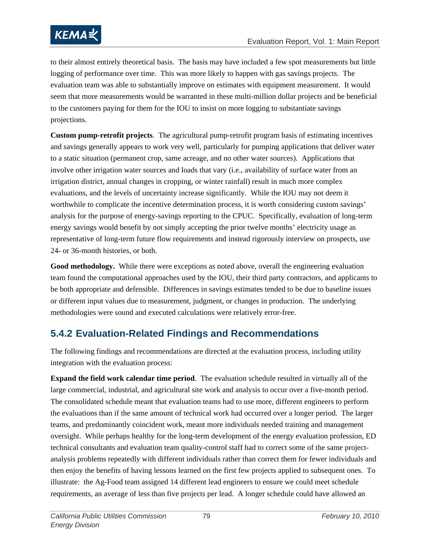

to their almost entirely theoretical basis. The basis may have included a few spot measurements but little logging of performance over time. This was more likely to happen with gas savings projects. The evaluation team was able to substantially improve on estimates with equipment measurement. It would seem that more measurements would be warranted in these multi-million dollar projects and be beneficial to the customers paying for them for the IOU to insist on more logging to substantiate savings projections.

**Custom pump-retrofit projects**. The agricultural pump-retrofit program basis of estimating incentives and savings generally appears to work very well, particularly for pumping applications that deliver water to a static situation (permanent crop, same acreage, and no other water sources). Applications that involve other irrigation water sources and loads that vary (i.e., availability of surface water from an irrigation district, annual changes in cropping, or winter rainfall) result in much more complex evaluations, and the levels of uncertainty increase significantly. While the IOU may not deem it worthwhile to complicate the incentive determination process, it is worth considering custom savings' analysis for the purpose of energy-savings reporting to the CPUC. Specifically, evaluation of long-term energy savings would benefit by not simply accepting the prior twelve months' electricity usage as representative of long-term future flow requirements and instead rigorously interview on prospects, use 24- or 36-month histories, or both.

Good methodology. While there were exceptions as noted above, overall the engineering evaluation team found the computational approaches used by the IOU, their third party contractors, and applicants to be both appropriate and defensible. Differences in savings estimates tended to be due to baseline issues or different input values due to measurement, judgment, or changes in production. The underlying methodologies were sound and executed calculations were relatively error-free.

### **5.4.2 Evaluation-Related Findings and Recommendations**

The following findings and recommendations are directed at the evaluation process, including utility integration with the evaluation process:

**Expand the field work calendar time period**. The evaluation schedule resulted in virtually all of the large commercial, industrial, and agricultural site work and analysis to occur over a five-month period. The consolidated schedule meant that evaluation teams had to use more, different engineers to perform the evaluations than if the same amount of technical work had occurred over a longer period. The larger teams, and predominantly coincident work, meant more individuals needed training and management oversight. While perhaps healthy for the long-term development of the energy evaluation profession, ED technical consultants and evaluation team quality-control staff had to correct some of the same projectanalysis problems repeatedly with different individuals rather than correct them for fewer individuals and then enjoy the benefits of having lessons learned on the first few projects applied to subsequent ones. To illustrate: the Ag-Food team assigned 14 different lead engineers to ensure we could meet schedule requirements, an average of less than five projects per lead. A longer schedule could have allowed an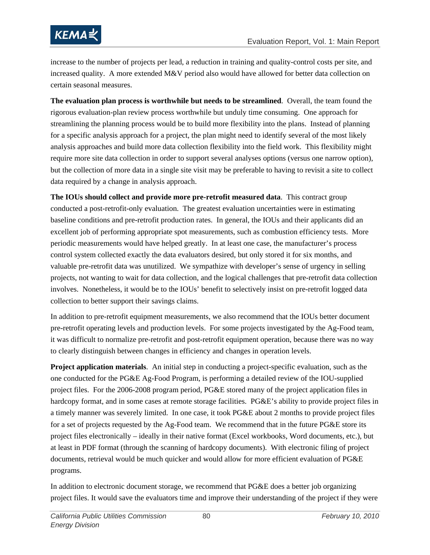

increase to the number of projects per lead, a reduction in training and quality-control costs per site, and increased quality. A more extended M&V period also would have allowed for better data collection on certain seasonal measures.

**The evaluation plan process is worthwhile but needs to be streamlined**. Overall, the team found the rigorous evaluation-plan review process worthwhile but unduly time consuming. One approach for streamlining the planning process would be to build more flexibility into the plans. Instead of planning for a specific analysis approach for a project, the plan might need to identify several of the most likely analysis approaches and build more data collection flexibility into the field work. This flexibility might require more site data collection in order to support several analyses options (versus one narrow option), but the collection of more data in a single site visit may be preferable to having to revisit a site to collect data required by a change in analysis approach.

**The IOUs should collect and provide more pre-retrofit measured data**. This contract group conducted a post-retrofit-only evaluation. The greatest evaluation uncertainties were in estimating baseline conditions and pre-retrofit production rates. In general, the IOUs and their applicants did an excellent job of performing appropriate spot measurements, such as combustion efficiency tests. More periodic measurements would have helped greatly. In at least one case, the manufacturer's process control system collected exactly the data evaluators desired, but only stored it for six months, and valuable pre-retrofit data was unutilized. We sympathize with developer's sense of urgency in selling projects, not wanting to wait for data collection, and the logical challenges that pre-retrofit data collection involves. Nonetheless, it would be to the IOUs' benefit to selectively insist on pre-retrofit logged data collection to better support their savings claims.

In addition to pre-retrofit equipment measurements, we also recommend that the IOUs better document pre-retrofit operating levels and production levels. For some projects investigated by the Ag-Food team, it was difficult to normalize pre-retrofit and post-retrofit equipment operation, because there was no way to clearly distinguish between changes in efficiency and changes in operation levels.

**Project application materials**. An initial step in conducting a project-specific evaluation, such as the one conducted for the PG&E Ag-Food Program, is performing a detailed review of the IOU-supplied project files. For the 2006-2008 program period, PG&E stored many of the project application files in hardcopy format, and in some cases at remote storage facilities. PG&E's ability to provide project files in a timely manner was severely limited. In one case, it took PG&E about 2 months to provide project files for a set of projects requested by the Ag-Food team. We recommend that in the future PG&E store its project files electronically – ideally in their native format (Excel workbooks, Word documents, etc.), but at least in PDF format (through the scanning of hardcopy documents). With electronic filing of project documents, retrieval would be much quicker and would allow for more efficient evaluation of PG&E programs.

In addition to electronic document storage, we recommend that PG&E does a better job organizing project files. It would save the evaluators time and improve their understanding of the project if they were